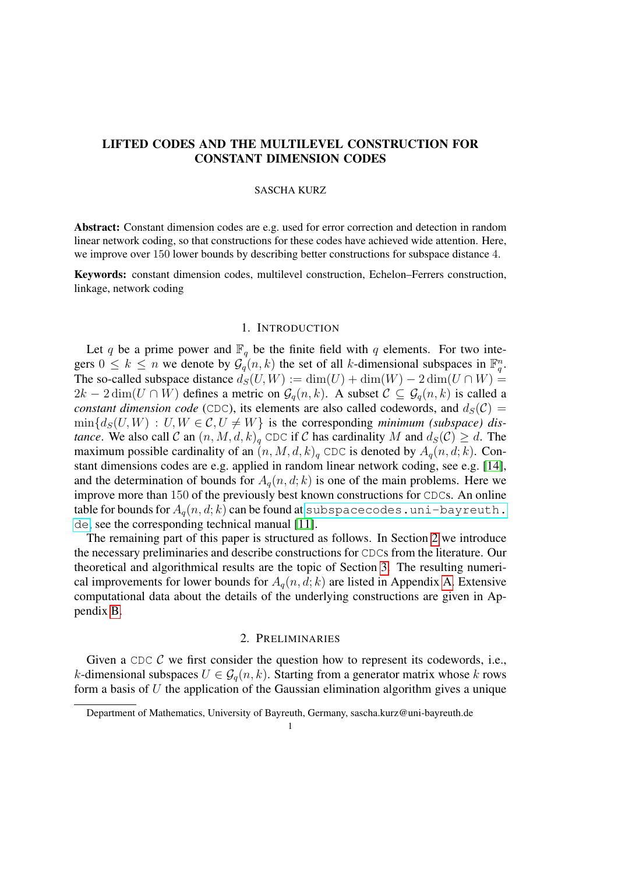### SASCHA KURZ

Abstract: Constant dimension codes are e.g. used for error correction and detection in random linear network coding, so that constructions for these codes have achieved wide attention. Here, we improve over 150 lower bounds by describing better constructions for subspace distance 4.

Keywords: constant dimension codes, multilevel construction, Echelon–Ferrers construction, linkage, network coding

## 1. INTRODUCTION

Let q be a prime power and  $\mathbb{F}_q$  be the finite field with q elements. For two integers  $0 \le k \le n$  we denote by  $\mathcal{G}_q(n, k)$  the set of all k-dimensional subspaces in  $\mathbb{F}_q^n$ . The so-called subspace distance  $d_S(U, W) := \dim(U) + \dim(W) - 2 \dim(U \cap W) =$  $2k - 2 \dim(U \cap W)$  defines a metric on  $\mathcal{G}_q(n, k)$ . A subset  $\mathcal{C} \subseteq \mathcal{G}_q(n, k)$  is called a *constant dimension code* (CDC), its elements are also called codewords, and  $d_S(\mathcal{C}) =$  $\min\{d_S(U, W) : U, W \in \mathcal{C}, U \neq W\}$  is the corresponding *minimum (subspace) distance*. We also call C an  $(n, M, d, k)$ <sub>q</sub> CDC if C has cardinality M and  $d_S(\mathcal{C}) \geq d$ . The maximum possible cardinality of an  $(n, M, d, k)$ <sub>q</sub> CDC is denoted by  $A_q(n, d; k)$ . Constant dimensions codes are e.g. applied in random linear network coding, see e.g. [\[14\]](#page-12-0), and the determination of bounds for  $A_q(n, d; k)$  is one of the main problems. Here we improve more than 150 of the previously best known constructions for CDCs. An online table for bounds for  $A_q(n, d; k)$  can be found at [subspacecodes.uni-bayreuth.](subspacecodes.uni-bayreuth.de) [de](subspacecodes.uni-bayreuth.de), see the corresponding technical manual [\[11\]](#page-12-1).

The remaining part of this paper is structured as follows. In Section [2](#page-0-0) we introduce the necessary preliminaries and describe constructions for CDCs from the literature. Our theoretical and algorithmical results are the topic of Section [3.](#page-5-0) The resulting numerical improvements for lower bounds for  $A_q(n, d; k)$  are listed in Appendix [A.](#page-13-0) Extensive computational data about the details of the underlying constructions are given in Appendix [B.](#page-18-0)

### 2. PRELIMINARIES

<span id="page-0-0"></span>Given a CDC  $\mathcal C$  we first consider the question how to represent its codewords, i.e., k-dimensional subspaces  $U \in \mathcal{G}_q(n, k)$ . Starting from a generator matrix whose k rows form a basis of  $U$  the application of the Gaussian elimination algorithm gives a unique

Department of Mathematics, University of Bayreuth, Germany, sascha.kurz@uni-bayreuth.de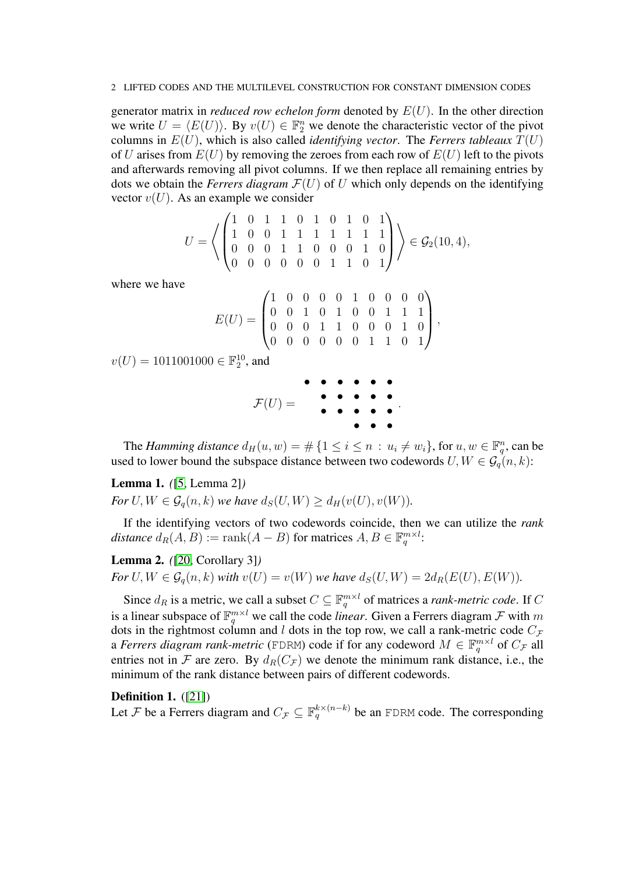generator matrix in *reduced row echelon form* denoted by  $E(U)$ . In the other direction we write  $U = \langle E(U) \rangle$ . By  $v(U) \in \mathbb{F}_2^n$  we denote the characteristic vector of the pivot columns in  $E(U)$ , which is also called *identifying vector*. The *Ferrers tableaux*  $T(U)$ of U arises from  $E(U)$  by removing the zeroes from each row of  $E(U)$  left to the pivots and afterwards removing all pivot columns. If we then replace all remaining entries by dots we obtain the *Ferrers diagram*  $\mathcal{F}(U)$  of U which only depends on the identifying vector  $v(U)$ . As an example we consider

$$
U = \left\langle \left( \begin{matrix} 1 & 0 & 1 & 1 & 0 & 1 & 0 & 1 & 0 & 1 \\ 1 & 0 & 0 & 1 & 1 & 1 & 1 & 1 & 1 & 1 \\ 0 & 0 & 0 & 1 & 1 & 0 & 0 & 0 & 1 & 0 \\ 0 & 0 & 0 & 0 & 0 & 0 & 1 & 1 & 0 & 1 \end{matrix} \right) \right\rangle \in \mathcal{G}_2(10, 4),
$$

where we have

$$
E(U) = \begin{pmatrix} 1 & 0 & 0 & 0 & 0 & 1 & 0 & 0 & 0 & 0 \\ 0 & 0 & 1 & 0 & 1 & 0 & 0 & 1 & 1 & 1 \\ 0 & 0 & 0 & 1 & 1 & 0 & 0 & 0 & 1 & 0 \\ 0 & 0 & 0 & 0 & 0 & 0 & 1 & 1 & 0 & 1 \end{pmatrix},
$$

 $v(U) = 1011001000 \in \mathbb{F}_2^{10}$ , and

$$
\mathcal{F}(U) = \begin{array}{c c c c c} \bullet & \bullet & \bullet & \bullet & \bullet \\ \bullet & \bullet & \bullet & \bullet & \bullet \\ \bullet & \bullet & \bullet & \bullet & \bullet \\ \bullet & \bullet & \bullet & \bullet \end{array}
$$

The *Hamming distance*  $d_H(u, w) = \# \{1 \le i \le n : u_i \ne w_i\}$ , for  $u, w \in \mathbb{F}_q^n$ , can be used to lower bound the subspace distance between two codewords  $U, W \in \mathcal{G}_q(n, k)$ :

## <span id="page-1-2"></span>Lemma 1. *(*[\[5,](#page-12-2) Lemma 2]*)*

*For*  $U, W \in \mathcal{G}_q(n, k)$  *we have*  $d_S(U, W) \geq d_H(v(U), v(W))$ *.* 

If the identifying vectors of two codewords coincide, then we can utilize the *rank distance*  $d_R(A, B) := \text{rank}(A - B)$  for matrices  $A, B \in \mathbb{F}_q^{m \times l}$ :

# <span id="page-1-0"></span>Lemma 2. *(*[\[20,](#page-12-3) Corollary 3]*) For*  $U, W \in \mathcal{G}_q(n, k)$  *with*  $v(U) = v(W)$  *we have*  $d_S(U, W) = 2d_R(E(U), E(W))$ *.*

Since  $d_R$  is a metric, we call a subset  $C \subseteq \mathbb{F}_q^{m \times l}$  of matrices a *rank-metric code*. If C is a linear subspace of  $\mathbb{F}_q^{m \times l}$  we call the code *linear*. Given a Ferrers diagram  $\mathcal F$  with m dots in the rightmost column and l dots in the top row, we call a rank-metric code  $C_F$ a *Ferrers diagram rank-metric* (FDRM) code if for any codeword  $M \in \mathbb{F}_q^{m \times l}$  of  $C_{\mathcal{F}}$  all entries not in F are zero. By  $d_R(C_\mathcal{F})$  we denote the minimum rank distance, i.e., the minimum of the rank distance between pairs of different codewords.

## <span id="page-1-1"></span>**Definition 1.** ([\[21\]](#page-12-4))

Let F be a Ferrers diagram and  $C_{\mathcal{F}} \subseteq \mathbb{F}_q^{k \times (n-k)}$  be an FDRM code. The corresponding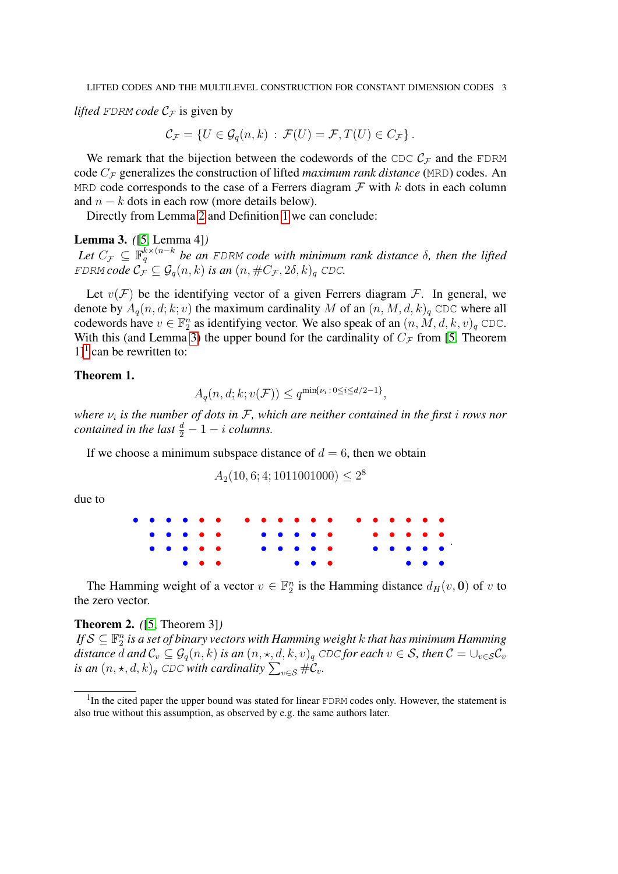*lifted* FDRM *code*  $C_F$  is given by

$$
\mathcal{C}_{\mathcal{F}} = \{ U \in \mathcal{G}_q(n,k) : \mathcal{F}(U) = \mathcal{F}, T(U) \in C_{\mathcal{F}} \}.
$$

We remark that the bijection between the codewords of the CDC  $C_F$  and the FDRM code  $C_F$  generalizes the construction of lifted *maximum rank distance* (MRD) codes. An MRD code corresponds to the case of a Ferrers diagram  $\mathcal F$  with  $k$  dots in each column and  $n - k$  dots in each row (more details below).

Directly from Lemma [2](#page-1-0) and Definition [1](#page-1-1) we can conclude:

## <span id="page-2-0"></span>Lemma 3. *(*[\[5,](#page-12-2) Lemma 4]*)*

Let  $C_{\mathcal{F}} \subseteq \mathbb{F}_q^{k \times (n-k)}$  be an FDRM code with minimum rank distance  $\delta$ , then the lifted FDRM code  $\mathcal{C}_{\mathcal{F}} \subseteq \mathcal{G}_q(n,k)$  is an  $(n, \#C_{\mathcal{F}}, 2\delta, k)_q$  CDC.

Let  $v(\mathcal{F})$  be the identifying vector of a given Ferrers diagram  $\mathcal{F}$ . In general, we denote by  $A_q(n, d; k; v)$  the maximum cardinality M of an  $(n, M, d, k)_q$  CDC where all codewords have  $v \in \mathbb{F}_2^n$  as identifying vector. We also speak of an  $(n, M, d, k, v)_q$  CDC. With this (and Lemma [3\)](#page-2-0) the upper bound for the cardinality of  $C_F$  from [\[5,](#page-12-2) Theorem  $1$ ]<sup>1</sup> can be rewritten to:

## <span id="page-2-2"></span>Theorem 1.

$$
A_q(n, d; k; v(\mathcal{F})) \le q^{\min\{\nu_i : 0 \le i \le d/2 - 1\}},
$$

*where*  $ν<sub>i</sub>$  is the number of dots in F, which are neither contained in the first i rows nor *contained in the last*  $\frac{d}{2} - 1 - i$  *columns.* 

If we choose a minimum subspace distance of  $d = 6$ , then we obtain

$$
A_2(10,6;4;1011001000) \le 2^8
$$

due to

|  |                         |  |  |  |  | . |  |  |  |
|--|-------------------------|--|--|--|--|---|--|--|--|
|  |                         |  |  |  |  |   |  |  |  |
|  |                         |  |  |  |  |   |  |  |  |
|  | $\bullet\bullet\bullet$ |  |  |  |  |   |  |  |  |

The Hamming weight of a vector  $v \in \mathbb{F}_2^n$  is the Hamming distance  $d_H(v, \mathbf{0})$  of v to the zero vector.

## <span id="page-2-3"></span>Theorem 2. *(*[\[5,](#page-12-2) Theorem 3]*)*

If  $\mathcal{S} \subseteq \mathbb{F}_2^n$  is a set of binary vectors with Hamming weight  $k$  that has minimum Hamming *distance* d and  $C_v \subseteq G_q(n, k)$  *is an*  $(n, \star, d, k, v)_q$  CDC for each  $v \in S$ , then  $C = \bigcup_{v \in S} C_v$ *is an*  $(n, \star, d, k)_q$  CDC with cardinality  $\sum_{v \in \mathcal{S}} \# \mathcal{C}_v$ .

<span id="page-2-1"></span><sup>&</sup>lt;sup>1</sup>In the cited paper the upper bound was stated for linear FDRM codes only. However, the statement is also true without this assumption, as observed by e.g. the same authors later.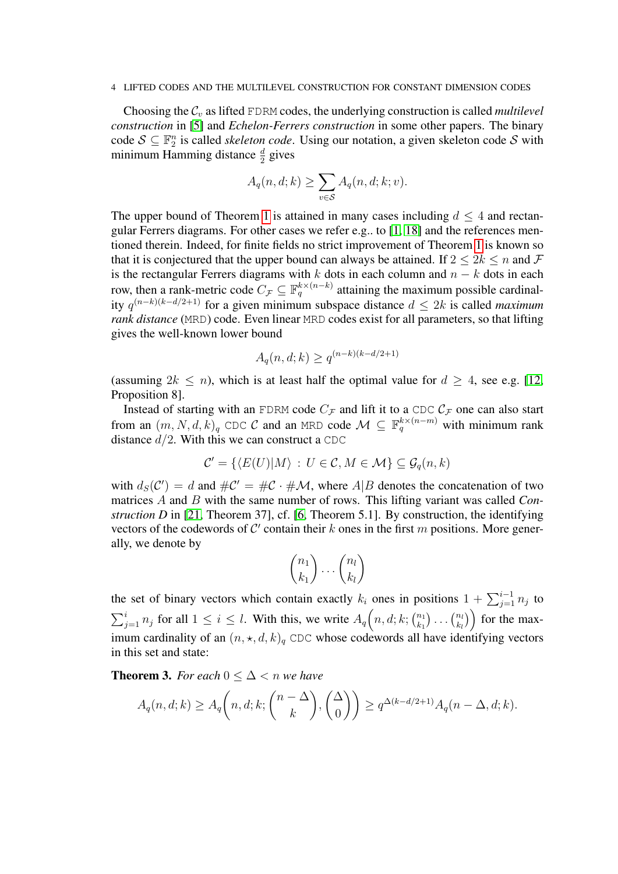Choosing the  $C_v$  as lifted FDRM codes, the underlying construction is called *multilevel construction* in [\[5\]](#page-12-2) and *Echelon-Ferrers construction* in some other papers. The binary code  $S \subseteq \mathbb{F}_2^n$  is called *skeleton code*. Using our notation, a given skeleton code S with minimum Hamming distance  $\frac{d}{2}$  gives

$$
A_q(n, d; k) \ge \sum_{v \in \mathcal{S}} A_q(n, d; k; v).
$$

The upper bound of Theorem [1](#page-2-2) is attained in many cases including  $d \leq 4$  and rectangular Ferrers diagrams. For other cases we refer e.g.. to [\[1,](#page-11-0) [18\]](#page-12-5) and the references mentioned therein. Indeed, for finite fields no strict improvement of Theorem [1](#page-2-2) is known so that it is conjectured that the upper bound can always be attained. If  $2 \leq 2k \leq n$  and F is the rectangular Ferrers diagrams with k dots in each column and  $n - k$  dots in each row, then a rank-metric code  $C_{\mathcal{F}} \subseteq \mathbb{F}_q^{k \times (n-k)}$  attaining the maximum possible cardinality  $q^{(n-k)(k-d/2+1)}$  for a given minimum subspace distance  $d ≤ 2k$  is called *maximum rank distance* (MRD) code. Even linear MRD codes exist for all parameters, so that lifting gives the well-known lower bound

$$
A_q(n, d; k) \ge q^{(n-k)(k-d/2+1)}
$$

(assuming  $2k \le n$ ), which is at least half the optimal value for  $d \ge 4$ , see e.g. [\[12,](#page-12-6) Proposition 8].

Instead of starting with an FDRM code  $C_F$  and lift it to a CDC  $C_F$  one can also start from an  $(m, N, d, k)_q$  CDC C and an MRD code  $\mathcal{M} \subseteq \mathbb{F}_q^{k \times (n-m)}$  with minimum rank distance  $d/2$ . With this we can construct a CDC

$$
\mathcal{C}' = \{ \langle E(U)|M \rangle : U \in \mathcal{C}, M \in \mathcal{M} \} \subseteq \mathcal{G}_q(n,k)
$$

with  $d_S(\mathcal{C}') = d$  and  $\#\mathcal{C}' = \#\mathcal{C} \cdot \#\mathcal{M}$ , where  $A|B$  denotes the concatenation of two matrices A and B with the same number of rows. This lifting variant was called *Construction D* in [\[21,](#page-12-4) Theorem 37], cf. [\[6,](#page-12-7) Theorem 5.1]. By construction, the identifying vectors of the codewords of  $\mathcal{C}'$  contain their k ones in the first m positions. More generally, we denote by

$$
\binom{n_1}{k_1}\cdots\binom{n_l}{k_l}
$$

the set of binary vectors which contain exactly  $k_i$  ones in positions  $1 + \sum_{j=1}^{i-1} n_j$  to  $\sum_{j=1}^{i} n_j$  for all  $1 \leq i \leq l$ . With this, we write  $A_q(n, d; k; \binom{n_1}{k_1})$  $\binom{n_1}{k_1} \ldots \binom{n_l}{k_l}$  $\binom{n_l}{k_l}$  for the maximum cardinality of an  $(n, \star, d, k)$ <sub>q</sub> CDC whose codewords all have identifying vectors in this set and state:

<span id="page-3-0"></span>**Theorem 3.** *For each*  $0 \leq \Delta < n$  *we have* 

$$
A_q(n, d; k) \ge A_q\left(n, d; k; \binom{n-\Delta}{k}, \binom{\Delta}{0}\right) \ge q^{\Delta(k-d/2+1)} A_q(n-\Delta, d; k).
$$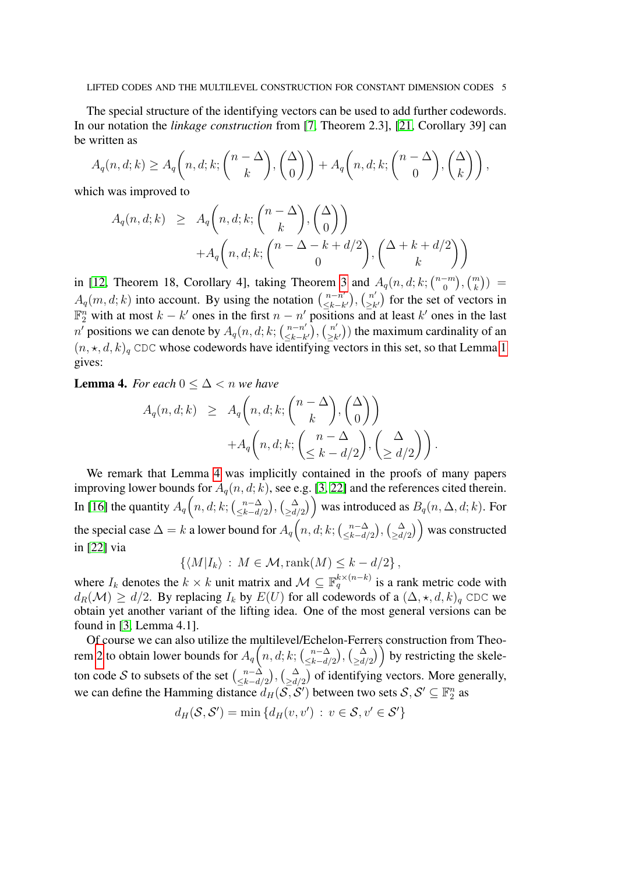The special structure of the identifying vectors can be used to add further codewords. In our notation the *linkage construction* from [\[7,](#page-12-8) Theorem 2.3], [\[21,](#page-12-4) Corollary 39] can be written as

$$
A_q(n,d;k) \ge A_q\bigg(n,d;k; \binom{n-\Delta}{k},\binom{\Delta}{0}\bigg) + A_q\bigg(n,d;k; \binom{n-\Delta}{0},\binom{\Delta}{k}\bigg),
$$

which was improved to

$$
A_q(n, d; k) \geq A_q\left(n, d; k; \binom{n-\Delta}{k}, \binom{\Delta}{0}\right) + A_q\left(n, d; k; \binom{n-\Delta-k+d/2}{0}, \binom{\Delta+k+d/2}{k}\right)
$$

in [\[12,](#page-12-6) Theorem 18, Corollary 4], taking Theorem [3](#page-3-0) and  $A_q(n, d; k; \binom{n-m}{0}, \binom{m}{k}) =$  $0 \rightarrow \lambda k$  $A_q(m, d; k)$  into account. By using the notation  $\binom{n-n'}{k-k}$  $\begin{array}{l} n-n' \\ \leq k-k' \end{array}$ ,  $\begin{pmatrix} n' \\ \geq k \end{pmatrix}$  $\binom{n'}{\geq k'}$  for the set of vectors in  $\mathbb{F}_2^n$  with at most  $k - k'$  ones in the first  $n - n'$  positions and at least k' ones in the last  $n^{'}$  positions we can denote by  $A_q(n,d;k; \binom{n-n'}{k+k}$  $\overline{\leq k-k'}$ ,  $\left(\frac{n'}{\geq k}\right)$  $\binom{n'}{\geq k'}$ ) the maximum cardinality of an  $(n, \star, d, k)_q$  CDC whose codewords have identifying vectors in this set, so that Lemma [1](#page-1-2) gives:

<span id="page-4-0"></span>**Lemma 4.** *For each*  $0 \leq \Delta \leq n$  *we have* 

$$
A_q(n, d; k) \geq A_q\left(n, d; k; \binom{n-\Delta}{k}, \binom{\Delta}{0}\right) + A_q\left(n, d; k; \binom{n-\Delta}{\leq k-d/2}, \binom{\Delta}{\geq d/2}\right).
$$

We remark that Lemma [4](#page-4-0) was implicitly contained in the proofs of many papers improving lower bounds for  $A_q(n, d; k)$ , see e.g. [\[3,](#page-12-9) [22\]](#page-12-10) and the references cited therein. In [\[16\]](#page-12-11) the quantity  $A_q(n, d; k; \binom{n-\Delta}{\leq k-d}$  $\binom{n-\Delta}{\leq k-d/2}$ ,  $\binom{\Delta}{\geq d/2}$  was introduced as  $B_q(n, \Delta, d; k)$ . For the special case  $\Delta = k$  a lower bound for  $A_q(n, d; k; \binom{n-\Delta}{\leq k-d}$  $\binom{n-\Delta}{\leq k-d/2}, \binom{\Delta}{\geq d/2}$  was constructed in [\[22\]](#page-12-10) via

$$
\{ \langle M | I_k \rangle : M \in \mathcal{M}, \text{rank}(M) \leq k - d/2 \},
$$

where  $I_k$  denotes the  $k \times k$  unit matrix and  $\mathcal{M} \subseteq \mathbb{F}_q^{k \times (n-k)}$  is a rank metric code with  $d_R(\mathcal{M}) \geq d/2$ . By replacing  $I_k$  by  $E(U)$  for all codewords of a  $(\Delta, \star, d, k)_q$  CDC we obtain yet another variant of the lifting idea. One of the most general versions can be found in [\[3,](#page-12-9) Lemma 4.1].

Of course we can also utilize the multilevel/Echelon-Ferrers construction from Theo-rem [2](#page-2-3) to obtain lower bounds for  $A_q(n,d;k; \binom{n-\Delta}{\leq k-d}$  $\binom{n-\Delta}{\leq k-d/2}$ ,  $\binom{\Delta}{\geq d/2}$  by restricting the skeleton code S to subsets of the set  $\binom{n-\Delta}{\leq k-d}$  $\binom{n-\Delta}{\leq k-d/2}$ ,  $\binom{\Delta}{\geq d/2}$  of identifying vectors. More generally, we can define the Hamming distance  $d_H(\overline{S}, \overline{S})$  between two sets  $S, S' \subseteq \mathbb{F}_2^n$  as

$$
d_H(\mathcal{S}, \mathcal{S}') = \min \{ d_H(v, v') : v \in \mathcal{S}, v' \in \mathcal{S}' \}
$$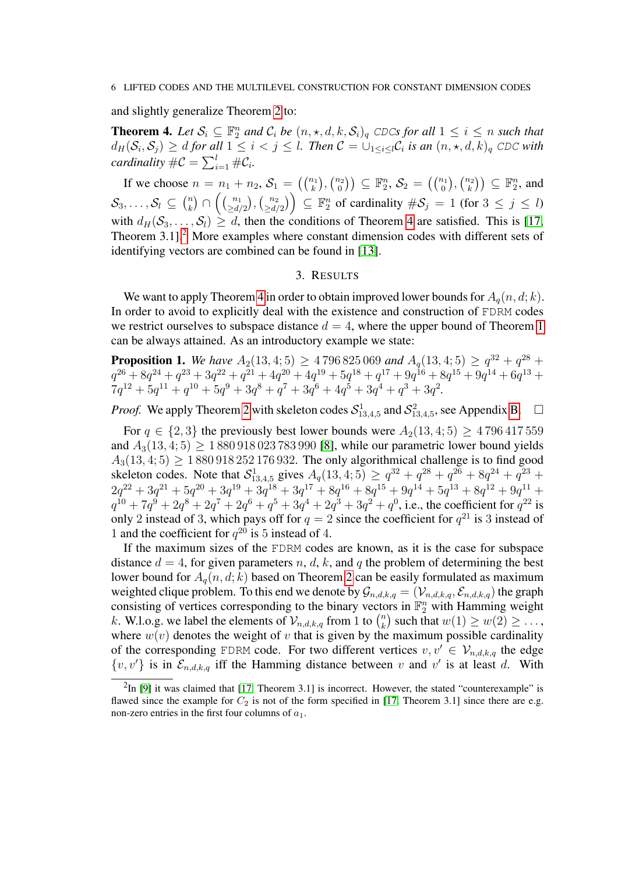and slightly generalize Theorem [2](#page-2-3) to:

<span id="page-5-1"></span>**Theorem 4.** Let  $S_i \subseteq \mathbb{F}_2^n$  and  $C_i$  be  $(n, \star, d, k, S_i)_q$  CDCs for all  $1 \leq i \leq n$  such that  $d_H(\mathcal{S}_i, \mathcal{S}_j) \geq d$  for all  $1 \leq i < j \leq l$ . Then  $\mathcal{C} = \cup_{1 \leq i \leq l} \mathcal{C}_i$  is an  $(n, \star, d, k)_q$  CDC with *cardinality*  $\#\mathcal{C} = \sum_{i=1}^l \# \mathcal{C}_i$ .

If we choose  $n = n_1 + n_2$ ,  $S_1 = \binom{n_1}{k}$ ,  $\binom{n_2}{0}$  $\left( \begin{smallmatrix} n_2 \ 0 \end{smallmatrix} \right) \subseteq \mathbb{F}^n_2, \, \mathcal{S}_2 = \big( \left( \begin{smallmatrix} n_1 \ 0 \end{smallmatrix} \right), \left( \begin{smallmatrix} n_2 \ k \end{smallmatrix} \right)$  ${22 \choose k}$   $\subseteq \mathbb{F}_2^n$ , and  $\mathcal{S}_3, \ldots, \mathcal{S}_l \subseteq \binom{n}{k}$  $\binom{n}{k} \, \cap \, \bigg(\binom{n_1}{\geq d}$  $\binom{n_1}{\geq d/2}, \binom{n_2}{\geq d}$  $\binom{n_2}{\geq d/2}$   $\Big) \subseteq \mathbb{F}_2^n$  of cardinality  $\#\mathcal{S}_j = 1$  (for  $3 \leq j \leq l$ ) with  $d_H(S_3, \ldots, S_l) \geq d$ , then the conditions of Theorem [4](#page-5-1) are satisfied. This is [\[17,](#page-12-12) Theorem 3.1].<sup>[2](#page-5-2)</sup> More examples where constant dimension codes with different sets of identifying vectors are combined can be found in [\[13\]](#page-12-13).

### 3. RESULTS

<span id="page-5-0"></span>We want to apply Theorem [4](#page-5-1) in order to obtain improved lower bounds for  $A_q(n, d; k)$ . In order to avoid to explicitly deal with the existence and construction of FDRM codes we restrict ourselves to subspace distance  $d = 4$ , where the upper bound of Theorem [1](#page-2-2) can be always attained. As an introductory example we state:

<span id="page-5-3"></span>**Proposition 1.** We have  $A_2(13, 4; 5) \ge 4796825069$  and  $A_q(13, 4; 5) \ge q^{32} + q^{28} +$  $q^{26} + 8q^{24} + q^{23} + 3q^{22} + q^{21} + 4q^{20} + 4q^{19} + 5q^{18} + q^{17} + 9q^{16} + 8q^{15} + 9q^{14} + 6q^{13} +$  $7q^{12} + 5q^{11} + q^{10} + 5q^9 + 3q^8 + q^7 + 3q^6 + 4q^5 + 3q^4 + q^3 + 3q^2$ 

*Proof.* We apply Theorem [2](#page-2-3) with skeleton codes  $\mathcal{S}_{13,4,5}^1$  and  $\mathcal{S}_{13,4,5}^2$ , see Appendix [B.](#page-18-0)  $\Box$ 

For  $q \in \{2,3\}$  the previously best lower bounds were  $A_2(13, 4; 5) \ge 4796417559$ and  $A_3(13, 4; 5) \ge 1880918023783990$  [\[8\]](#page-12-14), while our parametric lower bound yields  $A_3(13, 4; 5) \ge 1880918252176932$ . The only algorithmical challenge is to find good skeleton codes. Note that  $S^1_{13,4,5}$  gives  $A_q(13,4;5) \ge q^{32} + q^{28} + q^{26} + 8q^{24} + q^{23} +$  $2q^{22} + 3q^{21} + 5q^{20} + 3q^{19} + 3q^{18} + 3q^{17} + 8q^{16} + 8q^{15} + 9q^{14} + 5q^{13} + 8q^{12} + 9q^{11} +$  $q^{10} + 7q^9 + 2q^8 + 2q^7 + 2q^6 + q^5 + 3q^4 + 2q^3 + 3q^2 + q^0$ , i.e., the coefficient for  $q^{22}$  is only 2 instead of 3, which pays off for  $q = 2$  since the coefficient for  $q^{21}$  is 3 instead of 1 and the coefficient for  $q^{20}$  is 5 instead of 4.

If the maximum sizes of the FDRM codes are known, as it is the case for subspace distance  $d = 4$ , for given parameters n, d, k, and q the problem of determining the best lower bound for  $A_q(n, d; k)$  based on Theorem [2](#page-2-3) can be easily formulated as maximum weighted clique problem. To this end we denote by  $\mathcal{G}_{n,d,k,q} = (\mathcal{V}_{n,d,k,q}, \mathcal{E}_{n,d,k,q})$  the graph consisting of vertices corresponding to the binary vectors in  $\mathbb{F}_2^n$  with Hamming weight k. W.l.o.g. we label the elements of  $\mathcal{V}_{n,d,k,q}$  from 1 to  $\binom{n}{k}$  $\binom{n}{k}$  such that  $w(1) \geq w(2) \geq \ldots$ , where  $w(v)$  denotes the weight of v that is given by the maximum possible cardinality of the corresponding FDRM code. For two different vertices  $v, v' \in \mathcal{V}_{n,d,k,q}$  the edge  $\{v, v'\}$  is in  $\mathcal{E}_{n,d,k,q}$  iff the Hamming distance between v and v' is at least d. With

<span id="page-5-2"></span> ${}^{2}$ In [\[9\]](#page-12-15) it was claimed that [\[17,](#page-12-12) Theorem 3.1] is incorrect. However, the stated "counterexample" is flawed since the example for  $C_2$  is not of the form specified in [\[17,](#page-12-12) Theorem 3.1] since there are e.g. non-zero entries in the first four columns of  $a_1$ .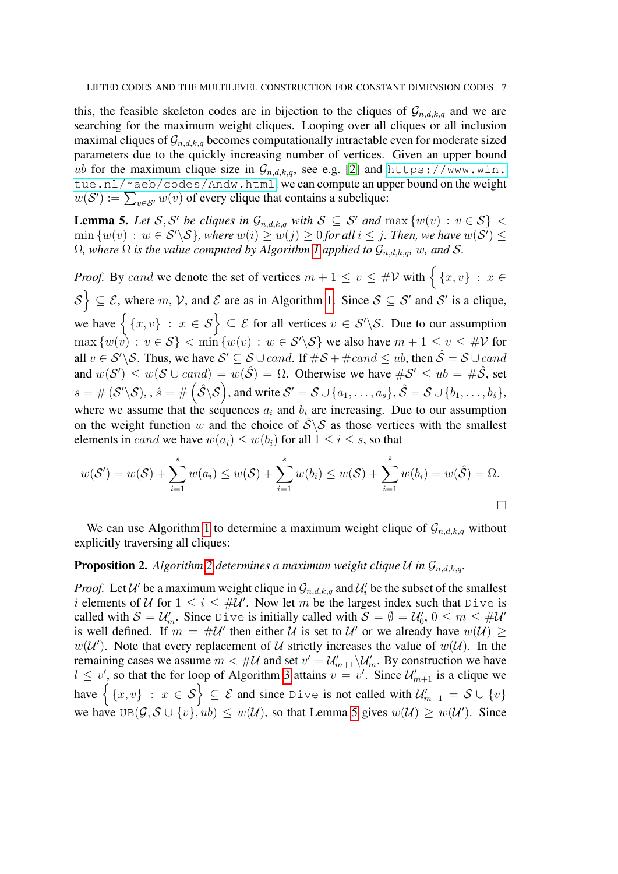this, the feasible skeleton codes are in bijection to the cliques of  $\mathcal{G}_{n,d,k,q}$  and we are searching for the maximum weight cliques. Looping over all cliques or all inclusion maximal cliques of  $\mathcal{G}_{n,d,k,q}$  becomes computationally intractable even for moderate sized parameters due to the quickly increasing number of vertices. Given an upper bound ub for the maximum clique size in  $\mathcal{G}_{n,d,k,q}$ , see e.g. [\[2\]](#page-11-1) and [https://www.win.](https://www.win.tue.nl/~aeb/codes/Andw.html) [tue.nl/˜aeb/codes/Andw.html](https://www.win.tue.nl/~aeb/codes/Andw.html), we can compute an upper bound on the weight  $w(S') := \sum_{v \in S'} w(v)$  of every clique that contains a subclique:

<span id="page-6-0"></span>**Lemma 5.** Let S, S' be cliques in  $\mathcal{G}_{n,d,k,q}$  with  $S \subseteq S'$  and  $\max \{w(v) : v \in S\}$  $\min \{w(v) : w \in \mathcal{S}'\backslash \mathcal{S}\}$ , where  $w(i) \geq w(j) \geq 0$  for all  $i \leq j$ . Then, we have  $w(\mathcal{S}') \leq 0$  $\Omega$ *, where*  $\Omega$  *is the value computed by Algorithm [1](#page-7-0) applied to*  $\mathcal{G}_{n,d,k,q}$ *, w, and* S.

*Proof.* By cand we denote the set of vertices  $m + 1 \le v \le #V$  with  $\left\{ \{x, v\} : x \in \mathbb{R}^N \mid \{x, v\} \le v \le 1 \right\}$  $S$   $\subseteq$   $\mathcal{E}$ , where m, V, and  $\mathcal{E}$  are as in Algorithm [1.](#page-7-0) Since  $\mathcal{S} \subseteq \mathcal{S}'$  and  $\mathcal{S}'$  is a clique, we have  $\{ \{x, v\} : x \in S \} \subseteq \mathcal{E}$  for all vertices  $v \in \mathcal{S}' \setminus \mathcal{S}$ . Due to our assumption  $\max \{w(v) : v \in \mathcal{S}\} < \min \{w(v) : w \in \mathcal{S}'\backslash \mathcal{S}\}$  we also have  $m + 1 \le v \le #\mathcal{V}$  for all  $v \in \mathcal{S}'\backslash\mathcal{S}$ . Thus, we have  $\mathcal{S}' \subseteq \mathcal{S} \cup cand$ . If  $\#\mathcal{S} + \#cand \leq ub$ , then  $\hat{\mathcal{S}} = \mathcal{S} \cup cand$ and  $w(S') \leq w(S \cup cand) = w(\hat{S}) = \Omega$ . Otherwise we have  $\#\mathcal{S}' \leq ub = \#\hat{S}$ , set  $s = \# (\mathcal{S}' \backslash \mathcal{S}), \, \hat{s} = \# (\hat{\mathcal{S}} \backslash \mathcal{S})$ , and write  $\mathcal{S}' = \mathcal{S} \cup \{a_1, \ldots, a_s\}, \hat{\mathcal{S}} = \mathcal{S} \cup \{b_1, \ldots, b_{\hat{s}}\},$ where we assume that the sequences  $a_i$  and  $b_i$  are increasing. Due to our assumption on the weight function w and the choice of  $\hat{S} \backslash \mathcal{S}$  as those vertices with the smallest elements in cand we have  $w(a_i) \leq w(b_i)$  for all  $1 \leq i \leq s$ , so that

$$
w(\mathcal{S}') = w(\mathcal{S}) + \sum_{i=1}^{s} w(a_i) \le w(\mathcal{S}) + \sum_{i=1}^{s} w(b_i) \le w(\mathcal{S}) + \sum_{i=1}^{\hat{s}} w(b_i) = w(\hat{\mathcal{S}}) = \Omega.
$$

We can use Algorithm [1](#page-7-0) to determine a maximum weight clique of  $\mathcal{G}_{n,d,k,q}$  without explicitly traversing all cliques:

## <span id="page-6-1"></span>**Proposition [2](#page-7-1).** Algorithm 2 determines a maximum weight clique U in  $\mathcal{G}_{n,d,k,q}$ .

*Proof.* Let U' be a maximum weight clique in  $\mathcal{G}_{n,d,k,q}$  and  $\mathcal{U}'_i$  be the subset of the smallest i elements of U for  $1 \le i \le #U'$ . Now let m be the largest index such that Dive is called with  $S = U'_m$ . Since Dive is initially called with  $S = \emptyset = U'_0$ ,  $0 \le m \le #U'$ is well defined. If  $m = \#U'$  then either U is set to U' or we already have  $w(U) \geq$  $w(\mathcal{U}')$ . Note that every replacement of U strictly increases the value of  $w(\mathcal{U})$ . In the remaining cases we assume  $m < #U$  and set  $v' = \mathcal{U}'_{m+1}\backslash \mathcal{U}'_m$ . By construction we have  $l \leq v'$ , so that the for loop of Algorithm [3](#page-8-0) attains  $v = v'$ . Since  $\mathcal{U}'_{m+1}$  is a clique we have  $\Big\{ \{x, v\} \; : \; x \, \in \, \mathcal{S} \Big\} \, \subseteq \, \mathcal{E}$  and since Dive is not called with  $\mathcal{U}_{m+1}' \, = \, \mathcal{S} \cup \{v\}$ we have  $UB(G, S \cup \{v\}, u\ell) \leq w(\mathcal{U})$ , so that Lemma [5](#page-6-0) gives  $w(\mathcal{U}) \geq w(\mathcal{U}')$ . Since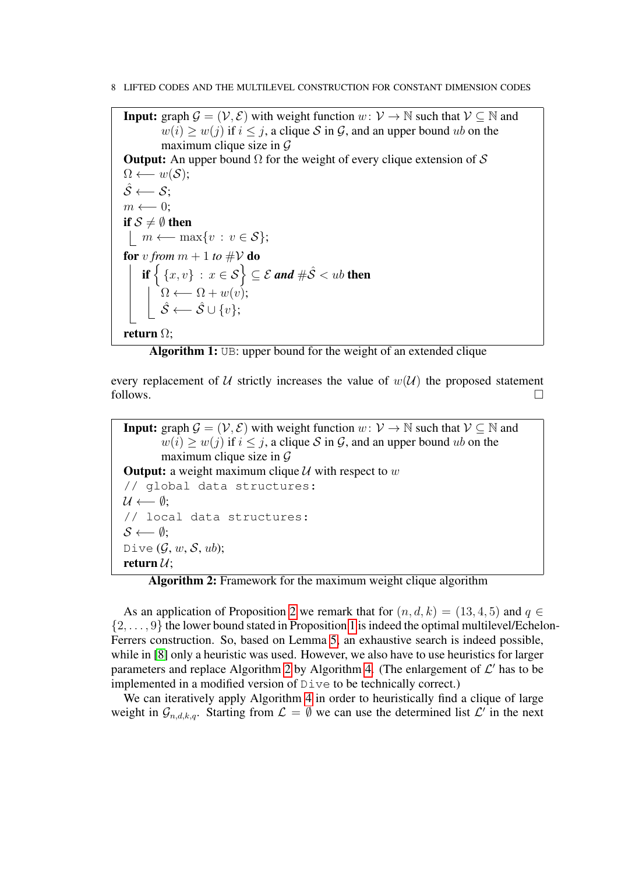**Input:** graph  $\mathcal{G} = (\mathcal{V}, \mathcal{E})$  with weight function  $w: \mathcal{V} \to \mathbb{N}$  such that  $\mathcal{V} \subseteq \mathbb{N}$  and  $w(i) > w(j)$  if  $i \leq j$ , a clique S in G, and an upper bound ub on the maximum clique size in  $\mathcal G$ **Output:** An upper bound  $\Omega$  for the weight of every clique extension of S  $\Omega \longleftarrow w(\mathcal{S});$  $\hat{S} \leftarrow S$ :  $m \leftarrow 0$ ; if  $S \neq \emptyset$  then  $\begin{bmatrix} m & \rightarrow & n \ \end{bmatrix}$  m  $\leftarrow$  max{ $v : v \in S$ }; for *v* from  $m + 1$  to  $\#\mathcal{V}$  do if  $\big\{\,\{x, v\}\,:\, x \in \mathcal{S}\big\} \subseteq \mathcal{E}$  and  $\#\hat{\mathcal{S}} < ub$  then  $\Omega \leftarrow \Omega + w(v);$  $\hat{\mathcal{S}} \longleftarrow \hat{\mathcal{S}} \cup \{v\};$ return  $\Omega$ ;

<span id="page-7-0"></span>

every replacement of U strictly increases the value of  $w(\mathcal{U})$  the proposed statement follows.  $\Box$ 

**Input:** graph  $\mathcal{G} = (\mathcal{V}, \mathcal{E})$  with weight function  $w: \mathcal{V} \to \mathbb{N}$  such that  $\mathcal{V} \subseteq \mathbb{N}$  and  $w(i) \geq w(j)$  if  $i \leq j$ , a clique S in G, and an upper bound ub on the maximum clique size in  $\mathcal G$ **Output:** a weight maximum clique  $U$  with respect to w // global data structures:  $U \longleftarrow \emptyset$ : // local data structures:  $S \longleftarrow \emptyset$ ; Dive  $(\mathcal{G}, w, \mathcal{S}, ub);$ return  $\mathcal{U}$ ;

<span id="page-7-1"></span>Algorithm 2: Framework for the maximum weight clique algorithm

As an application of Proposition [2](#page-6-1) we remark that for  $(n, d, k) = (13, 4, 5)$  and  $q \in$  $\{2,\ldots,9\}$  the lower bound stated in Proposition [1](#page-5-3) is indeed the optimal multilevel/Echelon-Ferrers construction. So, based on Lemma [5,](#page-6-0) an exhaustive search is indeed possible, while in [\[8\]](#page-12-14) only a heuristic was used. However, we also have to use heuristics for larger parameters and replace Algorithm [2](#page-7-1) by Algorithm [4.](#page-8-1) (The enlargement of  $\mathcal{L}'$  has to be implemented in a modified version of Dive to be technically correct.)

We can iteratively apply Algorithm [4](#page-8-1) in order to heuristically find a clique of large weight in  $\mathcal{G}_{n,d,k,q}$ . Starting from  $\mathcal{L} = \emptyset$  we can use the determined list  $\mathcal{L}'$  in the next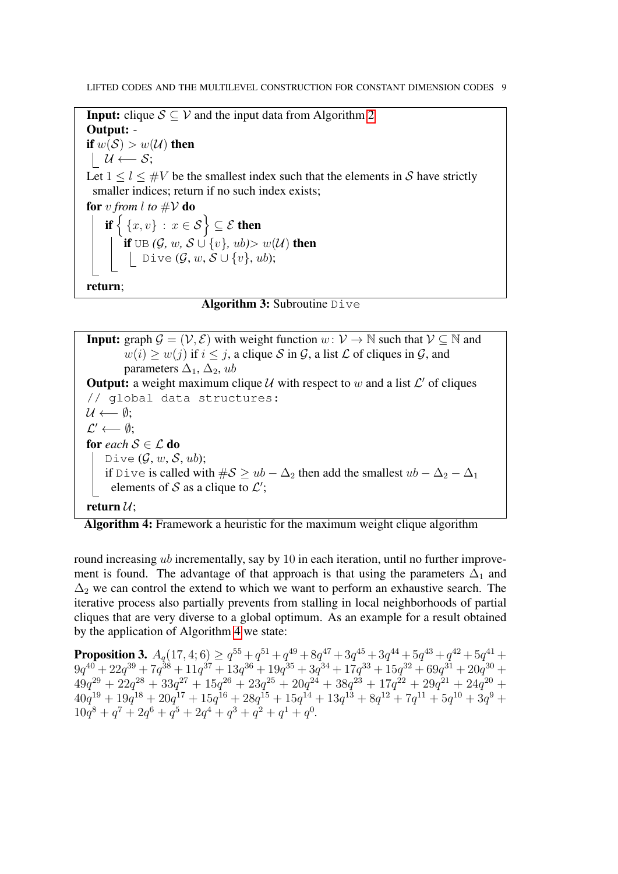**Input:** clique  $S \subset V$  and the input data from Algorithm [2](#page-7-1) Output: if  $w(S) > w(\mathcal{U})$  then  $U \longleftarrow S;$ Let  $1 \leq l \leq \#V$  be the smallest index such that the elements in S have strictly smaller indices; return if no such index exists; **for** v from l to  $\#\mathcal{V}$  **do** if  $\big\{\,\{x, v\}\,:\, x \in \mathcal{S}\,\big\} \subseteq \mathcal{E}$  then if UB  $(G, w, S \cup \{v\}, ub) > w(\mathcal{U})$  then  $\Box$  Dive  $(\mathcal{G}, w, \mathcal{S} \cup \{v\}, ub);$ return;

Algorithm 3: Subroutine Dive

<span id="page-8-0"></span>**Input:** graph  $\mathcal{G} = (\mathcal{V}, \mathcal{E})$  with weight function  $w: \mathcal{V} \to \mathbb{N}$  such that  $\mathcal{V} \subseteq \mathbb{N}$  and  $w(i) \geq w(j)$  if  $i \leq j$ , a clique S in G, a list L of cliques in G, and parameters  $\Delta_1$ ,  $\Delta_2$ , ub **Output:** a weight maximum clique  $U$  with respect to w and a list  $\mathcal{L}'$  of cliques // global data structures:  $U \longleftarrow \emptyset$ ;  $\mathcal{L}' \longleftarrow \emptyset;$ for *each*  $S \in \mathcal{L}$  do Dive  $(\mathcal{G}, w, \mathcal{S}, ub)$ ; if Dive is called with  $\#\mathcal{S} \geq ub - \Delta_2$  then add the smallest  $ub - \Delta_2 - \Delta_1$ elements of S as a clique to  $\mathcal{L}'$ ; return  $\mathcal{U}$ :

<span id="page-8-1"></span>Algorithm 4: Framework a heuristic for the maximum weight clique algorithm

round increasing ub incrementally, say by 10 in each iteration, until no further improvement is found. The advantage of that approach is that using the parameters  $\Delta_1$  and  $\Delta_2$  we can control the extend to which we want to perform an exhaustive search. The iterative process also partially prevents from stalling in local neighborhoods of partial cliques that are very diverse to a global optimum. As an example for a result obtained by the application of Algorithm [4](#page-8-1) we state:

<span id="page-8-2"></span>**Proposition 3.**  $A_q(17, 4; 6) \ge q^{55} + q^{51} + q^{49} + 8q^{47} + 3q^{45} + 3q^{44} + 5q^{43} + q^{42} + 5q^{41} +$  $9q^{40} + 22q^{39} + 7q^{38} + 11q^{37} + 13q^{36} + 19q^{35} + 3q^{34} + 17q^{33} + 15q^{32} + 69q^{31} + 20q^{30} +$  $49q^{29} + 22q^{28} + 33q^{27} + 15q^{26} + 23q^{25} + 20q^{24} + 38q^{23} + 17q^{22} + 29q^{21} + 24q^{20} +$  $40q^{19} + 19q^{18} + 20q^{17} + 15q^{16} + 28q^{15} + 15q^{14} + 13q^{13} + 8q^{12} + 7q^{11} + 5q^{10} + 3q^{9} +$  $10q^{8} + q^{7} + 2q^{6} + q^{5} + 2q^{4} + q^{3} + q^{2} + q^{1} + q^{0}.$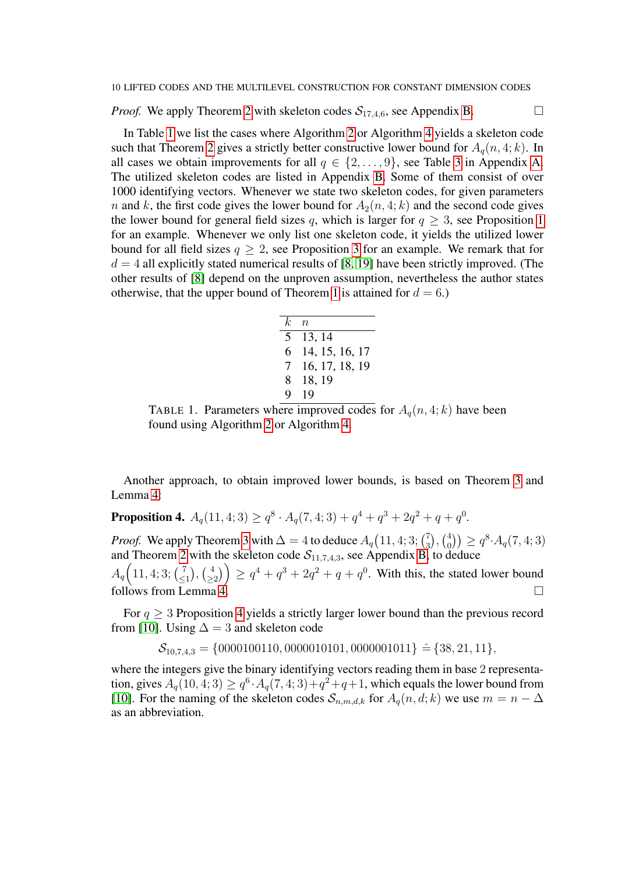*Proof.* We apply Theorem [2](#page-2-3) with skeleton codes  $S_{17,4,6}$ , see Appendix [B.](#page-18-0)

In Table [1](#page-9-0) we list the cases where Algorithm [2](#page-7-1) or Algorithm [4](#page-8-1) yields a skeleton code such that Theorem [2](#page-2-3) gives a strictly better constructive lower bound for  $A_q(n, 4; k)$ . In all cases we obtain improvements for all  $q \in \{2, \ldots, 9\}$ , see Table [3](#page-13-1) in Appendix [A.](#page-13-0) The utilized skeleton codes are listed in Appendix [B.](#page-18-0) Some of them consist of over 1000 identifying vectors. Whenever we state two skeleton codes, for given parameters n and k, the first code gives the lower bound for  $A_2(n, 4; k)$  and the second code gives the lower bound for general field sizes q, which is larger for  $q \geq 3$ , see Proposition [1](#page-5-3) for an example. Whenever we only list one skeleton code, it yields the utilized lower bound for all field sizes  $q \geq 2$ , see Proposition [3](#page-8-2) for an example. We remark that for  $d = 4$  all explicitly stated numerical results of [\[8,](#page-12-14) [19\]](#page-12-16) have been strictly improved. (The other results of [\[8\]](#page-12-14) depend on the unproven assumption, nevertheless the author states otherwise, that the upper bound of Theorem [1](#page-2-2) is attained for  $d = 6$ .)

| k. | $\eta$         |
|----|----------------|
| 5  | 13, 14         |
| 6  | 14, 15, 16, 17 |
| 7  | 16, 17, 18, 19 |
| 8  | 18, 19         |
| Q  | 19             |

<span id="page-9-0"></span>TABLE 1. Parameters where improved codes for  $A_q(n, 4; k)$  have been found using Algorithm [2](#page-7-1) or Algorithm [4.](#page-8-1)

Another approach, to obtain improved lower bounds, is based on Theorem [3](#page-3-0) and Lemma [4:](#page-4-0)

<span id="page-9-1"></span>**Proposition 4.**  $A_q(11, 4; 3) \ge q^8 \cdot A_q(7, 4; 3) + q^4 + q^3 + 2q^2 + q + q^0$ .

*Proof.* We apply Theorem [3](#page-3-0) with  $\Delta = 4$  to deduce  $A_q(11, 4; 3; {7 \choose 3})$  $\binom{7}{3}$ ,  $\binom{4}{0}$  ${4 \choose 0} \geq q^8 \cdot A_q(7, 4; 3)$ and Theorem [2](#page-2-3) with the skeleton code  $S_{11,7,4,3}$ , see Appendix [B,](#page-18-0) to deduce  $A_q(11,4;3;(\frac{7}{<})$ 

 $\begin{pmatrix} 7 \\ \leq 1 \end{pmatrix}, \begin{pmatrix} 4 \\ \geq 1 \end{pmatrix}$  $\left(\frac{4}{22}\right)$   $\geq$   $q^4 + q^3 + 2q^2 + q + q^0$ . With this, the stated lower bound follows from Lemma [4.](#page-4-0)

For  $q > 3$  Proposition [4](#page-9-1) yields a strictly larger lower bound than the previous record from [\[10\]](#page-12-17). Using  $\Delta = 3$  and skeleton code

 $\mathcal{S}_{10,7,4,3} = \{0000100110, 0000010101, 0000001011\} \approx \{38, 21, 11\},\$ 

where the integers give the binary identifying vectors reading them in base 2 representation, gives  $A_q(10,4;3) \ge q^6 \cdot A_q(7,4;3) + q^2 + q + 1$ , which equals the lower bound from [\[10\]](#page-12-17). For the naming of the skeleton codes  $S_{n,m,d,k}$  for  $A_q(n,d;k)$  we use  $m = n - \Delta$ as an abbreviation.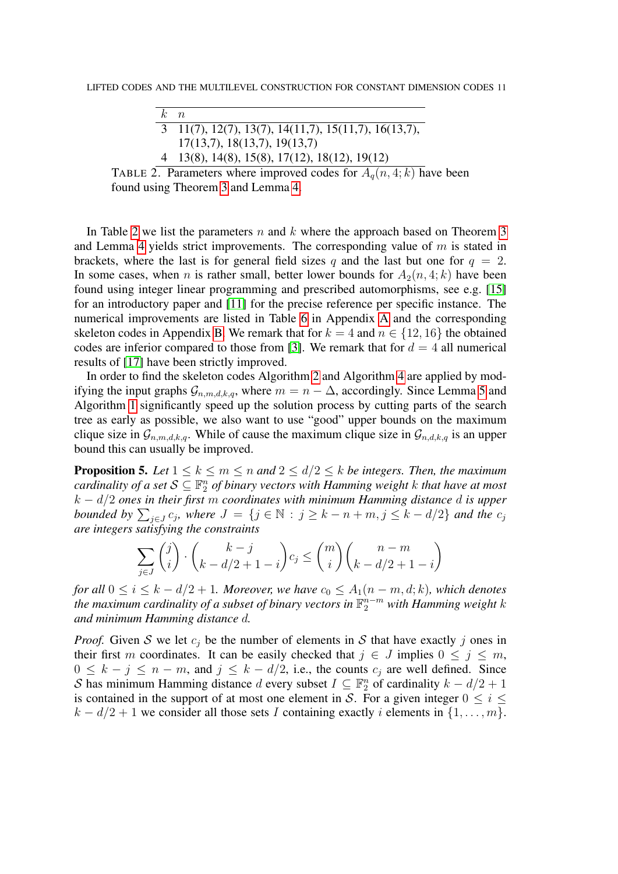| $k\,n$                                                      |
|-------------------------------------------------------------|
| $3\quad 11(7), 12(7), 13(7), 14(11,7), 15(11,7), 16(13,7),$ |
| 17(13,7), 18(13,7), 19(13,7)                                |
| 4 13(8), 14(8), 15(8), 17(12), 18(12), 19(12)               |

<span id="page-10-0"></span>TABLE 2. Parameters where improved codes for  $A_q(n, 4; k)$  have been found using Theorem [3](#page-3-0) and Lemma [4.](#page-4-0)

In Table [2](#page-10-0) we list the parameters  $n$  and  $k$  where the approach based on Theorem [3](#page-3-0) and Lemma [4](#page-4-0) yields strict improvements. The corresponding value of  $m$  is stated in brackets, where the last is for general field sizes q and the last but one for  $q = 2$ . In some cases, when n is rather small, better lower bounds for  $A_2(n, 4; k)$  have been found using integer linear programming and prescribed automorphisms, see e.g. [\[15\]](#page-12-18) for an introductory paper and [\[11\]](#page-12-1) for the precise reference per specific instance. The numerical improvements are listed in Table [6](#page-16-0) in Appendix [A](#page-13-0) and the corresponding skeleton codes in Appendix [B.](#page-18-0) We remark that for  $k = 4$  and  $n \in \{12, 16\}$  the obtained codes are inferior compared to those from [\[3\]](#page-12-9). We remark that for  $d = 4$  all numerical results of [\[17\]](#page-12-12) have been strictly improved.

In order to find the skeleton codes Algorithm [2](#page-7-1) and Algorithm [4](#page-8-1) are applied by modifying the input graphs  $\mathcal{G}_{n,m,d,k,q}$ , where  $m = n - \Delta$ , accordingly. Since Lemma [5](#page-6-0) and Algorithm [1](#page-7-0) significantly speed up the solution process by cutting parts of the search tree as early as possible, we also want to use "good" upper bounds on the maximum clique size in  $\mathcal{G}_{n,m,d,k,q}$ . While of cause the maximum clique size in  $\mathcal{G}_{n,d,k,q}$  is an upper bound this can usually be improved.

<span id="page-10-1"></span>**Proposition 5.** Let  $1 \leq k \leq m \leq n$  and  $2 \leq d/2 \leq k$  be integers. Then, the maximum  $cardinality of a set$   $\mathcal{S} \subseteq \mathbb{F}_2^n$  of binary vectors with Hamming weight  $k$  that have at most k − d/2 *ones in their first* m *coordinates with minimum Hamming distance* d *is upper bounded by*  $\sum_{j\in J} c_j$ , where  $J = \{j \in \mathbb{N} : j \ge k - n + m, j \le k - d/2\}$  and the  $c_j$ *are integers satisfying the constraints*

$$
\sum_{j\in J} \binom{j}{i} \cdot \binom{k-j}{k-d/2+1-i} c_j \le \binom{m}{i} \binom{n-m}{k-d/2+1-i}
$$

*for all*  $0 \le i \le k - d/2 + 1$ *. Moreover, we have*  $c_0 \le A_1(n-m, d; k)$ *, which denotes* the maximum cardinality of a subset of binary vectors in  $\mathbb{F}_2^{n-m}$  with Hamming weight  $k$ *and minimum Hamming distance* d*.*

*Proof.* Given S we let  $c_i$  be the number of elements in S that have exactly j ones in their first m coordinates. It can be easily checked that  $j \in J$  implies  $0 \le j \le m$ ,  $0 \leq k - j \leq n - m$ , and  $j \leq k - d/2$ , i.e., the counts  $c_j$  are well defined. Since S has minimum Hamming distance d every subset  $I \subseteq \mathbb{F}_2^n$  of cardinality  $k - d/2 + 1$ is contained in the support of at most one element in S. For a given integer  $0 \le i \le$  $k - d/2 + 1$  we consider all those sets I containing exactly i elements in  $\{1, \ldots, m\}$ .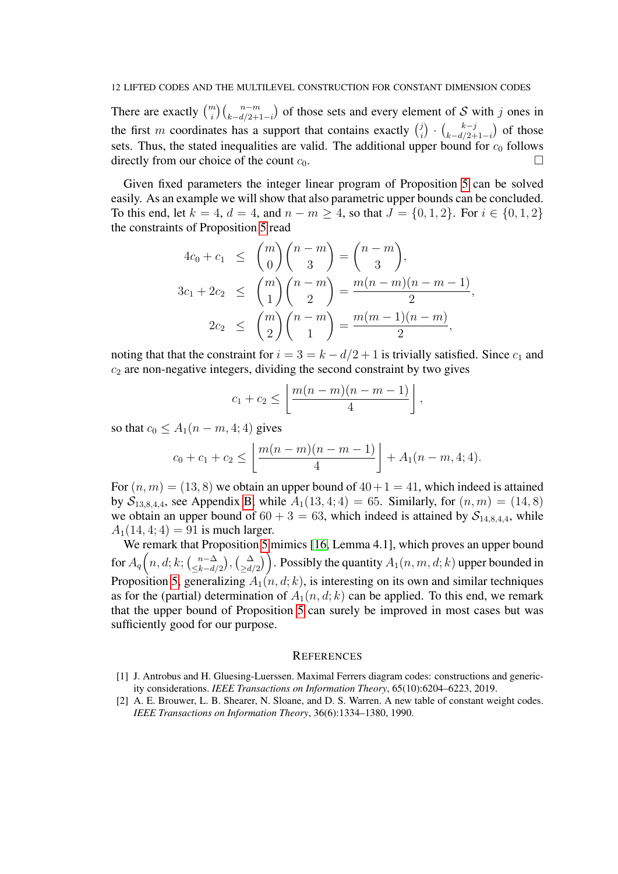There are exactly  $\binom{m}{i}\binom{n-m}{k-d/2+1-i}$  of those sets and every element of S with j ones in the first m coordinates has a support that contains exactly  $\binom{j}{i}$  $\binom{j}{i} \cdot \binom{k-j}{k-d/2+1}$  $\frac{k-j}{(k-d/2+1-i)}$  of those sets. Thus, the stated inequalities are valid. The additional upper bound for  $c_0$  follows directly from our choice of the count  $c_0$ .

Given fixed parameters the integer linear program of Proposition [5](#page-10-1) can be solved easily. As an example we will show that also parametric upper bounds can be concluded. To this end, let  $k = 4$ ,  $d = 4$ , and  $n - m \ge 4$ , so that  $J = \{0, 1, 2\}$ . For  $i \in \{0, 1, 2\}$ the constraints of Proposition [5](#page-10-1) read

$$
4c_0 + c_1 \leq {m \choose 0} {n-m \choose 3} = {n-m \choose 3},
$$
  
\n
$$
3c_1 + 2c_2 \leq {m \choose 1} {n-m \choose 2} = \frac{m(n-m)(n-m-1)}{2},
$$
  
\n
$$
2c_2 \leq {m \choose 2} {n-m \choose 1} = \frac{m(m-1)(n-m)}{2},
$$

noting that that the constraint for  $i = 3 = k - d/2 + 1$  is trivially satisfied. Since  $c_1$  and  $c<sub>2</sub>$  are non-negative integers, dividing the second constraint by two gives

$$
c_1+c_2\leq \left\lfloor \frac{m(n-m)(n-m-1)}{4} \right\rfloor,
$$

so that  $c_0 \leq A_1(n-m, 4; 4)$  gives

$$
c_0 + c_1 + c_2 \leq \left\lfloor \frac{m(n-m)(n-m-1)}{4} \right\rfloor + A_1(n-m, 4; 4).
$$

For  $(n, m) = (13, 8)$  we obtain an upper bound of  $40 + 1 = 41$ , which indeed is attained by  $S_{13,8,4,4}$ , see Appendix [B,](#page-18-0) while  $A_1(13, 4; 4) = 65$ . Similarly, for  $(n, m) = (14, 8)$ we obtain an upper bound of  $60 + 3 = 63$ , which indeed is attained by  $S_{14,8,4,4}$ , while  $A_1(14, 4; 4) = 91$  is much larger.

We remark that Proposition [5](#page-10-1) mimics [\[16,](#page-12-11) Lemma 4.1], which proves an upper bound for  $A_q(n,d;k;$   $\binom{n-\Delta}{\leq k-d}$  $\binom{n-\Delta}{\leq k-d/2}$ ,  $\binom{\Delta}{\geq d/2}$ . Possibly the quantity  $A_1(n, m, d; k)$  upper bounded in Proposition [5,](#page-10-1) generalizing  $A_1(n, d; k)$ , is interesting on its own and similar techniques as for the (partial) determination of  $A_1(n, d; k)$  can be applied. To this end, we remark that the upper bound of Proposition [5](#page-10-1) can surely be improved in most cases but was sufficiently good for our purpose.

## **REFERENCES**

- <span id="page-11-0"></span>[1] J. Antrobus and H. Gluesing-Luerssen. Maximal Ferrers diagram codes: constructions and genericity considerations. *IEEE Transactions on Information Theory*, 65(10):6204–6223, 2019.
- <span id="page-11-1"></span>[2] A. E. Brouwer, L. B. Shearer, N. Sloane, and D. S. Warren. A new table of constant weight codes. *IEEE Transactions on Information Theory*, 36(6):1334–1380, 1990.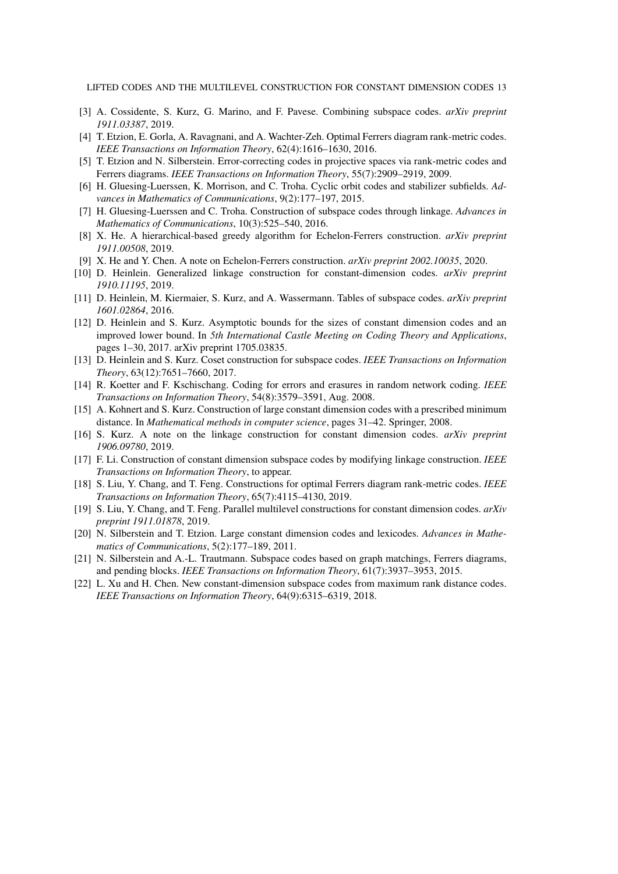- <span id="page-12-9"></span>[3] A. Cossidente, S. Kurz, G. Marino, and F. Pavese. Combining subspace codes. *arXiv preprint 1911.03387*, 2019.
- <span id="page-12-19"></span>[4] T. Etzion, E. Gorla, A. Ravagnani, and A. Wachter-Zeh. Optimal Ferrers diagram rank-metric codes. *IEEE Transactions on Information Theory*, 62(4):1616–1630, 2016.
- <span id="page-12-2"></span>[5] T. Etzion and N. Silberstein. Error-correcting codes in projective spaces via rank-metric codes and Ferrers diagrams. *IEEE Transactions on Information Theory*, 55(7):2909–2919, 2009.
- <span id="page-12-7"></span>[6] H. Gluesing-Luerssen, K. Morrison, and C. Troha. Cyclic orbit codes and stabilizer subfields. *Advances in Mathematics of Communications*, 9(2):177–197, 2015.
- <span id="page-12-8"></span>[7] H. Gluesing-Luerssen and C. Troha. Construction of subspace codes through linkage. *Advances in Mathematics of Communications*, 10(3):525–540, 2016.
- <span id="page-12-14"></span>[8] X. He. A hierarchical-based greedy algorithm for Echelon-Ferrers construction. *arXiv preprint 1911.00508*, 2019.
- <span id="page-12-15"></span>[9] X. He and Y. Chen. A note on Echelon-Ferrers construction. *arXiv preprint 2002.10035*, 2020.
- <span id="page-12-17"></span>[10] D. Heinlein. Generalized linkage construction for constant-dimension codes. *arXiv preprint 1910.11195*, 2019.
- <span id="page-12-1"></span>[11] D. Heinlein, M. Kiermaier, S. Kurz, and A. Wassermann. Tables of subspace codes. *arXiv preprint 1601.02864*, 2016.
- <span id="page-12-6"></span>[12] D. Heinlein and S. Kurz. Asymptotic bounds for the sizes of constant dimension codes and an improved lower bound. In *5th International Castle Meeting on Coding Theory and Applications*, pages 1–30, 2017. arXiv preprint 1705.03835.
- <span id="page-12-13"></span>[13] D. Heinlein and S. Kurz. Coset construction for subspace codes. *IEEE Transactions on Information Theory*, 63(12):7651–7660, 2017.
- <span id="page-12-0"></span>[14] R. Koetter and F. Kschischang. Coding for errors and erasures in random network coding. *IEEE Transactions on Information Theory*, 54(8):3579–3591, Aug. 2008.
- <span id="page-12-18"></span>[15] A. Kohnert and S. Kurz. Construction of large constant dimension codes with a prescribed minimum distance. In *Mathematical methods in computer science*, pages 31–42. Springer, 2008.
- <span id="page-12-11"></span>[16] S. Kurz. A note on the linkage construction for constant dimension codes. *arXiv preprint 1906.09780*, 2019.
- <span id="page-12-12"></span>[17] F. Li. Construction of constant dimension subspace codes by modifying linkage construction. *IEEE Transactions on Information Theory*, to appear.
- <span id="page-12-5"></span>[18] S. Liu, Y. Chang, and T. Feng. Constructions for optimal Ferrers diagram rank-metric codes. *IEEE Transactions on Information Theory*, 65(7):4115–4130, 2019.
- <span id="page-12-16"></span>[19] S. Liu, Y. Chang, and T. Feng. Parallel multilevel constructions for constant dimension codes. *arXiv preprint 1911.01878*, 2019.
- <span id="page-12-3"></span>[20] N. Silberstein and T. Etzion. Large constant dimension codes and lexicodes. *Advances in Mathematics of Communications*, 5(2):177–189, 2011.
- <span id="page-12-4"></span>[21] N. Silberstein and A.-L. Trautmann. Subspace codes based on graph matchings, Ferrers diagrams, and pending blocks. *IEEE Transactions on Information Theory*, 61(7):3937–3953, 2015.
- <span id="page-12-10"></span>[22] L. Xu and H. Chen. New constant-dimension subspace codes from maximum rank distance codes. *IEEE Transactions on Information Theory*, 64(9):6315–6319, 2018.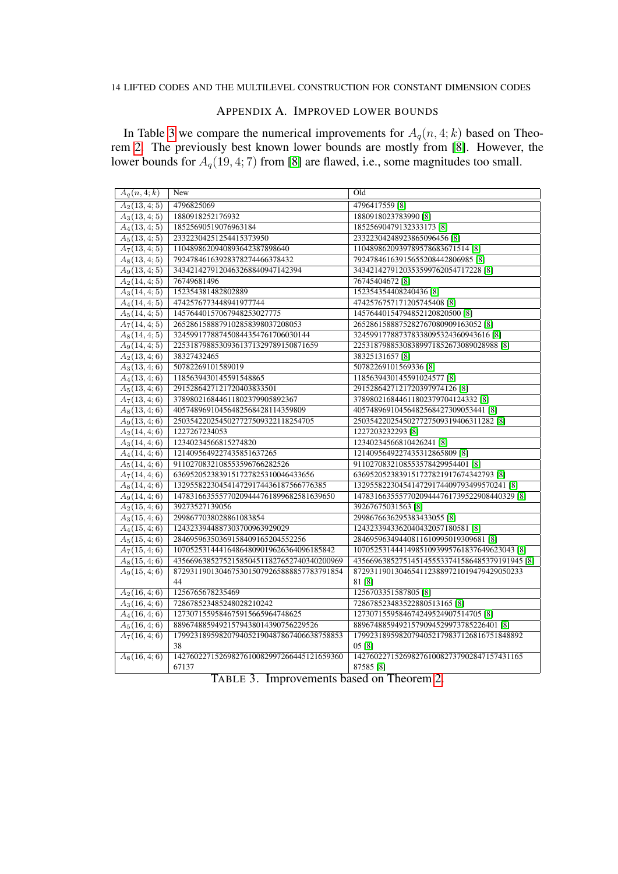## APPENDIX A. IMPROVED LOWER BOUNDS

<span id="page-13-0"></span>In Table [3](#page-13-1) we compare the numerical improvements for  $A_q(n, 4; k)$  based on Theorem [2.](#page-2-3) The previously best known lower bounds are mostly from [\[8\]](#page-12-14). However, the lower bounds for  $A_q(19, 4; 7)$  from [\[8\]](#page-12-14) are flawed, i.e., some magnitudes too small.

| $A_q(n,4;k)$             | <b>New</b>                                | Old                                           |
|--------------------------|-------------------------------------------|-----------------------------------------------|
| $A_2(13, 4; 5)$          | 4796825069                                | 4796417559 [8]                                |
| $A_3(13,4;5)$            | 1880918252176932                          | 1880918023783990 [8]                          |
| $A_4(13,4;5)$            | 18525690519076963184                      | 18525690479132333173 [8]                      |
| $A_5(13, 4; 5)$          | 23322304251254415373950                   | 23322304248923865096456 [8]                   |
| $A_7(13, 4; 5)$          | 1104898620940893642387898640              | 1104898620939789578683671514 [8]              |
| $A_8(13, 4; 5)$          | 79247846163928378274466378432             | 79247846163915655208442806985 [8]             |
| $\overline{A_9(13,4;5)}$ | 3434214279120463268840947142394           | 3434214279120353599762054717228 [8]           |
| $A_2(14, 4; 5)$          | 76749681496                               | 76745404672 [8]                               |
| $A_3(14, 4; 5)$          | 152354381482802889                        | 152354354408240436 [8]                        |
| $A_4(14, 4; 5)$          | 4742576773448941977744                    | 4742576757171205745408 [8]                    |
| $A_5(14, 4; 5)$          | 14576440157067948253027775                | 14576440154794852120820500 [8]                |
| $A_7(14, 4; 5)$          | 2652861588879102858398037208053           | 2652861588875282767080909163052 [8]           |
| $A_8(14, 4; 5)$          | 324599177887450844354761706030144         | 324599177887378338095324360943616 [8]         |
| $A_9(14, 4; 5)$          | 22531879885309361371329789150871659       | 22531879885308389971852673089028988 [8]       |
| $A_2(13, 4; 6)$          | 38327432465                               | 38325131657 [8]                               |
| $A_3(13,4;6)$            | 50782269101589019                         | 50782269101569336 [8]                         |
| $A_4(13,4;6)$            | 1185639430145591548865                    | 1185639430145591024577 [8]                    |
| $A_5(13, 4; 6)$          | 2915286427121720403833501                 | 2915286427121720397974126 [8]                 |
| $A_7(13, 4; 6)$          | 378980216844611802379905892367            | 378980216844611802379704124332 [8]            |
| $A_8(13, 4; 6)$          | 40574896910456482568428114359809          | 40574896910456482568427309053441 [8]          |
| $A_9(13, 4; 6)$          | 2503542202545027727509322118254705        | 2503542202545027727509319406311282 [8]        |
| $A_2(14, 4; 6)$          | 1227267234053                             | 1227203232293 [8]                             |
| $A_3(14,4;6)$            | 12340234566815274820                      | 12340234566810426241 [8]                      |
| $\overline{A_4(14,4;6)}$ | 1214095649227435851637265                 | 1214095649227435312865809 [8]                 |
| $\overline{A_5}(14,4;6)$ | 9110270832108553596766282526              | 9110270832108553578429954401 [8]              |
| $A_7(14, 4; 6)$          | 6369520523839151727825310046433656        | 6369520523839151727821917674342793 [8]        |
| $A_8(14, 4; 6)$          | 1329558223045414729174436187566776385     | 1329558223045414729174409793499570241 [8]     |
| $A_9(14, 4; 6)$          | 147831663555770209444761899682581639650   | 147831663555770209444761739522908440329 [8]   |
| $A_2(15,4;6)$            | 39273527139056                            | 39267675031563 [8]                            |
| $A_3(15,4;6)$            | 2998677038028861083854                    | 2998676636295383433055 [8]                    |
| $A_4(15,4;6)$            | 1243233944887303700963929029              | 1243233943362040432057180581 [8]              |
| $A_5(15, 4; 6)$          | 28469596350369158409165204552256          | 28469596349440811610995019309681 [8]          |
| $A_7(15, 4; 6)$          | 107052531444164864809019626364096185842   | 107052531444149851093995761837649623043 [8]   |
| $A_8(15,4;6)$            | 43566963852752158504511827652740340200969 | 43566963852751451455533741586485379191945 [8] |
| $A_9(15,4;6)$            | 87293119013046753015079265888857783791854 | 87293119013046541123889721019479429050233     |
|                          | 44                                        | 81 [8]                                        |
| $A_2(16, 4; 6)$          | 1256765678235469                          | 1256703351587805 [8]                          |
| $A_3(16, 4; 6)$          | 728678523485248028210242                  | 728678523483522880513165 [8]                  |
| $\overline{A_4(16,4;6)}$ | 1273071559584675915665964748625           | 1273071559584674249524907514705 [8]           |
| $A_5(16, 4; 6)$          | 88967488594921579438014390756229526       | 88967488594921579094529973785226401 [8]       |
| $A_7(16, 4; 6)$          | 17992318959820794052190487867406638758853 | 17992318959820794052179837126816751848892     |
|                          | 38                                        | 05 [8]                                        |
| $A_8(16, 4; 6)$          | 14276022715269827610082997266445121659360 | 14276022715269827610082737902847157431165     |
|                          | 67137                                     | 87585 [8]                                     |

<span id="page-13-1"></span>TABLE 3. Improvements based on Theorem [2.](#page-2-3)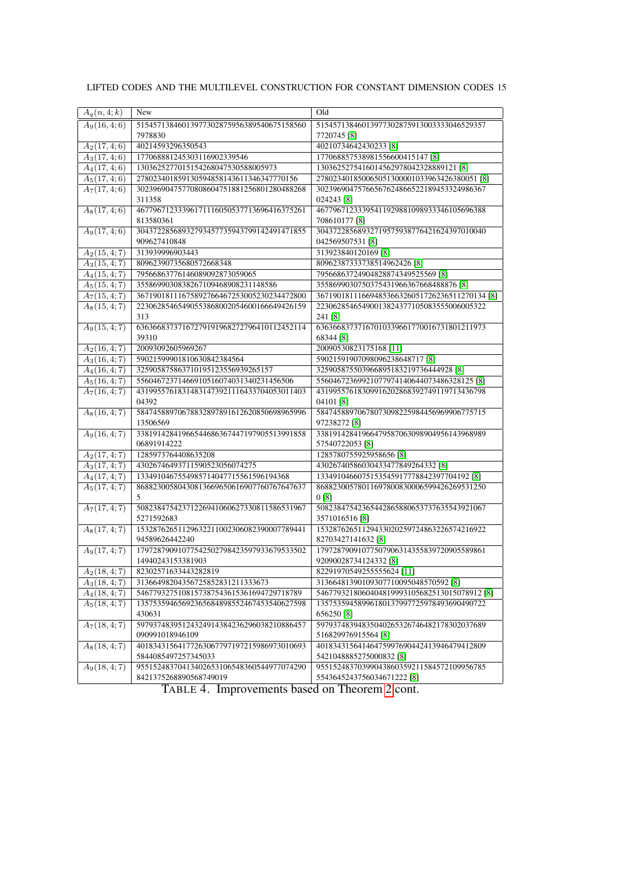| $A_q(n,4;k)$             | New                                       | Old                                           |
|--------------------------|-------------------------------------------|-----------------------------------------------|
| $A_9(16, 4; 6)$          | 51545713846013977302875956389540675158560 | 51545713846013977302875913003333046529357     |
|                          | 7978830                                   | 7720745 [8]                                   |
| $A_2(17, 4; 6)$          | 40214593296350543                         | 40210734642430233 [8]                         |
| $A_3(17, 4; 6)$          | 177068881245303116902339546               | 177068857538981556600415147 [8]               |
| $A_4(17, 4; 6)$          | 1303625277015154268047530588005973        | 1303625275416014562978042328889121 [8]        |
| $A_5(17, 4; 6)$          | 278023401859130594858143611346347770156   | 278023401850065051300001033963426380051 [8]   |
| $A_7(17, 4; 6)$          | 30239690475770808604751881256801280488268 | 30239690475766567624866522189453324986367     |
|                          | 311358                                    | 024243 [8]                                    |
| $A_8(17, 4; 6)$          | 46779671233396171116050537713696416375261 | 46779671233395411929881098933346105696388     |
|                          | 813580361                                 | 708610177 [8]                                 |
| $A_9(17, 4; 6)$          | 30437228568932793457735943799142491471855 | 30437228568932719575938776421624397010040     |
|                          | 909627410848                              | 042569507531 [8]                              |
| $A_2(15,4;7)$            | 313939996903443                           | 313923840120169 [8]                           |
| $A_3(15,4;7)$            | 80962390735680572668348                   | 80962387333738514962426 [8]                   |
| $A_4(15,4;7)$            | 79566863776146089092873059065             | 79566863724904828874349525569 [8]             |
| $\overline{A_5(15,4;7)}$ | 3558699030838267109468908231148586        | 3558699030750375431966367668488876 [8]        |
| $A_7(15, 4; 7)$          | 36719018111675892766467253005230234472800 | 36719018111669485366326051726236511270134 [8] |
| $\overline{A_8(15,4;7)}$ | 22306285465490553868002054600166649426159 | 22306285465490013824377105083555006005322     |
|                          | 313                                       | 241 [8]                                       |
| $A_9(15, 4; 7)$          | 63636683737167279191968272796410112452114 | 63636683737167010339661770016731801211973     |
|                          | 39310                                     | 68344 [8]                                     |
| $A_2(16, 4; 7)$          | 20093092605969267                         | 20090530823175168 [11]                        |
| $A_3(16, 4; 7)$          | 59021599901810630842384564                | 59021591907098096238648717 [8]                |
| $A_4(16, 4; 7)$          | 325905875863710195123556939265157         | 325905875503966895183219736444928 [8]         |
| $A_5(16,4;7)$            | 55604672371466910516074031340231456506    | 55604672369921077974140644073486328125 [8]    |
| $A_7(16, 4; 7)$          | 43199557618314831473921116433704053011403 | 43199557618309916202868392749119713436798     |
|                          | 04392                                     | 04101 [8]                                     |
| $A_8(16, 4; 7)$          | 58474588970678832897891612620850698965996 | 58474588970678073098225984456969906775715     |
|                          | 13506569                                  | 97238272 [8]                                  |
| $A_9(16, 4; 7)$          | 33819142841966544686367447197905513991858 | 33819142841966479587063098904956143968989     |
|                          | 06891914222                               | 57540722053 [8]                               |
| $A_2(17, 4; 7)$          | 1285973764408635208                       | 1285780755925958656 [8]                       |
| $A_3(17, 4; 7)$          | 43026746493711590523056074275             | 43026740586030433477849264332 [8]             |
| $A_4(17, 4; 7)$          | 1334910467554985714047715561596194368     | 1334910466075153545917778842397704192 [8]     |
| $A_5(17, 4; 7)$          | 86882300580430813669650616907760767647637 | 86882300578011697800830006599426269531250     |
|                          | 5                                         | 0 <sub>[8]</sub>                              |
| $A_7(17, 4; 7)$          | 50823847542371226941060627330811586531967 | 50823847542365442865880653737635543921067     |
|                          | 5271592683                                | 3571016516 [8]                                |
| $A_8(17, 4; 7)$          | 15328762651129632211002306082390007789441 | 15328762651129433020259724863226574216922     |
|                          | 94589626442240                            | 82703427141632 [8]                            |
| $A_9(17, 4; 7)$          | 17972879091077542502798423597933679533502 | 17972879091077507906314355839720905589861     |
|                          | 14940243153381903                         | 92090028734124332 [8]                         |
| $A_2(18, 4; 7)$          | 82302571633443282819                      | 82291970549255555624 [11]                     |
| $\overline{A_3(18,4;7)}$ | 31366498204356725852831211333673          | 31366481390109307710095048570592 [8]          |
| $\overline{A_4(18,4;7)}$ | 5467793275108157387543615361694729718789  | 5467793218060404819993105682513015078912 [8]  |
| $A_5(18, 4; 7)$          | 13575359465692365684898552467453540627598 | 13575359458996180137997725978493690490722     |
|                          | 430631                                    | 656250 [8]                                    |
| $A_7(18, 4; 7)$          | 59793748395124324914384236296038210886457 | 59793748394835040265326746482178302037689     |
|                          | 090991018946109                           | 516829976915564 [8]                           |
| $A_8(18, 4; 7)$          | 40183431564177263067797197215986973010693 | 40183431564146475997690442413946479412809     |
|                          | 5844085497257345033                       | 5421048885275000832 [8]                       |
| $A_9(18, 4; 7)$          | 95515248370413402653106548360544977074290 | 95515248370399043860359211584572109956785     |
|                          | 8421375268890568749019                    | 5543645243756034671222 [8]                    |

TABLE 4. Improvements based on Theorem [2](#page-2-3) cont.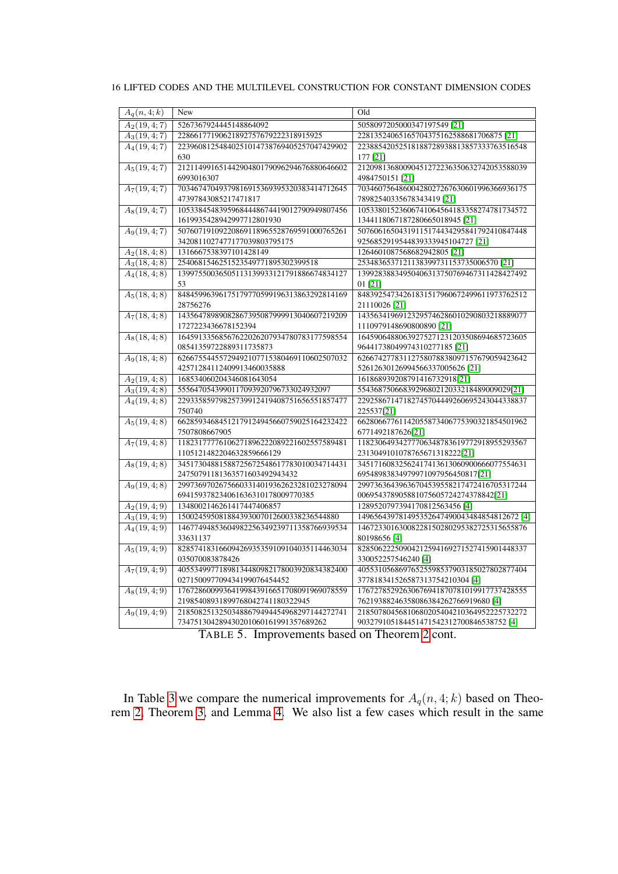| $A_q(n,4;k)$             | <b>New</b>                                                               | Old                                                                          |
|--------------------------|--------------------------------------------------------------------------|------------------------------------------------------------------------------|
| $A_2(19, 4; 7)$          | 5267367924445148864092                                                   | 5058097205000347197549 [21]                                                  |
| $A_3(19,4;7)$            | 22866177190621892757679222318915925                                      | 22813524065165704375162588681706875 [21]                                     |
| $A_4(19,4;7)$            | 22396081254840251014738769405257047429902                                | 22388542052518188728938813857333763516548                                    |
|                          | 630                                                                      | 177 [21]                                                                     |
| $A_5(19,4;7)$            | 21211499165144290480179096294676880646602                                | 21209813680090451272236350632742053588039                                    |
|                          | 6993016307                                                               | 4984750151 [21]                                                              |
| $A_7(19, 4; 7)$          | 70346747049379816915369395320383414712645                                | 70346075648600428027267630601996366936175                                    |
|                          | 47397843085217471817                                                     | 78982540335678343419 [21]                                                    |
| $A_8(19, 4; 7)$          | 10533845483959684448674419012790949807456                                | 10533801523606741064564183358274781734572                                    |
|                          | 1619935428942997712801930                                                | 1344118067187280665018945 [21]                                               |
| $A_9(19, 4; 7)$          | 50760719109220869118965528769591000765261                                | 50760616504319115174434295841792410847448                                    |
|                          | 3420811027477177039803795175                                             | 9256852919544839333945104727 [21]                                            |
| $A_2(18, 4; 8)$          | 1316667538397101428149                                                   | 1264601087568682942805 [21]                                                  |
| $A_3(18, 4; 8)$          | 2540681546251523549771895302399518                                       | 2534836537121138399731153735006570 [21]                                      |
| $A_4(18, 4; 8)$          | 13997550036505113139933121791886674834127                                | 13992838834950406313750769467311428427492                                    |
|                          | 53                                                                       | 01 [21]                                                                      |
| $A_5(18, 4; 8)$          | 84845996396175179770599196313863292814169                                | 84839254734261831517960672499611973762512                                    |
|                          | 28756276                                                                 | 21110026 [21]                                                                |
| $A_7(18, 4; 8)$          | 14356478989082867395087999913040607219209                                | 14356341969123295746286010290803218889077                                    |
|                          | 1727223436678152394                                                      | 1110979148690800890 [21]                                                     |
| $A_8(18, 4; 8)$          | 16459133568567622026207934780783177598554                                | 16459064880639275271231203508694685723605                                    |
|                          | 08541359722889311735873                                                  | 96441738049974310277185 [21]                                                 |
| $A_9(18, 4; 8)$          | 62667554455729492107715380469110602507032                                | 62667427783112758078838097157679059423642                                    |
|                          | 42571284112409913460035888                                               | 52612630126994566337005626 [21]                                              |
| $A_2(19,4;8)$            | 168534060204346081643054                                                 | 161868939208791416732918[21]                                                 |
| $A_3(19,4;8)$            | 5556470543990117093920796733024932097                                    | 5543687506683929680212033218489009029[21]                                    |
| $A_4(19, 4; 8)$          | 22933585979825739912419408751656551857477                                | 22925867147182745704449260695243044338837                                    |
|                          | 750740                                                                   | 225537[21]                                                                   |
| $A_5(19,4;8)$            | 66285934684512179124945660759025164232422                                | 66280667761142055873406775390321854501962                                    |
|                          | 7507808667905                                                            | 6771492187626[21]                                                            |
| $A_7(19, 4; 8)$          | 11823177776106271896222089221602557589481                                | 11823064934277706348783619772918955293567                                    |
|                          | 1105121482204632859666129                                                | 2313049101078765671318222[21]                                                |
| $A_8(19, 4; 8)$          | 34517304881588725672548617783010034714431                                | 34517160832562417413613060900666077554631                                    |
|                          | 24750791181363571603492943432                                            | 69548983834979971097956450817[21]                                            |
| $A_9(19, 4; 8)$          | 29973697026756603314019362623281023278094                                | 29973636439636704539558217472416705317244                                    |
|                          | 694159378234061636310178009770385                                        | 006954378905881075605724274378842[21]                                        |
| $A_2(19,4;9)$            | 1348002146261417447406857                                                | 1289520797394170812563456 [4]                                                |
| $A_3(19,4;9)$            | 150024595081884393007012600338236544880                                  | 149656439781495352647490043484854812672 [4]                                  |
| $A_4(19, 4; 9)$          | 14677494853604982256349239711358766939534<br>33631137                    | 14672330163008228150280295382725315655876                                    |
|                          |                                                                          | 80198656 [4]                                                                 |
| $\overline{A_5(19,4;9)}$ | 82857418316609426935359109104035114463034<br>035070083878426             | 82850622250904212594169271527415901448337                                    |
|                          |                                                                          | 330052257546240 [4]<br>40553105686976525598537903185027802877404             |
| $A_7(19,4;9)$            | 40553499771898134480982178003920834382400<br>027150097709434199076454452 |                                                                              |
|                          | 17672860099364199843916651708091969078559                                | 377818341526587313754210304 [4]<br>17672785292630676941870781019917737428555 |
| $A_8(19, 4; 9)$          | 21985408931899768042741180322945                                         | 76219388246358086384262766919680 [4]                                         |
| $A_9(19, 4; 9)$          | 21850825132503488679494454968297144272741                                | 21850780456810680205404210364952225732272                                    |
|                          | 734751304289430201060161991357689262                                     | 903279105184451471542312700846538752 [4]                                     |
|                          |                                                                          |                                                                              |

TABLE 5. Improvements based on Theorem [2](#page-2-3) cont.

In Table [3](#page-13-1) we compare the numerical improvements for  $A_q(n, 4; k)$  based on Theorem [2,](#page-2-3) Theorem [3,](#page-3-0) and Lemma [4.](#page-4-0) We also list a few cases which result in the same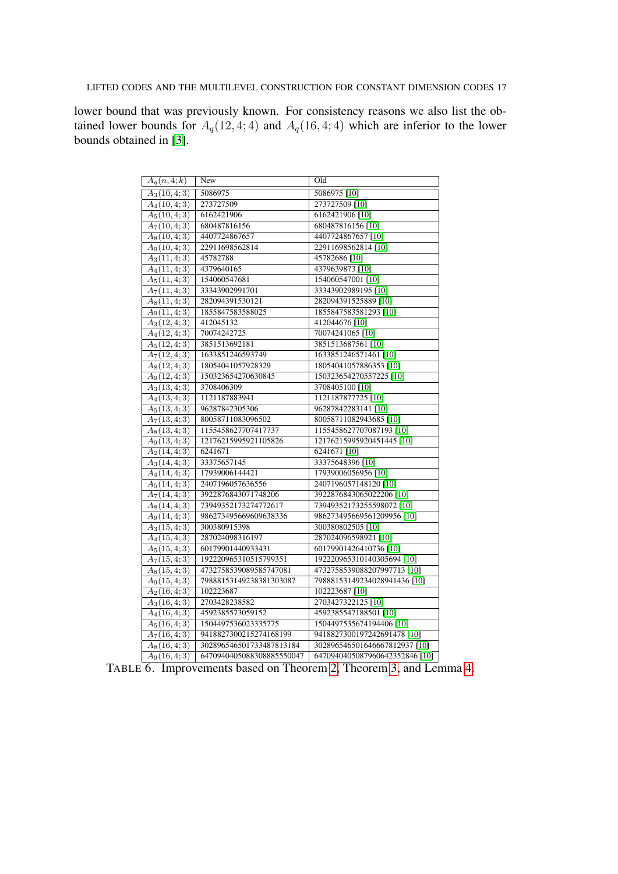lower bound that was previously known. For consistency reasons we also list the obtained lower bounds for  $A_q(12, 4; 4)$  and  $A_q(16, 4; 4)$  which are inferior to the lower bounds obtained in [\[3\]](#page-12-9).

| $A_q(n,4;k)$             | New                       | Old                            |
|--------------------------|---------------------------|--------------------------------|
| $A_3(10,4;3)$            | 5086975                   | 5086975 [10]                   |
| $A_4(10,4;3)$            | 273727509                 | 273727509 [10]                 |
| $\overline{A_5}(10,4;3)$ | 6162421906                | 6162421906 [10]                |
| $A_7(10,4;3)$            | 680487816156              | 680487816156 [10]              |
| $A_8(10, 4; 3)$          | 4407724867657             | 4407724867657 [10]             |
| $A_9(10, 4; 3)$          | 22911698562814            | 22911698562814 [10]            |
| $A_3(11,4;3)$            | 45782788                  | 45782686 [10]                  |
| $A_4(11,4;3)$            | 4379640165                | 4379639873 [10]                |
| $A_5(11,4;3)$            | 154060547681              | 154060547001 [10]              |
| $A_7(11,4;3)$            | 33343902991701            | 33343902989195 [10]            |
| $A_8(11,4;3)$            | 282094391530121           | 282094391525889 [10]           |
| $A_9(11,4;3)$            | 1855847583588025          | 1855847583581293 [10]          |
| $A_3(12,4;3)$            | 412045132                 | 412044676 [10]                 |
| $A_4(12,4;3)$            | 70074242725               | 70074241065 [10]               |
| $A_5(12,4;3)$            | 3851513692181             | 3851513687561 [10]             |
| $A_7(12,4;3)$            | 1633851246593749          | 1633851246571461 [10]          |
| $A_8(12,4;3)$            | 18054041057928329         | 18054041057886353 [10]         |
| $A_9(12,4;3)$            | 150323654270630845        | 150323654270557225 [10]        |
| $A_3(13,4;3)$            | 3708406309                | 3708405100 [10]                |
| $A_4(13, 4; 3)$          | 1121187883941             | 1121187877725 [10]             |
| $A_5(13,4;3)$            | 96287842305306            | 96287842283141 [10]            |
| $\overline{A_7}(13,4;3)$ | 80058711083096502         | 80058711082943685 [10]         |
| $A_8(13, 4; 3)$          | 1155458627707417737       | 1155458627707087193 [10]       |
| $A_9(13, 4; 3)$          | 12176215995921105826      | 12176215995920451445 [10]      |
| $A_2(14,4;3)$            | 6241671                   | 6241671 [10]                   |
| $A_3(14,4;3)$            | 33375657145               | 33375648396 [10]               |
| $A_4(14, 4; 3)$          | 17939006144421            | 17939006056956 [10]            |
| $A_5(14,4;3)$            | 2407196057636556          | 2407196057148120 [10]          |
| $A_7(14,4;3)$            | 3922876843071748206       | 3922876843065022206 [10]       |
| $A_8(14,4;3)$            | 73949352173274772617      | 73949352173255598072 [10]      |
| $A_9(14, 4; 3)$          | 986273495669609638336     | 986273495669561209956 [10]     |
| $A_3(15,4;3)$            | 300380915398              | 300380802505 [10]              |
| $A_4(15,4;3)$            | 287024098316197           | 287024096598921 [10]           |
| $A_5(15,4;3)$            | 60179901440933431         | 60179901426410736 [10]         |
| $A_7(15,4;3)$            | 192220965310515799351     | 192220965310140305694 [10]     |
| $A_8(15,4;3)$            | 4732758539089585747081    | 4732758539088207997713 [10]    |
| $A_9(15,4;3)$            | 79888153149238381303087   | 79888153149234028941436 [10]   |
| $A_2(16,4;3)$            | 102223687                 | 102223687 [10]                 |
| $\overline{A_3}(16,4;3)$ | 2703428238582             | 2703427322125 [10]             |
| $A_4(16, 4; 3)$          | 4592385573059152          | 4592385547188501 [10]          |
| $A_5(16,4;3)$            | 1504497536023335775       | 1504497535674194406 [10]       |
| $\overline{A_7}(16,4;3)$ | 9418827300215274168199    | 9418827300197242691478 [10]    |
| $A_8(16, 4; 3)$          | 302896546501733487813184  | 302896546501646667812937 [10]  |
| $A_9(16, 4; 3)$          | 6470940405088308885550047 | 6470940405087960642352846 [10] |

<span id="page-16-0"></span>TABLE 6. Improvements based on Theorem [2,](#page-2-3) Theorem [3,](#page-3-0) and Lemma [4.](#page-4-0)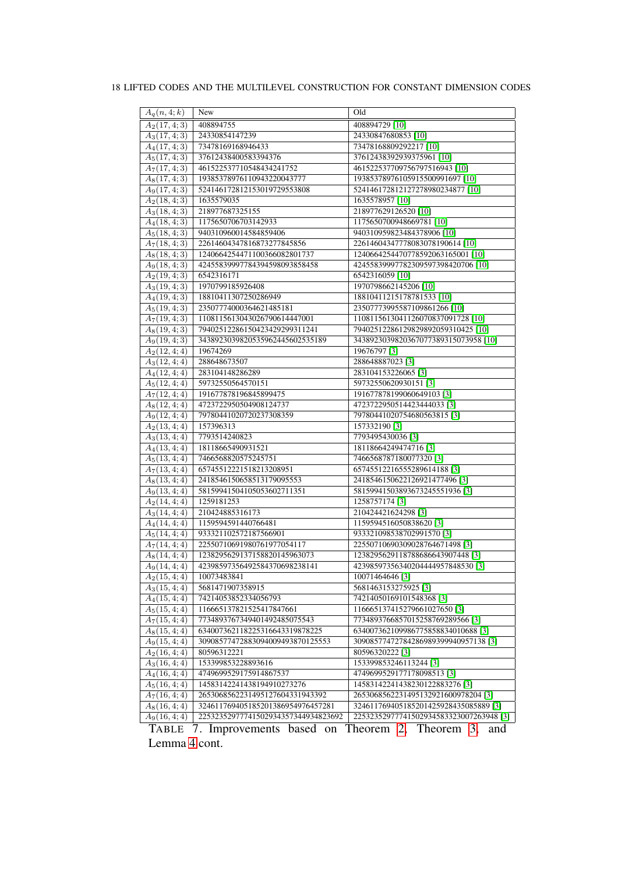| 18 LIFTED CODES AND THE MULTILEVEL CONSTRUCTION FOR CONSTANT DIMENSION CODES |  |  |
|------------------------------------------------------------------------------|--|--|
|------------------------------------------------------------------------------|--|--|

| $A_q(n,4;k)$                                | New                                 | Old                                              |
|---------------------------------------------|-------------------------------------|--------------------------------------------------|
| $A_2(17,4;3)$                               | 408894755                           | 408894729 [10]                                   |
| $A_3(17, 4; 3)$                             | 24330854147239                      | 24330847680853 [10]                              |
| $A_4(17, 4; 3)$                             | 73478169168946433                   | 73478168809292217 [10]                           |
| $A_5(17, 4; 3)$                             | 37612438400583394376                | 37612438392939375961 [10]                        |
| $A_7(17, 4; 3)$                             | 461522537710548434241752            | 461522537709756797516943 [10]                    |
| $A_8(17, 4; 3)$                             | 19385378976110943220043777          | 19385378976105915500991697 [10]                  |
|                                             | 524146172812153019729553808         | 524146172812127278980234877 [10]                 |
| $A_9(17, 4; 3)$<br>$\overline{A}_2(18,4;3)$ | 1635579035                          | 1635578957 [10]                                  |
|                                             | 218977687325155                     |                                                  |
| $\overline{A_3}(18,4;3)$                    |                                     | 218977629126520 [10]<br>1175650700948669781 [10] |
| $A_4(18, 4; 3)$                             | 1175650706703142933                 |                                                  |
| $A_5(18, 4; 3)$                             | 940310960014584859406               | 940310959823484378906 [10]                       |
| $A_7(18, 4; 3)$                             | 22614604347816873277845856          | 22614604347778083078190614 [10]                  |
| $A_8(18, 4; 3)$                             | 1240664254471100366082801737        | 1240664254470778592063165001 [10]                |
| $A_9(18, 4; 3)$                             | 42455839997784394598093858458       | 42455839997782309597398420706 [10]               |
| $A_2(19,4;3)$                               | 6542316171                          | 6542316059 [10]                                  |
| $A_3(19,4;3)$                               | 1970799185926408                    | 1970798662145206 [10]                            |
| $A_4(19,4;3)$                               | 18810411307250286949                | 18810411215178781533 [10]                        |
| $A_5(19,4;3)$                               | 23507774000364621485181             | 23507773995587109861266 [10]                     |
| $A_7(19,4;3)$                               | 1108115613043026790614447001        | 1108115613041126070837091728 [10]                |
| $\overline{A_8}(19,4;3)$                    | 79402512286150423429299311241       | 79402512286129829892059310425 [10]               |
| $A_9(19,4;3)$                               | 3438923039820535962445602535189     | 3438923039820367077389315073958 [10]             |
| $A_2(12, 4; 4)$                             | 19674269                            | 19676797 [3]                                     |
| $A_3(12,4;4)$                               | 288648673507                        | 288648887023 [3]                                 |
| $A_4(12, 4; 4)$                             | 283104148286289                     | 283104153226065 [3]                              |
| $A_5(12, 4; 4)$                             | 59732550564570151                   | 59732550620930151 [3]                            |
| $A_7(12, 4; 4)$                             | 191677878196845899475               | 191677878199060649103 [3]                        |
| $A_8(12, 4; 4)$                             | 4723722950504908124737              | 4723722950514423444033 [3]                       |
| $A_9(12, 4; 4)$                             | 79780441020720237308359             | 79780441020754680563815 [3]                      |
| $A_2(13,4;4)$                               | 157396313                           | 157332190 [3]                                    |
| $A_3(13, 4; 4)$                             | 7793514240823                       | 7793495430036 [3]                                |
| $A_4(13, 4; 4)$                             | 18118665490931521                   | 18118664249474716 [3]                            |
| $A_5(13,4;4)$                               | 7466568820575245751                 | 7466568787180077320 [3]                          |
| $A_7(13, 4; 4)$                             | 65745512221518213208951             | 65745512216555289614188 [3]                      |
| $A_8(13, 4; 4)$                             | 2418546150658513179095553           | 2418546150622126921477496 [3]                    |
| $A_9(13, 4; 4)$                             | 58159941504105053602711351          | 58159941503893673245551936 [3]                   |
| $A_2(14, 4; 4)$                             | 1259181253                          | 1258757174 [3]                                   |
| $A_3(14, 4; 4)$                             | 210424885316173                     | 210424421624298 [3]                              |
| $A_4(14, 4; 4)$                             | 1159594591440766481                 | 1159594516050838620 [3]                          |
| $A_5(14, 4; 4)$                             | 933321102572187566901               | 933321098538702991570 [3]                        |
| $A_7(14,4;4)$                               | 22550710691980761977054117          | 22550710690309028764671498 [3]                   |
| $A_8(14, 4; 4)$                             | 1238295629137158820145963073        | 1238295629118788686643907448 [3]                 |
| $A_9(14, 4; 4)$                             | 42398597356492584370698238141       | 42398597356340204444957848530 [3]                |
| $A_2(15, 4; 4)$                             | 10073483841                         | 10071464646 [3]                                  |
| $A_3(15,4;4)$                               | 5681471907358915                    | 5681463153275925 [3]                             |
| $A_4(15,4;4)$                               | 74214053852334056793                | 74214050169101548368 [3]                         |
| $A_5(15,4;4)$                               | 116665137821525417847661            | 116665137415279661027650 [3]                     |
| $A_7(15,4;4)$                               | 7734893767349401492485075543        | 7734893766857015258769289566 [3]                 |
| $A_8(15,4;4)$                               | 634007362118225316643319878225      | 634007362109986775858834010688 [3]               |
| $A_9(15, 4; 4)$                             | 30908577472883094009493870125553    | 30908577472784286989399940957138 [3]             |
| $A_2(16, 4; 4)$                             | 80596312221                         | 80596320222 [3]                                  |
| $\overline{A_3(16,4;4)}$                    | 153399853228893616                  | 153399853246113244 [3]                           |
| $A_4(16, 4; 4)$                             | 4749699529175914867537              | 4749699529177178098513 [3]                       |
| $A_5(16, 4; 4)$                             | 14583142241438194910273276          | 14583142241438230122883276 [3]                   |
| $A_7(16, 4; 4)$                             | 2653068562231495127604331943392     | 2653068562231495132921600978204 [3]              |
| $A_8(16, 4; 4)$                             | 324611769405185201386954976457281   | 324611769405185201425928435085889 [3]            |
|                                             | 22532352977741502934357344934823692 | 22532352977741502934583323007263948 [3]          |
| $A_9(16, 4; 4)$<br>T A D I E                | Improvements hased on               | Theorem 3<br>Theorem<br>$\gamma$<br>and          |

TABLE 7. Improvements based on Theorem [2,](#page-2-3) Theorem [3,](#page-3-0) and Lemma [4](#page-4-0) cont.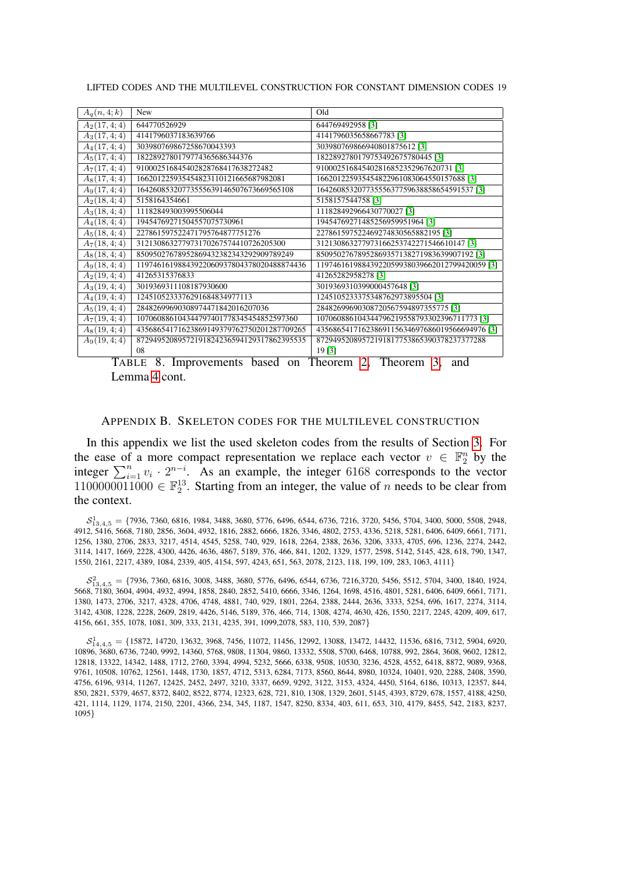| $A_q(n,4;k)$             | <b>New</b>                                | Old                                           |
|--------------------------|-------------------------------------------|-----------------------------------------------|
| $A_2(17, 4; 4)$          | 644770526929                              | 644769492958 [3]                              |
| $A_3(17, 4; 4)$          | 4141796037183639766                       | 4141796035658667783 [3]                       |
| $A_4(17, 4; 4)$          | 303980769867258670043393                  | 303980769866940801875612 [3]                  |
| $A_5(17, 4; 4)$          | 1822892780179774365686344376              | 1822892780179753492675780445 [3]              |
| $A_7(17, 4; 4)$          | 910002516845402828768417638272482         | 910002516845402816852352967620731 [3]         |
| $A_8(17, 4; 4)$          | 166201225935454823110121665687982081      | 166201225935454822961083064550157688 [3]      |
| $\overline{A}_9(17,4;4)$ | 16426085320773555639146507673669565108    | 16426085320773555637759638858654591537 [3]    |
| $\overline{A_2}(18,4;4)$ | 5158164354661                             | 5158157544758 [3]                             |
| $A_3(18, 4; 4)$          | 111828493003995506044                     | 111828492966430770027 [3]                     |
| $A_4(18, 4; 4)$          | 19454769271504557075730961                | 19454769271485256959951964 [3]                |
| $A_5(18, 4; 4)$          | 227861597522471795764877751276            | 227861597522469274830565882195 [3]            |
| $A_7(18, 4; 4)$          | 312130863277973170267574410726205300      | 312130863277973166253742271546610147 [3]      |
| $\overline{A_8}(18,4;4)$ | 85095027678952869432382343292909789249    | 85095027678952869357138271983639907192 [3]    |
| $A_9(18, 4; 4)$          | 11974616198843922060937804378020488874436 | 11974616198843922059938039662012799420059 [3] |
| $A_2(19, 4; 4)$          | 41265315376833                            | 41265282958278 [3]                            |
| $\overline{A_3(19,4;4)}$ | 3019369311108187930600                    | 3019369310399000457648 [3]                    |
| $A_4(19,4;4)$            | 1245105233376291684834977113              | 1245105233375348762973895504 [3]              |
| $A_5(19,4;4)$            | 28482699690308974471842016207036          | 28482699690308720567594897355775 [3]          |
| $A_7(19,4;4)$            | 107060886104344797401778345454852597360   | 107060886104344796219558793302396711773 [3]   |
| $A_8(19, 4; 4)$          | 43568654171623869149379762750201287709265 | 43568654171623869115634697686019566694976 [3] |
| $A_9(19, 4; 4)$          | 87294952089572191824236594129317862395535 | 87294952089572191817753865390378237377288     |
|                          | 08                                        | 19[3]                                         |

TABLE 8. Improvements based on Theorem [2,](#page-2-3) Theorem [3,](#page-3-0) and Lemma [4](#page-4-0) cont.

### APPENDIX B. SKELETON CODES FOR THE MULTILEVEL CONSTRUCTION

<span id="page-18-0"></span>In this appendix we list the used skeleton codes from the results of Section [3.](#page-5-0) For the ease of a more compact representation we replace each vector  $v \in \mathbb{F}_2^n$  by the integer  $\sum_{i=1}^{n} v_i \cdot 2^{n-i}$ . As an example, the integer 6168 corresponds to the vector 1100000011000  $\in \mathbb{F}_2^{13}$ . Starting from an integer, the value of n needs to be clear from the context.

 $\mathcal{S}^1_{13,4,5} = \{7936, 7360, 6816, 1984, 3488, 3680, 5776, 6496, 6544, 6736, 7216, 3720, 5456, 5704, 3400, 5000, 5508, 2948,$ 4912, 5416, 5668, 7180, 2856, 3604, 4932, 1816, 2882, 6666, 1826, 3346, 4802, 2753, 4336, 5218, 5281, 6406, 6409, 6661, 7171, 1256, 1380, 2706, 2833, 3217, 4514, 4545, 5258, 740, 929, 1618, 2264, 2388, 2636, 3206, 3333, 4705, 696, 1236, 2274, 2442, 3114, 1417, 1669, 2228, 4300, 4426, 4636, 4867, 5189, 376, 466, 841, 1202, 1329, 1577, 2598, 5142, 5145, 428, 618, 790, 1347, 1550, 2161, 2217, 4389, 1084, 2339, 405, 4154, 597, 4243, 651, 563, 2078, 2123, 118, 199, 109, 283, 1063, 4111}

 $\mathcal{S}_{13,4,5}^2$  = {7936, 7360, 6816, 3008, 3488, 3680, 5776, 6496, 6544, 6736, 7216,3720, 5456, 5512, 5704, 3400, 1840, 1924, 5668, 7180, 3604, 4904, 4932, 4994, 1858, 2840, 2852, 5410, 6666, 3346, 1264, 1698, 4516, 4801, 5281, 6406, 6409, 6661, 7171, 1380, 1473, 2706, 3217, 4328, 4706, 4748, 4881, 740, 929, 1801, 2264, 2388, 2444, 2636, 3333, 5254, 696, 1617, 2274, 3114, 3142, 4308, 1228, 2228, 2609, 2819, 4426, 5146, 5189, 376, 466, 714, 1308, 4274, 4630, 426, 1550, 2217, 2245, 4209, 409, 617, 4156, 661, 355, 1078, 1081, 309, 333, 2131, 4235, 391, 1099,2078, 583, 110, 539, 2087}

 $\mathcal{S}^1_{14,4,5} = \{15872, 14720, 13632, 3968, 7456, 11072, 11456, 12992, 13088, 13472, 14432, 11536, 6816, 7312, 5904, 6920,$ 10896, 3680, 6736, 7240, 9992, 14360, 5768, 9808, 11304, 9860, 13332, 5508, 5700, 6468, 10788, 992, 2864, 3608, 9602, 12812, 12818, 13322, 14342, 1488, 1712, 2760, 3394, 4994, 5232, 5666, 6338, 9508, 10530, 3236, 4528, 4552, 6418, 8872, 9089, 9368, 9761, 10508, 10762, 12561, 1448, 1730, 1857, 4712, 5313, 6284, 7173, 8560, 8644, 8980, 10324, 10401, 920, 2288, 2408, 3590, 4756, 6196, 9314, 11267, 12425, 2452, 2497, 3210, 3337, 6659, 9292, 3122, 3153, 4324, 4450, 5164, 6186, 10313, 12357, 844, 850, 2821, 5379, 4657, 8372, 8402, 8522, 8774, 12323, 628, 721, 810, 1308, 1329, 2601, 5145, 4393, 8729, 678, 1557, 4188, 4250, 421, 1114, 1129, 1174, 2150, 2201, 4366, 234, 345, 1187, 1547, 8250, 8334, 403, 611, 653, 310, 4179, 8455, 542, 2183, 8237, 1095}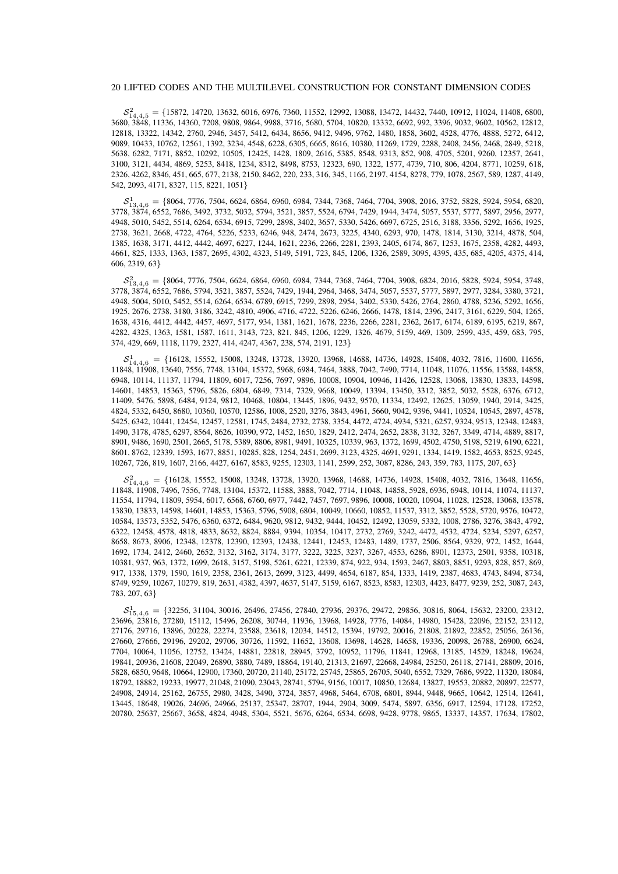$\mathcal{S}_{14,4,5}^2$  = {15872, 14720, 13632, 6016, 6976, 7360, 11552, 12992, 13088, 13472, 14432, 7440, 10912, 11024, 11408, 6800, 3680, 3848, 11336, 14360, 7208, 9808, 9864, 9988, 3716, 5680, 5704, 10820, 13332, 6692, 992, 3396, 9032, 9602, 10562, 12812, 12818, 13322, 14342, 2760, 2946, 3457, 5412, 6434, 8656, 9412, 9496, 9762, 1480, 1858, 3602, 4528, 4776, 4888, 5272, 6412, 9089, 10433, 10762, 12561, 1392, 3234, 4548, 6228, 6305, 6665, 8616, 10380, 11269, 1729, 2288, 2408, 2456, 2468, 2849, 5218, 5638, 6282, 7171, 8852, 10292, 10505, 12425, 1428, 1809, 2616, 5385, 8548, 9313, 852, 908, 4705, 5201, 9260, 12357, 2641, 3100, 3121, 4434, 4869, 5253, 8418, 1234, 8312, 8498, 8753, 12323, 690, 1322, 1577, 4739, 710, 806, 4204, 8771, 10259, 618, 2326, 4262, 8346, 451, 665, 677, 2138, 2150, 8462, 220, 233, 316, 345, 1166, 2197, 4154, 8278, 779, 1078, 2567, 589, 1287, 4149, 542, 2093, 4171, 8327, 115, 8221, 1051}

 $\mathcal{S}^1_{13,4,6} = \{8064, 7776, 7504, 6624, 6864, 6960, 6984, 7344, 7368, 7464, 7704, 3908, 2016, 3752, 5828, 5924, 5954, 6820, 5924, 5954, 6820, 5924, 5954, 5954, 5954, 5954, 5954, 5954, 5954, 5954, 5954, 5954, 5954, 595$ 3778, 3874, 6552, 7686, 3492, 3732, 5032, 5794, 3521, 3857, 5524, 6794, 7429, 1944, 3474, 5057, 5537, 5777, 5897, 2956, 2977, 4948, 5010, 5452, 5514, 6264, 6534, 6915, 7299, 2898, 3402, 3657, 5330, 5426, 6697, 6725, 2516, 3188, 3356, 5292, 1656, 1925, 2738, 3621, 2668, 4722, 4764, 5226, 5233, 6246, 948, 2474, 2673, 3225, 4340, 6293, 970, 1478, 1814, 3130, 3214, 4878, 504, 1385, 1638, 3171, 4412, 4442, 4697, 6227, 1244, 1621, 2236, 2266, 2281, 2393, 2405, 6174, 867, 1253, 1675, 2358, 4282, 4493, 4661, 825, 1333, 1363, 1587, 2695, 4302, 4323, 5149, 5191, 723, 845, 1206, 1326, 2589, 3095, 4395, 435, 685, 4205, 4375, 414, 606, 2319, 63}

 $\mathcal{S}^2_{13,4,6} = \{8064, 7776, 7504, 6624, 6864, 6960, 6984, 7344, 7368, 7464, 7704, 3908, 6824, 2016, 5828, 5924, 5954, 3748, 3936, 3936, 3936, 3936, 3936, 3936, 3936, 3936, 3936, 3936, 3936, 3936, 3936, 3936, 3936, 393$ 3778, 3874, 6552, 7686, 5794, 3521, 3857, 5524, 7429, 1944, 2964, 3468, 3474, 5057, 5537, 5777, 5897, 2977, 3284, 3380, 3721, 4948, 5004, 5010, 5452, 5514, 6264, 6534, 6789, 6915, 7299, 2898, 2954, 3402, 5330, 5426, 2764, 2860, 4788, 5236, 5292, 1656, 1925, 2676, 2738, 3180, 3186, 3242, 4810, 4906, 4716, 4722, 5226, 6246, 2666, 1478, 1814, 2396, 2417, 3161, 6229, 504, 1265, 1638, 4316, 4412, 4442, 4457, 4697, 5177, 934, 1381, 1621, 1678, 2236, 2266, 2281, 2362, 2617, 6174, 6189, 6195, 6219, 867, 4282, 4325, 1363, 1581, 1587, 1611, 3143, 723, 821, 845, 1206, 1229, 1326, 4679, 5159, 469, 1309, 2599, 435, 459, 683, 795, 374, 429, 669, 1118, 1179, 2327, 414, 4247, 4367, 238, 574, 2191, 123}

 $\mathcal{S}^1_{14,4,6}$  = {16128, 15552, 15008, 13248, 13728, 13920, 13968, 14688, 14736, 14928, 15408, 4032, 7816, 11600, 11656, 11848, 11908, 13640, 7556, 7748, 13104, 15372, 5968, 6984, 7464, 3888, 7042, 7490, 7714, 11048, 11076, 11556, 13588, 14858, 6948, 10114, 11137, 11794, 11809, 6017, 7256, 7697, 9896, 10008, 10904, 10946, 11426, 12528, 13068, 13830, 13833, 14598, 14601, 14853, 15363, 5796, 5826, 6804, 6849, 7314, 7329, 9668, 10049, 13394, 13450, 3312, 3852, 5032, 5528, 6376, 6712, 11409, 5476, 5898, 6484, 9124, 9812, 10468, 10804, 13445, 1896, 9432, 9570, 11334, 12492, 12625, 13059, 1940, 2914, 3425, 4824, 5332, 6450, 8680, 10360, 10570, 12586, 1008, 2520, 3276, 3843, 4961, 5660, 9042, 9396, 9441, 10524, 10545, 2897, 4578, 5425, 6342, 10441, 12454, 12457, 12581, 1745, 2484, 2732, 2738, 3354, 4472, 4724, 4934, 5321, 6257, 9324, 9513, 12348, 12483, 1490, 3178, 4785, 6297, 8564, 8626, 10390, 972, 1452, 1650, 1829, 2412, 2474, 2652, 2838, 3132, 3267, 3349, 4714, 4889, 8817, 8901, 9486, 1690, 2501, 2665, 5178, 5389, 8806, 8981, 9491, 10325, 10339, 963, 1372, 1699, 4502, 4750, 5198, 5219, 6190, 6221, 8601, 8762, 12339, 1593, 1677, 8851, 10285, 828, 1254, 2451, 2699, 3123, 4325, 4691, 9291, 1334, 1419, 1582, 4653, 8525, 9245, 10267, 726, 819, 1607, 2166, 4427, 6167, 8583, 9255, 12303, 1141, 2599, 252, 3087, 8286, 243, 359, 783, 1175, 207, 63}

 $\mathcal{S}_{14,4,6}^2$  = {16128, 15552, 15008, 13248, 13728, 13920, 13968, 14688, 14736, 14928, 15408, 4032, 7816, 13648, 11656, 11848, 11908, 7496, 7556, 7748, 13104, 15372, 11588, 3888, 7042, 7714, 11048, 14858, 5928, 6936, 6948, 10114, 11074, 11137, 11554, 11794, 11809, 5954, 6017, 6568, 6760, 6977, 7442, 7457, 7697, 9896, 10008, 10020, 10904, 11028, 12528, 13068, 13578, 13830, 13833, 14598, 14601, 14853, 15363, 5796, 5908, 6804, 10049, 10660, 10852, 11537, 3312, 3852, 5528, 5720, 9576, 10472, 10584, 13573, 5352, 5476, 6360, 6372, 6484, 9620, 9812, 9432, 9444, 10452, 12492, 13059, 5332, 1008, 2786, 3276, 3843, 4792, 6322, 12458, 4578, 4818, 4833, 8632, 8824, 8884, 9394, 10354, 10417, 2732, 2769, 3242, 4472, 4532, 4724, 5234, 5297, 6257, 8658, 8673, 8906, 12348, 12378, 12390, 12393, 12438, 12441, 12453, 12483, 1489, 1737, 2506, 8564, 9329, 972, 1452, 1644, 1692, 1734, 2412, 2460, 2652, 3132, 3162, 3174, 3177, 3222, 3225, 3237, 3267, 4553, 6286, 8901, 12373, 2501, 9358, 10318, 10381, 937, 963, 1372, 1699, 2618, 3157, 5198, 5261, 6221, 12339, 874, 922, 934, 1593, 2467, 8803, 8851, 9293, 828, 857, 869, 917, 1338, 1379, 1590, 1619, 2358, 2361, 2613, 2699, 3123, 4499, 4654, 6187, 854, 1333, 1419, 2387, 4683, 4743, 8494, 8734, 8749, 9259, 10267, 10279, 819, 2631, 4382, 4397, 4637, 5147, 5159, 6167, 8523, 8583, 12303, 4423, 8477, 9239, 252, 3087, 243, 783, 207, 63}

 $S_{15,4,6}^{1} = \{32256, 31104, 30016, 26496, 27456, 27840, 27936, 29376, 29472, 29856, 30816, 8064, 15632, 23200, 23312, 23312, 23312, 23312, 23312, 23312, 23312, 23312, 23312, 23312, 23312, 23312, 23312, 23312, 23312, 233$ 23696, 23816, 27280, 15112, 15496, 26208, 30744, 11936, 13968, 14928, 7776, 14084, 14980, 15428, 22096, 22152, 23112, 27176, 29716, 13896, 20228, 22274, 23588, 23618, 12034, 14512, 15394, 19792, 20016, 21808, 21892, 22852, 25056, 26136, 27660, 27666, 29196, 29202, 29706, 30726, 11592, 11652, 13608, 13698, 14628, 14658, 19336, 20098, 26788, 26900, 6624, 7704, 10064, 11056, 12752, 13424, 14881, 22818, 28945, 3792, 10952, 11796, 11841, 12968, 13185, 14529, 18248, 19624, 19841, 20936, 21608, 22049, 26890, 3880, 7489, 18864, 19140, 21313, 21697, 22668, 24984, 25250, 26118, 27141, 28809, 2016, 5828, 6850, 9648, 10664, 12900, 17360, 20720, 21140, 25172, 25745, 25865, 26705, 5040, 6552, 7329, 7686, 9922, 11320, 18084, 18792, 18882, 19233, 19977, 21048, 21090, 23043, 28741, 5794, 9156, 10017, 10850, 12684, 13827, 19553, 20882, 20897, 22577, 24908, 24914, 25162, 26755, 2980, 3428, 3490, 3724, 3857, 4968, 5464, 6708, 6801, 8944, 9448, 9665, 10642, 12514, 12641, 13445, 18648, 19026, 24696, 24966, 25137, 25347, 28707, 1944, 2904, 3009, 5474, 5897, 6356, 6917, 12594, 17128, 17252, 20780, 25637, 25667, 3658, 4824, 4948, 5304, 5521, 5676, 6264, 6534, 6698, 9428, 9778, 9865, 13337, 14357, 17634, 17802,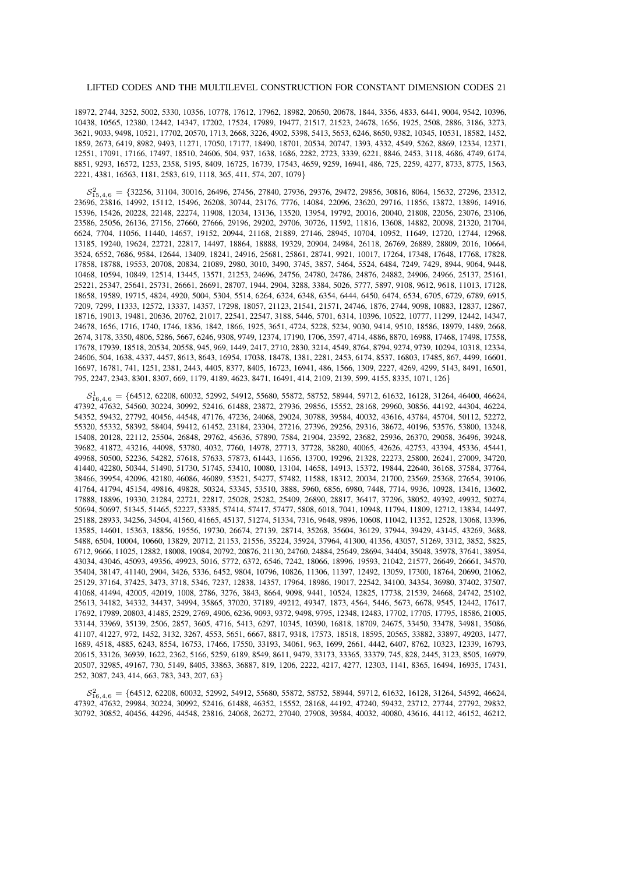18972, 2744, 3252, 5002, 5330, 10356, 10778, 17612, 17962, 18982, 20650, 20678, 1844, 3356, 4833, 6441, 9004, 9542, 10396, 10438, 10565, 12380, 12442, 14347, 17202, 17524, 17989, 19477, 21517, 21523, 24678, 1656, 1925, 2508, 2886, 3186, 3273, 3621, 9033, 9498, 10521, 17702, 20570, 1713, 2668, 3226, 4902, 5398, 5413, 5653, 6246, 8650, 9382, 10345, 10531, 18582, 1452, 1859, 2673, 6419, 8982, 9493, 11271, 17050, 17177, 18490, 18701, 20534, 20747, 1393, 4332, 4549, 5262, 8869, 12334, 12371, 12551, 17091, 17166, 17497, 18510, 24606, 504, 937, 1638, 1686, 2282, 2723, 3339, 6221, 8846, 2453, 3118, 4686, 4749, 6174, 8851, 9293, 16572, 1253, 2358, 5195, 8409, 16725, 16739, 17543, 4659, 9259, 16941, 486, 725, 2259, 4277, 8733, 8775, 1563, 2221, 4381, 16563, 1181, 2583, 619, 1118, 365, 411, 574, 207, 1079}

 $\mathcal{S}^2_{15,4,6} = \{32256, 31104, 30016, 26496, 27456, 27840, 27936, 29376, 29472, 29856, 30816, 8064, 15632, 27296, 23312,$ 23696, 23816, 14992, 15112, 15496, 26208, 30744, 23176, 7776, 14084, 22096, 23620, 29716, 11856, 13872, 13896, 14916, 15396, 15426, 20228, 22148, 22274, 11908, 12034, 13136, 13520, 13954, 19792, 20016, 20040, 21808, 22056, 23076, 23106, 23586, 25056, 26136, 27156, 27660, 27666, 29196, 29202, 29706, 30726, 11592, 11816, 13608, 14882, 20098, 21320, 21704, 6624, 7704, 11056, 11440, 14657, 19152, 20944, 21168, 21889, 27146, 28945, 10704, 10952, 11649, 12720, 12744, 12968, 13185, 19240, 19624, 22721, 22817, 14497, 18864, 18888, 19329, 20904, 24984, 26118, 26769, 26889, 28809, 2016, 10664, 3524, 6552, 7686, 9584, 12644, 13409, 18241, 24916, 25681, 25861, 28741, 9921, 10017, 17264, 17348, 17648, 17768, 17828, 17858, 18788, 19553, 20708, 20834, 21089, 2980, 3010, 3490, 3745, 3857, 5464, 5524, 6484, 7249, 7429, 8944, 9064, 9448, 10468, 10594, 10849, 12514, 13445, 13571, 21253, 24696, 24756, 24780, 24786, 24876, 24882, 24906, 24966, 25137, 25161, 25221, 25347, 25641, 25731, 26661, 26691, 28707, 1944, 2904, 3288, 3384, 5026, 5777, 5897, 9108, 9612, 9618, 11013, 17128, 18658, 19589, 19715, 4824, 4920, 5004, 5304, 5514, 6264, 6324, 6348, 6354, 6444, 6450, 6474, 6534, 6705, 6729, 6789, 6915, 7209, 7299, 11333, 12572, 13337, 14357, 17298, 18057, 21123, 21541, 21571, 24746, 1876, 2744, 9098, 10883, 12837, 12867, 18716, 19013, 19481, 20636, 20762, 21017, 22541, 22547, 3188, 5446, 5701, 6314, 10396, 10522, 10777, 11299, 12442, 14347, 24678, 1656, 1716, 1740, 1746, 1836, 1842, 1866, 1925, 3651, 4724, 5228, 5234, 9030, 9414, 9510, 18586, 18979, 1489, 2668, 2674, 3178, 3350, 4806, 5286, 5667, 6246, 9308, 9749, 12374, 17190, 1706, 3597, 4714, 4886, 8870, 16988, 17468, 17498, 17558, 17678, 17939, 18518, 20534, 20558, 945, 969, 1449, 2417, 2710, 2830, 3214, 4549, 8764, 8794, 9274, 9739, 10294, 10318, 12334, 24606, 504, 1638, 4337, 4457, 8613, 8643, 16954, 17038, 18478, 1381, 2281, 2453, 6174, 8537, 16803, 17485, 867, 4499, 16601, 16697, 16781, 741, 1251, 2381, 2443, 4405, 8377, 8405, 16723, 16941, 486, 1566, 1309, 2227, 4269, 4299, 5143, 8491, 16501, 795, 2247, 2343, 8301, 8307, 669, 1179, 4189, 4623, 8471, 16491, 414, 2109, 2139, 599, 4155, 8335, 1071, 126}

 $\mathcal{S}^1_{16,4,6} = \{64512, 62208, 60032, 52992, 54912, 55680, 55872, 58752, 58944, 59712, 61632, 16128, 31264, 46400, 46624, 46210, 46624, 46210, 46624, 46210, 46624, 46210, 46210, 46210, 46210, 46210, 46210, 46210, 46210$ 47392, 47632, 54560, 30224, 30992, 52416, 61488, 23872, 27936, 29856, 15552, 28168, 29960, 30856, 44192, 44304, 46224, 54352, 59432, 27792, 40456, 44548, 47176, 47236, 24068, 29024, 30788, 39584, 40032, 43616, 43784, 45704, 50112, 52272, 55320, 55332, 58392, 58404, 59412, 61452, 23184, 23304, 27216, 27396, 29256, 29316, 38672, 40196, 53576, 53800, 13248, 15408, 20128, 22112, 25504, 26848, 29762, 45636, 57890, 7584, 21904, 23592, 23682, 25936, 26370, 29058, 36496, 39248, 39682, 41872, 43216, 44098, 53780, 4032, 7760, 14978, 27713, 37728, 38280, 40065, 42626, 42753, 43394, 45336, 45441, 49968, 50500, 52236, 54282, 57618, 57633, 57873, 61443, 11656, 13700, 19296, 21328, 22273, 25800, 26241, 27009, 34720, 41440, 42280, 50344, 51490, 51730, 51745, 53410, 10080, 13104, 14658, 14913, 15372, 19844, 22640, 36168, 37584, 37764, 38466, 39954, 42096, 42180, 46086, 46089, 53521, 54277, 57482, 11588, 18312, 20034, 21700, 23569, 25368, 27654, 39106, 41764, 41794, 45154, 49816, 49828, 50324, 53345, 53510, 3888, 5960, 6856, 6980, 7448, 7714, 9936, 10928, 13416, 13602, 17888, 18896, 19330, 21284, 22721, 22817, 25028, 25282, 25409, 26890, 28817, 36417, 37296, 38052, 49392, 49932, 50274, 50694, 50697, 51345, 51465, 52227, 53385, 57414, 57417, 57477, 5808, 6018, 7041, 10948, 11794, 11809, 12712, 13834, 14497, 25188, 28933, 34256, 34504, 41560, 41665, 45137, 51274, 51334, 7316, 9648, 9896, 10608, 11042, 11352, 12528, 13068, 13396, 13585, 14601, 15363, 18856, 19556, 19730, 26674, 27139, 28714, 35268, 35604, 36129, 37944, 39429, 43145, 43269, 3688, 5488, 6504, 10004, 10660, 13829, 20712, 21153, 21556, 35224, 35924, 37964, 41300, 41356, 43057, 51269, 3312, 3852, 5825, 6712, 9666, 11025, 12882, 18008, 19084, 20792, 20876, 21130, 24760, 24884, 25649, 28694, 34404, 35048, 35978, 37641, 38954, 43034, 43046, 45093, 49356, 49923, 5016, 5772, 6372, 6546, 7242, 18066, 18996, 19593, 21042, 21577, 26649, 26661, 34570, 35404, 38147, 41140, 2904, 3426, 5336, 6452, 9804, 10796, 10826, 11306, 11397, 12492, 13059, 17300, 18764, 20690, 21062, 25129, 37164, 37425, 3473, 3718, 5346, 7237, 12838, 14357, 17964, 18986, 19017, 22542, 34100, 34354, 36980, 37402, 37507, 41068, 41494, 42005, 42019, 1008, 2786, 3276, 3843, 8664, 9098, 9441, 10524, 12825, 17738, 21539, 24668, 24742, 25102, 25613, 34182, 34332, 34437, 34994, 35865, 37020, 37189, 49212, 49347, 1873, 4564, 5446, 5673, 6678, 9545, 12442, 17617, 17692, 17989, 20803, 41485, 2529, 2769, 4906, 6236, 9093, 9372, 9498, 9795, 12348, 12483, 17702, 17705, 17795, 18586, 21005, 33144, 33969, 35139, 2506, 2857, 3605, 4716, 5413, 6297, 10345, 10390, 16818, 18709, 24675, 33450, 33478, 34981, 35086, 41107, 41227, 972, 1452, 3132, 3267, 4553, 5651, 6667, 8817, 9318, 17573, 18518, 18595, 20565, 33882, 33897, 49203, 1477, 1689, 4518, 4885, 6243, 8554, 16753, 17466, 17550, 33193, 34061, 963, 1699, 2661, 4442, 6407, 8762, 10323, 12339, 16793, 20615, 33126, 36939, 1622, 2362, 5166, 5259, 6189, 8549, 8611, 9479, 33173, 33365, 33379, 745, 828, 2445, 3123, 8505, 16979, 20507, 32985, 49167, 730, 5149, 8405, 33863, 36887, 819, 1206, 2222, 4217, 4277, 12303, 1141, 8365, 16494, 16935, 17431, 252, 3087, 243, 414, 663, 783, 343, 207, 63}

 $S_{16,4,6}^2 = \{64512, 62208, 60032, 52992, 54912, 55680, 55872, 58752, 58944, 59712, 61632, 16128, 31264, 54592, 46624, 5126, 5316, 5456, 55676, 55676, 5676, 57676, 57676, 57676, 57676, 57676, 57676, 57676, 57676, 57676,$ 47392, 47632, 29984, 30224, 30992, 52416, 61488, 46352, 15552, 28168, 44192, 47240, 59432, 23712, 27744, 27792, 29832, 30792, 30852, 40456, 44296, 44548, 23816, 24068, 26272, 27040, 27908, 39584, 40032, 40080, 43616, 44112, 46152, 46212,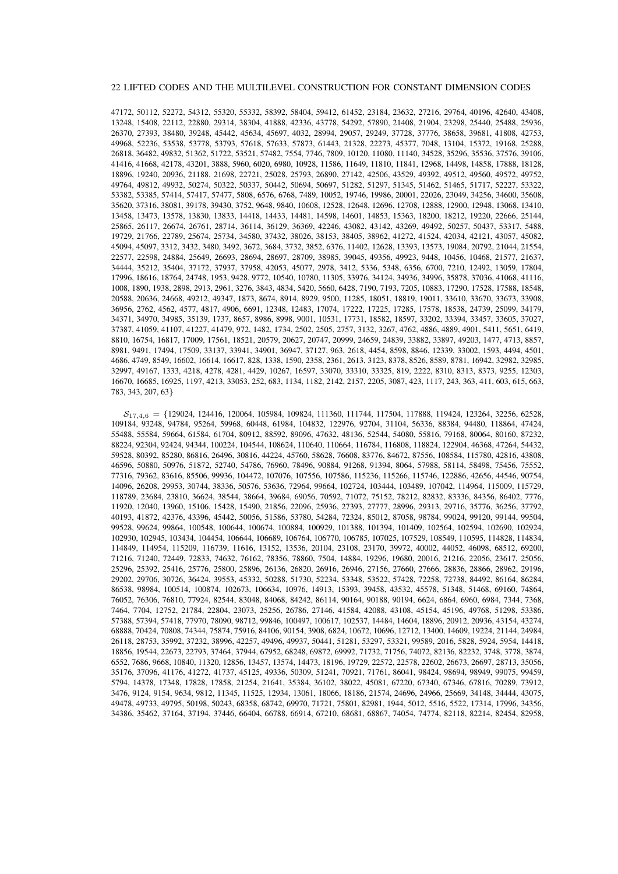47172, 50112, 52272, 54312, 55320, 55332, 58392, 58404, 59412, 61452, 23184, 23632, 27216, 29764, 40196, 42640, 43408, 13248, 15408, 22112, 22880, 29314, 38304, 41888, 42336, 43778, 54292, 57890, 21408, 21904, 23298, 25440, 25488, 25936, 26370, 27393, 38480, 39248, 45442, 45634, 45697, 4032, 28994, 29057, 29249, 37728, 37776, 38658, 39681, 41808, 42753, 49968, 52236, 53538, 53778, 53793, 57618, 57633, 57873, 61443, 21328, 22273, 45377, 7048, 13104, 15372, 19168, 25288, 26818, 36482, 49832, 51362, 51722, 53521, 57482, 7554, 7746, 7809, 10120, 11080, 11140, 34528, 35296, 35536, 37576, 39106, 41416, 41668, 42178, 43201, 3888, 5960, 6020, 6980, 10928, 11586, 11649, 11810, 11841, 12968, 14498, 14858, 17888, 18128, 18896, 19240, 20936, 21188, 21698, 22721, 25028, 25793, 26890, 27142, 42506, 43529, 49392, 49512, 49560, 49572, 49752, 49764, 49812, 49932, 50274, 50322, 50337, 50442, 50694, 50697, 51282, 51297, 51345, 51462, 51465, 51717, 52227, 53322, 53382, 53385, 57414, 57417, 57477, 5808, 6576, 6768, 7489, 10052, 19746, 19986, 20001, 22026, 23049, 34256, 34600, 35608, 35620, 37316, 38081, 39178, 39430, 3752, 9648, 9840, 10608, 12528, 12648, 12696, 12708, 12888, 12900, 12948, 13068, 13410, 13458, 13473, 13578, 13830, 13833, 14418, 14433, 14481, 14598, 14601, 14853, 15363, 18200, 18212, 19220, 22666, 25144, 25865, 26117, 26674, 26761, 28714, 36114, 36129, 36369, 42246, 43082, 43142, 43269, 49492, 50257, 50437, 53317, 5488, 19729, 21766, 22789, 25674, 25734, 34580, 37432, 38026, 38153, 38405, 38962, 41272, 41524, 42034, 42121, 43057, 45082, 45094, 45097, 3312, 3432, 3480, 3492, 3672, 3684, 3732, 3852, 6376, 11402, 12628, 13393, 13573, 19084, 20792, 21044, 21554, 22577, 22598, 24884, 25649, 26693, 28694, 28697, 28709, 38985, 39045, 49356, 49923, 9448, 10456, 10468, 21577, 21637, 34444, 35212, 35404, 37172, 37937, 37958, 42053, 45077, 2978, 3412, 5336, 5348, 6356, 6700, 7210, 12492, 13059, 17804, 17996, 18616, 18764, 24748, 1953, 9428, 9772, 10540, 10780, 11305, 33976, 34124, 34936, 34996, 35878, 37036, 41068, 41116, 1008, 1890, 1938, 2898, 2913, 2961, 3276, 3843, 4834, 5420, 5660, 6428, 7190, 7193, 7205, 10883, 17290, 17528, 17588, 18548, 20588, 20636, 24668, 49212, 49347, 1873, 8674, 8914, 8929, 9500, 11285, 18051, 18819, 19011, 33610, 33670, 33673, 33908, 36956, 2762, 4562, 4577, 4817, 4906, 6691, 12348, 12483, 17074, 17222, 17225, 17285, 17578, 18538, 24739, 25099, 34179, 34371, 34970, 34985, 35139, 1737, 8657, 8986, 8998, 9001, 10531, 17731, 18582, 18597, 33202, 33394, 33457, 33605, 37027, 37387, 41059, 41107, 41227, 41479, 972, 1482, 1734, 2502, 2505, 2757, 3132, 3267, 4762, 4886, 4889, 4901, 5411, 5651, 6419, 8810, 16754, 16817, 17009, 17561, 18521, 20579, 20627, 20747, 20999, 24659, 24839, 33882, 33897, 49203, 1477, 4713, 8857, 8981, 9491, 17494, 17509, 33137, 33941, 34901, 36947, 37127, 963, 2618, 4454, 8598, 8846, 12339, 33002, 1593, 4494, 4501, 4686, 4749, 8549, 16602, 16614, 16617, 828, 1338, 1590, 2358, 2361, 2613, 3123, 8378, 8526, 8589, 8781, 16942, 32982, 32985, 32997, 49167, 1333, 4218, 4278, 4281, 4429, 10267, 16597, 33070, 33310, 33325, 819, 2222, 8310, 8313, 8373, 9255, 12303, 16670, 16685, 16925, 1197, 4213, 33053, 252, 683, 1134, 1182, 2142, 2157, 2205, 3087, 423, 1117, 243, 363, 411, 603, 615, 663, 783, 343, 207, 63}

 $S_{17,4,6}$  = {129024, 124416, 120064, 105984, 109824, 111360, 111744, 117504, 117888, 119424, 123264, 32256, 62528, 109184, 93248, 94784, 95264, 59968, 60448, 61984, 104832, 122976, 92704, 31104, 56336, 88384, 94480, 118864, 47424, 55488, 55584, 59664, 61584, 61704, 80912, 88592, 89096, 47632, 48136, 52544, 54080, 55816, 79168, 80064, 80160, 87232, 88224, 92304, 92424, 94344, 100224, 104544, 108624, 110640, 110664, 116784, 116808, 118824, 122904, 46368, 47264, 54432, 59528, 80392, 85280, 86816, 26496, 30816, 44224, 45760, 58628, 76608, 83776, 84672, 87556, 108584, 115780, 42816, 43808, 46596, 50880, 50976, 51872, 52740, 54786, 76960, 78496, 90884, 91268, 91394, 8064, 57988, 58114, 58498, 75456, 75552, 77316, 79362, 83616, 85506, 99936, 104472, 107076, 107556, 107586, 115236, 115266, 115746, 122886, 42656, 44546, 90754, 14096, 26208, 29953, 30744, 38336, 50576, 53636, 72964, 99664, 102724, 103444, 103489, 107042, 114964, 115009, 115729, 118789, 23684, 23810, 36624, 38544, 38664, 39684, 69056, 70592, 71072, 75152, 78212, 82832, 83336, 84356, 86402, 7776, 11920, 12040, 13960, 15106, 15428, 15490, 21856, 22096, 25936, 27393, 27777, 28996, 29313, 29716, 35776, 36256, 37792, 40193, 41872, 42376, 43396, 45442, 50056, 51586, 53780, 54284, 72324, 85012, 87058, 98784, 99024, 99120, 99144, 99504, 99528, 99624, 99864, 100548, 100644, 100674, 100884, 100929, 101388, 101394, 101409, 102564, 102594, 102690, 102924, 102930, 102945, 103434, 104454, 106644, 106689, 106764, 106770, 106785, 107025, 107529, 108549, 110595, 114828, 114834, 114849, 114954, 115209, 116739, 11616, 13152, 13536, 20104, 23108, 23170, 39972, 40002, 44052, 46098, 68512, 69200, 71216, 71240, 72449, 72833, 74632, 76162, 78356, 78860, 7504, 14884, 19296, 19680, 20016, 21216, 22056, 23617, 25056, 25296, 25392, 25416, 25776, 25800, 25896, 26136, 26820, 26916, 26946, 27156, 27660, 27666, 28836, 28866, 28962, 29196, 29202, 29706, 30726, 36424, 39553, 45332, 50288, 51730, 52234, 53348, 53522, 57428, 72258, 72738, 84492, 86164, 86284, 86538, 98984, 100514, 100874, 102673, 106634, 10976, 14913, 15393, 39458, 43532, 45578, 51348, 51468, 69160, 74864, 76052, 76306, 76810, 77924, 82544, 83048, 84068, 84242, 86114, 90164, 90188, 90194, 6624, 6864, 6960, 6984, 7344, 7368, 7464, 7704, 12752, 21784, 22804, 23073, 25256, 26786, 27146, 41584, 42088, 43108, 45154, 45196, 49768, 51298, 53386, 57388, 57394, 57418, 77970, 78090, 98712, 99846, 100497, 100617, 102537, 14484, 14604, 18896, 20912, 20936, 43154, 43274, 68888, 70424, 70808, 74344, 75874, 75916, 84106, 90154, 3908, 6824, 10672, 10696, 12712, 13400, 14609, 19224, 21144, 24984, 26118, 28753, 35992, 37232, 38996, 42257, 49496, 49937, 50441, 51281, 53297, 53321, 99589, 2016, 5828, 5924, 5954, 14418, 18856, 19544, 22673, 22793, 37464, 37944, 67952, 68248, 69872, 69992, 71732, 71756, 74072, 82136, 82232, 3748, 3778, 3874, 6552, 7686, 9668, 10840, 11320, 12856, 13457, 13574, 14473, 18196, 19729, 22572, 22578, 22602, 26673, 26697, 28713, 35056, 35176, 37096, 41176, 41272, 41737, 45125, 49336, 50309, 51241, 70921, 71761, 86041, 98424, 98694, 98949, 99075, 99459, 5794, 14378, 17348, 17828, 17858, 21254, 21641, 35384, 36102, 38022, 45081, 67220, 67340, 67346, 67816, 70289, 73912, 3476, 9124, 9154, 9634, 9812, 11345, 11525, 12934, 13061, 18066, 18186, 21574, 24696, 24966, 25669, 34148, 34444, 43075, 49478, 49733, 49795, 50198, 50243, 68358, 68742, 69970, 71721, 75801, 82981, 1944, 5012, 5516, 5522, 17314, 17996, 34356, 34386, 35462, 37164, 37194, 37446, 66404, 66788, 66914, 67210, 68681, 68867, 74054, 74774, 82118, 82214, 82454, 82958,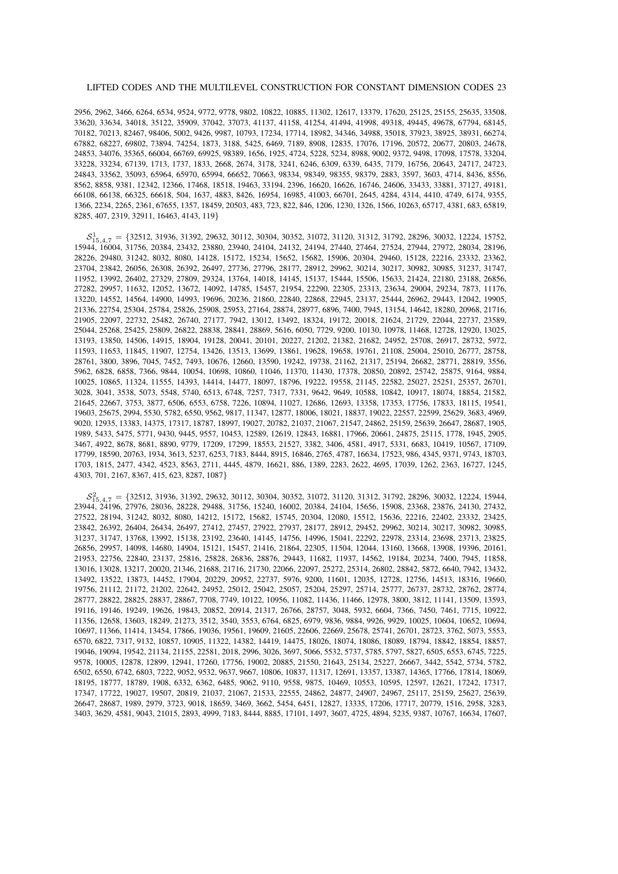2956, 2962, 3466, 6264, 6534, 9524, 9772, 9778, 9802, 10822, 10885, 11302, 12617, 13379, 17620, 25125, 25155, 25635, 33508, 33620, 33634, 34018, 35122, 35909, 37042, 37073, 41137, 41158, 41254, 41494, 41998, 49318, 49445, 49678, 67794, 68145, 70182, 70213, 82467, 98406, 5002, 9426, 9987, 10793, 17234, 17714, 18982, 34346, 34988, 35018, 37923, 38925, 38931, 66274, 67882, 68227, 69802, 73894, 74254, 1873, 3188, 5425, 6469, 7189, 8908, 12835, 17076, 17196, 20572, 20677, 20803, 24678, 24853, 34076, 35365, 66004, 66769, 69925, 98389, 1656, 1925, 4724, 5228, 5234, 8988, 9002, 9372, 9498, 17098, 17578, 33204, 33228, 33234, 67139, 1713, 1737, 1833, 2668, 2674, 3178, 3241, 6246, 6309, 6339, 6435, 7179, 16756, 20643, 24717, 24723, 24843, 33562, 35093, 65964, 65970, 65994, 66652, 70663, 98334, 98349, 98355, 98379, 2883, 3597, 3603, 4714, 8436, 8556, 8562, 8858, 9381, 12342, 12366, 17468, 18518, 19463, 33194, 2396, 16620, 16626, 16746, 24606, 33433, 33881, 37127, 49181, 66108, 66138, 66325, 66618, 504, 1637, 4883, 8426, 16954, 16985, 41003, 66701, 2645, 4284, 4314, 4410, 4749, 6174, 9355, 1366, 2234, 2265, 2361, 67655, 1357, 18459, 20503, 483, 723, 822, 846, 1206, 1230, 1326, 1566, 10263, 65717, 4381, 683, 65819, 8285, 407, 2319, 32911, 16463, 4143, 119}

 $\mathcal{S}^1_{15,4,7}=\{32512, 31936, 31392, 29632, 30112, 30304, 30352, 31072, 31120, 31312, 31792, 28296, 30032, 12224, 15752,$ 15944, 16004, 31756, 20384, 23432, 23880, 23940, 24104, 24132, 24194, 27440, 27464, 27524, 27944, 27972, 28034, 28196, 28226, 29480, 31242, 8032, 8080, 14128, 15172, 15234, 15652, 15682, 15906, 20304, 29460, 15128, 22216, 23332, 23362, 23704, 23842, 26056, 26308, 26392, 26497, 27736, 27796, 28177, 28912, 29962, 30214, 30217, 30982, 30985, 31237, 31747, 11952, 13992, 26402, 27329, 27809, 29324, 13764, 14018, 14145, 15137, 15444, 15506, 15633, 21424, 22180, 23188, 26856, 27282, 29957, 11632, 12052, 13672, 14092, 14785, 15457, 21954, 22290, 22305, 23313, 23634, 29004, 29234, 7873, 11176, 13220, 14552, 14564, 14900, 14993, 19696, 20236, 21860, 22840, 22868, 22945, 23137, 25444, 26962, 29443, 12042, 19905, 21336, 22754, 25304, 25784, 25826, 25908, 25953, 27164, 28874, 28977, 6896, 7400, 7945, 13154, 14642, 18280, 20968, 21716, 21905, 22097, 22732, 25482, 26740, 27177, 7942, 13012, 13492, 18324, 19172, 20018, 21624, 21729, 22044, 22737, 23589, 25044, 25268, 25425, 25809, 26822, 28838, 28841, 28869, 5616, 6050, 7729, 9200, 10130, 10978, 11468, 12728, 12920, 13025, 13193, 13850, 14506, 14915, 18904, 19128, 20041, 20101, 20227, 21202, 21382, 21682, 24952, 25708, 26917, 28732, 5972, 11593, 11653, 11845, 11907, 12754, 13426, 13513, 13699, 13861, 19628, 19658, 19761, 21108, 25004, 25010, 26777, 28758, 28761, 3800, 3896, 7045, 7452, 7493, 10676, 12660, 13590, 19242, 19738, 21162, 21317, 25194, 26682, 28771, 28819, 3556, 5962, 6828, 6858, 7366, 9844, 10054, 10698, 10860, 11046, 11370, 11430, 17378, 20850, 20892, 25742, 25875, 9164, 9884, 10025, 10865, 11324, 11555, 14393, 14414, 14477, 18097, 18796, 19222, 19558, 21145, 22582, 25027, 25251, 25357, 26701, 3028, 3041, 3538, 5073, 5548, 5740, 6513, 6748, 7257, 7317, 7331, 9642, 9649, 10588, 10842, 10917, 18074, 18854, 21582, 21645, 22667, 3753, 3877, 6506, 6553, 6758, 7226, 10894, 11027, 12686, 12693, 13358, 17353, 17756, 17833, 18115, 19541, 19603, 25675, 2994, 5530, 5782, 6550, 9562, 9817, 11347, 12877, 18006, 18021, 18837, 19022, 22557, 22599, 25629, 3683, 4969, 9020, 12935, 13383, 14375, 17317, 18787, 18997, 19027, 20782, 21037, 21067, 21547, 24862, 25159, 25639, 26647, 28687, 1905, 1989, 5433, 5475, 5771, 9430, 9445, 9557, 10453, 12589, 12619, 12843, 16881, 17966, 20661, 24875, 25115, 1778, 1945, 2905, 3467, 4922, 8678, 8681, 8890, 9779, 17209, 17299, 18553, 21527, 3382, 3406, 4581, 4917, 5331, 6683, 10419, 10567, 17109, 17799, 18590, 20763, 1934, 3613, 5237, 6253, 7183, 8444, 8915, 16846, 2765, 4787, 16634, 17523, 986, 4345, 9371, 9743, 18703, 1703, 1815, 2477, 4342, 4523, 8563, 2711, 4445, 4879, 16621, 886, 1389, 2283, 2622, 4695, 17039, 1262, 2363, 16727, 1245, 4303, 701, 2167, 8367, 415, 623, 8287, 1087}

 $\mathcal{S}_{15,4,7}^2 = \{32512, 31936, 31392, 29632, 30112, 30304, 30352, 31072, 31120, 31312, 31792, 28296, 30032, 12224, 15944,$ 23944, 24196, 27976, 28036, 28228, 29488, 31756, 15240, 16002, 20384, 24104, 15656, 15908, 23368, 23876, 24130, 27432, 27522, 28194, 31242, 8032, 8080, 14212, 15172, 15682, 15745, 20304, 12080, 15512, 15636, 22216, 22402, 23332, 23425, 23842, 26392, 26404, 26434, 26497, 27412, 27457, 27922, 27937, 28177, 28912, 29452, 29962, 30214, 30217, 30982, 30985, 31237, 31747, 13768, 13992, 15138, 23192, 23640, 14145, 14756, 14996, 15041, 22292, 22978, 23314, 23698, 23713, 23825, 26856, 29957, 14098, 14680, 14904, 15121, 15457, 21416, 21864, 22305, 11504, 12044, 13160, 13668, 13908, 19396, 20161, 21953, 22756, 22840, 23137, 25816, 25828, 26836, 28876, 29443, 11682, 11937, 14562, 19184, 20234, 7400, 7945, 11858, 13016, 13028, 13217, 20020, 21346, 21688, 21716, 21730, 22066, 22097, 25272, 25314, 26802, 28842, 5872, 6640, 7942, 13432, 13492, 13522, 13873, 14452, 17904, 20229, 20952, 22737, 5976, 9200, 11601, 12035, 12728, 12756, 14513, 18316, 19660, 19756, 21112, 21172, 21202, 22642, 24952, 25012, 25042, 25057, 25204, 25297, 25714, 25777, 26737, 28732, 28762, 28774, 28777, 28822, 28825, 28837, 28867, 7708, 7749, 10122, 10956, 11082, 11436, 11466, 12978, 3800, 3812, 11141, 13509, 13593, 19116, 19146, 19249, 19626, 19843, 20852, 20914, 21317, 26766, 28757, 3048, 5932, 6604, 7366, 7450, 7461, 7715, 10922, 11356, 12658, 13603, 18249, 21273, 3512, 3540, 3553, 6764, 6825, 6979, 9836, 9884, 9926, 9929, 10025, 10604, 10652, 10694, 10697, 11366, 11414, 13454, 17866, 19036, 19561, 19609, 21605, 22606, 22669, 25678, 25741, 26701, 28723, 3762, 5073, 5553, 6570, 6822, 7317, 9132, 10857, 10905, 11322, 14382, 14419, 14475, 18026, 18074, 18086, 18089, 18794, 18842, 18854, 18857, 19046, 19094, 19542, 21134, 21155, 22581, 2018, 2996, 3026, 3697, 5066, 5532, 5737, 5785, 5797, 5827, 6505, 6553, 6745, 7225, 9578, 10005, 12878, 12899, 12941, 17260, 17756, 19002, 20885, 21550, 21643, 25134, 25227, 26667, 3442, 5542, 5734, 5782, 6502, 6550, 6742, 6803, 7222, 9052, 9532, 9637, 9667, 10806, 10837, 11317, 12691, 13357, 13387, 14365, 17766, 17814, 18069, 18195, 18777, 18789, 1908, 6332, 6362, 6485, 9062, 9110, 9558, 9875, 10469, 10553, 10595, 12597, 12621, 17242, 17317, 17347, 17722, 19027, 19507, 20819, 21037, 21067, 21533, 22555, 24862, 24877, 24907, 24967, 25117, 25159, 25627, 25639, 26647, 28687, 1989, 2979, 3723, 9018, 18659, 3469, 3662, 5454, 6451, 12827, 13335, 17206, 17717, 20779, 1516, 2958, 3283, 3403, 3629, 4581, 9043, 21015, 2893, 4999, 7183, 8444, 8885, 17101, 1497, 3607, 4725, 4894, 5235, 9387, 10767, 16634, 17607,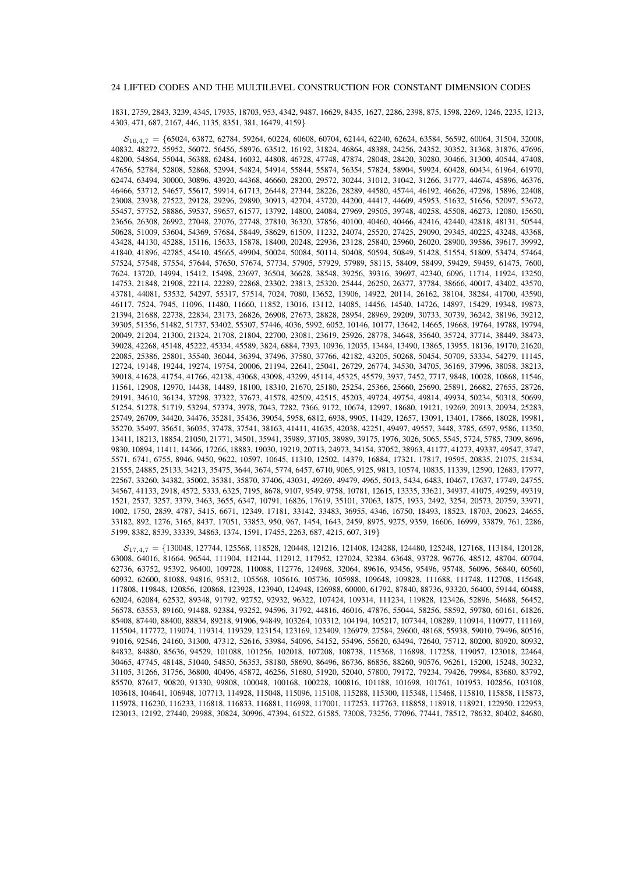1831, 2759, 2843, 3239, 4345, 17935, 18703, 953, 4342, 9487, 16629, 8435, 1627, 2286, 2398, 875, 1598, 2269, 1246, 2235, 1213, 4303, 471, 687, 2167, 446, 1135, 8351, 381, 16479, 4159}

 $S_{16,4,7} = \{65024, 63872, 62784, 59264, 60224, 60608, 60704, 62144, 62240, 62624, 63584, 56592, 60064, 31504, 32008,$ 40832, 48272, 55952, 56072, 56456, 58976, 63512, 16192, 31824, 46864, 48388, 24256, 24352, 30352, 31368, 31876, 47696, 48200, 54864, 55044, 56388, 62484, 16032, 44808, 46728, 47748, 47874, 28048, 28420, 30280, 30466, 31300, 40544, 47408, 47656, 52784, 52808, 52868, 52994, 54824, 54914, 55844, 55874, 56354, 57824, 58904, 59924, 60428, 60434, 61964, 61970, 62474, 63494, 30000, 30896, 43920, 44368, 46660, 28200, 29572, 30244, 31012, 31042, 31266, 31777, 44674, 45896, 46376, 46466, 53712, 54657, 55617, 59914, 61713, 26448, 27344, 28226, 28289, 44580, 45744, 46192, 46626, 47298, 15896, 22408, 23008, 23938, 27522, 29128, 29296, 29890, 30913, 42704, 43720, 44200, 44417, 44609, 45953, 51632, 51656, 52097, 53672, 55457, 57752, 58886, 59537, 59657, 61577, 13792, 14800, 24084, 27969, 29505, 39748, 40258, 45508, 46273, 12080, 15650, 23656, 26308, 26992, 27048, 27076, 27748, 27810, 36320, 37856, 40100, 40460, 40466, 42416, 42440, 42818, 48131, 50544, 50628, 51009, 53604, 54369, 57684, 58449, 58629, 61509, 11232, 24074, 25520, 27425, 29090, 29345, 40225, 43248, 43368, 43428, 44130, 45288, 15116, 15633, 15878, 18400, 20248, 22936, 23128, 25840, 25960, 26020, 28900, 39586, 39617, 39992, 41840, 41896, 42785, 45410, 45665, 49904, 50024, 50084, 50114, 50408, 50594, 50849, 51428, 51554, 51809, 53474, 57464, 57524, 57548, 57554, 57644, 57650, 57674, 57734, 57905, 57929, 57989, 58115, 58409, 58499, 59429, 59459, 61475, 7600, 7624, 13720, 14994, 15412, 15498, 23697, 36504, 36628, 38548, 39256, 39316, 39697, 42340, 6096, 11714, 11924, 13250, 14753, 21848, 21908, 22114, 22289, 22868, 23302, 23813, 25320, 25444, 26250, 26377, 37784, 38666, 40017, 43402, 43570, 43781, 44081, 53532, 54297, 55317, 57514, 7024, 7080, 13652, 13906, 14922, 20114, 26162, 38104, 38284, 41700, 43590, 46117, 7524, 7945, 11096, 11480, 11660, 11852, 13016, 13112, 14085, 14456, 14540, 14726, 14897, 15429, 19348, 19873, 21394, 21688, 22738, 22834, 23173, 26826, 26908, 27673, 28828, 28954, 28969, 29209, 30733, 30739, 36242, 38196, 39212, 39305, 51356, 51482, 51737, 53402, 55307, 57446, 4036, 5992, 6052, 10146, 10177, 13642, 14665, 19668, 19764, 19788, 19794, 20049, 21204, 21300, 21324, 21708, 21804, 22700, 23081, 23619, 25926, 28778, 34648, 35640, 35724, 37714, 38449, 38473, 39028, 42268, 45148, 45222, 45334, 45589, 3824, 6884, 7393, 10936, 12035, 13484, 13490, 13865, 13955, 18136, 19170, 21620, 22085, 25386, 25801, 35540, 36044, 36394, 37496, 37580, 37766, 42182, 43205, 50268, 50454, 50709, 53334, 54279, 11145, 12724, 19148, 19244, 19274, 19754, 20006, 21194, 22641, 25041, 26729, 26774, 34530, 34705, 36169, 37996, 38058, 38213, 39018, 41628, 41754, 41766, 42138, 43068, 43098, 43299, 45114, 45325, 45579, 3937, 7452, 7717, 9848, 10028, 10868, 11546, 11561, 12908, 12970, 14438, 14489, 18100, 18310, 21670, 25180, 25254, 25366, 25660, 25690, 25891, 26682, 27655, 28726, 29191, 34610, 36134, 37298, 37322, 37673, 41578, 42509, 42515, 45203, 49724, 49754, 49814, 49934, 50234, 50318, 50699, 51254, 51278, 51719, 53294, 57374, 3978, 7043, 7282, 7366, 9172, 10674, 12997, 18680, 19121, 19269, 20913, 20934, 25283, 25749, 26709, 34420, 34476, 35281, 35436, 39054, 5958, 6812, 6938, 9905, 11429, 12657, 13091, 13401, 17866, 18028, 19981, 35270, 35497, 35651, 36035, 37478, 37541, 38163, 41411, 41635, 42038, 42251, 49497, 49557, 3448, 3785, 6597, 9586, 11350, 13411, 18213, 18854, 21050, 21771, 34501, 35941, 35989, 37105, 38989, 39175, 1976, 3026, 5065, 5545, 5724, 5785, 7309, 8696, 9830, 10894, 11411, 14366, 17266, 18883, 19030, 19219, 20713, 24973, 34154, 37052, 38963, 41177, 41273, 49337, 49547, 3747, 5571, 6741, 6755, 8946, 9450, 9622, 10597, 10645, 11310, 12502, 14379, 16884, 17321, 17817, 19595, 20835, 21075, 21534, 21555, 24885, 25133, 34213, 35475, 3644, 3674, 5774, 6457, 6710, 9065, 9125, 9813, 10574, 10835, 11339, 12590, 12683, 17977, 22567, 33260, 34382, 35002, 35381, 35870, 37406, 43031, 49269, 49479, 4965, 5013, 5434, 6483, 10467, 17637, 17749, 24755, 34567, 41133, 2918, 4572, 5333, 6325, 7195, 8678, 9107, 9549, 9758, 10781, 12615, 13335, 33621, 34937, 41075, 49259, 49319, 1521, 2537, 3257, 3379, 3463, 3655, 6347, 10791, 16826, 17619, 35101, 37063, 1875, 1933, 2492, 3254, 20573, 20759, 33971, 1002, 1750, 2859, 4787, 5415, 6671, 12349, 17181, 33142, 33483, 36955, 4346, 16750, 18493, 18523, 18703, 20623, 24655, 33182, 892, 1276, 3165, 8437, 17051, 33853, 950, 967, 1454, 1643, 2459, 8975, 9275, 9359, 16606, 16999, 33879, 761, 2286, 5199, 8382, 8539, 33339, 34863, 1374, 1591, 17455, 2263, 687, 4215, 607, 319}

 $S_{17,4,7} = \{130048, 127744, 125568, 118528, 120448, 121216, 121408, 124288, 124480, 125248, 127168, 113184, 120128,$ 63008, 64016, 81664, 96544, 111904, 112144, 112912, 117952, 127024, 32384, 63648, 93728, 96776, 48512, 48704, 60704, 62736, 63752, 95392, 96400, 109728, 110088, 112776, 124968, 32064, 89616, 93456, 95496, 95748, 56096, 56840, 60560, 60932, 62600, 81088, 94816, 95312, 105568, 105616, 105736, 105988, 109648, 109828, 111688, 111748, 112708, 115648, 117808, 119848, 120856, 120868, 123928, 123940, 124948, 126988, 60000, 61792, 87840, 88736, 93320, 56400, 59144, 60488, 62024, 62084, 62532, 89348, 91792, 92752, 92932, 96322, 107424, 109314, 111234, 119828, 123426, 52896, 54688, 56452, 56578, 63553, 89160, 91488, 92384, 93252, 94596, 31792, 44816, 46016, 47876, 55044, 58256, 58592, 59780, 60161, 61826, 85408, 87440, 88400, 88834, 89218, 91906, 94849, 103264, 103312, 104194, 105217, 107344, 108289, 110914, 110977, 111169, 115504, 117772, 119074, 119314, 119329, 123154, 123169, 123409, 126979, 27584, 29600, 48168, 55938, 59010, 79496, 80516, 91016, 92546, 24160, 31300, 47312, 52616, 53984, 54096, 54152, 55496, 55620, 63494, 72640, 75712, 80200, 80920, 80932, 84832, 84880, 85636, 94529, 101088, 101256, 102018, 107208, 108738, 115368, 116898, 117258, 119057, 123018, 22464, 30465, 47745, 48148, 51040, 54850, 56353, 58180, 58690, 86496, 86736, 86856, 88260, 90576, 96261, 15200, 15248, 30232, 31105, 31266, 31756, 36800, 40496, 45872, 46256, 51680, 51920, 52040, 57800, 79172, 79234, 79426, 79984, 83680, 83792, 85570, 87617, 90820, 91330, 99808, 100048, 100168, 100228, 100816, 101188, 101698, 101761, 101953, 102856, 103108, 103618, 104641, 106948, 107713, 114928, 115048, 115096, 115108, 115288, 115300, 115348, 115468, 115810, 115858, 115873, 115978, 116230, 116233, 116818, 116833, 116881, 116998, 117001, 117253, 117763, 118858, 118918, 118921, 122950, 122953, 123013, 12192, 27440, 29988, 30824, 30996, 47394, 61522, 61585, 73008, 73256, 77096, 77441, 78512, 78632, 80402, 84680,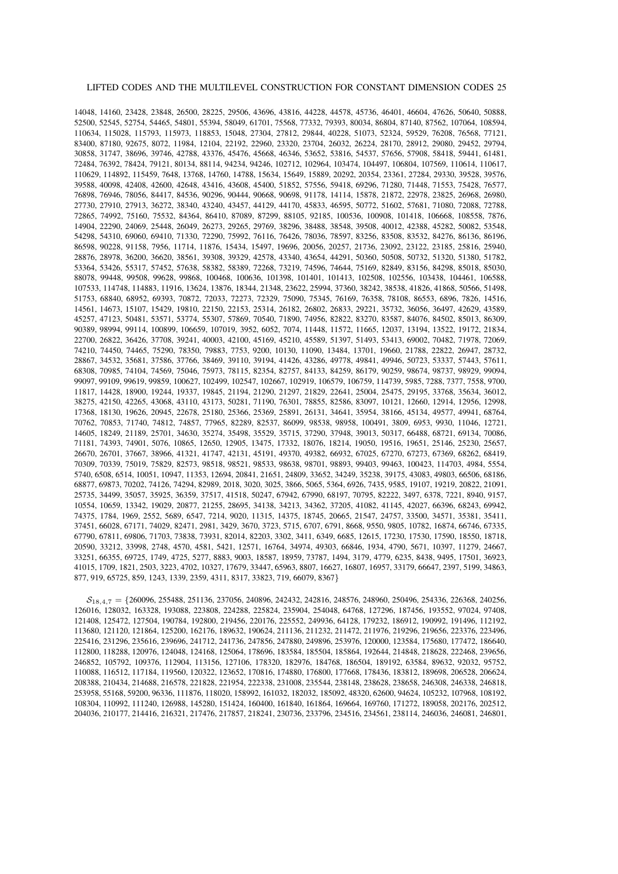14048, 14160, 23428, 23848, 26500, 28225, 29506, 43696, 43816, 44228, 44578, 45736, 46401, 46604, 47626, 50640, 50888, 52500, 52545, 52754, 54465, 54801, 55394, 58049, 61701, 75568, 77332, 79393, 80034, 86804, 87140, 87562, 107064, 108594, 110634, 115028, 115793, 115973, 118853, 15048, 27304, 27812, 29844, 40228, 51073, 52324, 59529, 76208, 76568, 77121, 83400, 87180, 92675, 8072, 11984, 12104, 22192, 22960, 23320, 23704, 26032, 26224, 28170, 28912, 29080, 29452, 29794, 30858, 31747, 38696, 39746, 42788, 43376, 45476, 45668, 46346, 53652, 53816, 54537, 57656, 57908, 58418, 59441, 61481, 72484, 76392, 78424, 79121, 80134, 88114, 94234, 94246, 102712, 102964, 103474, 104497, 106804, 107569, 110614, 110617, 110629, 114892, 115459, 7648, 13768, 14760, 14788, 15634, 15649, 15889, 20292, 20354, 23361, 27284, 29330, 39528, 39576, 39588, 40098, 42408, 42600, 42648, 43416, 43608, 45400, 51852, 57556, 59418, 69296, 71280, 71448, 71553, 75428, 76577, 76898, 76946, 78056, 84417, 84536, 90296, 90444, 90668, 90698, 91178, 14114, 15878, 21872, 22978, 23825, 26968, 26980, 27730, 27910, 27913, 36272, 38340, 43240, 43457, 44129, 44170, 45833, 46595, 50772, 51602, 57681, 71080, 72088, 72788, 72865, 74992, 75160, 75532, 84364, 86410, 87089, 87299, 88105, 92185, 100536, 100908, 101418, 106668, 108558, 7876, 14904, 22290, 24069, 25448, 26049, 26273, 29265, 29769, 38296, 38488, 38548, 39508, 40012, 42388, 45282, 50082, 53548, 54298, 54310, 69060, 69410, 71330, 72290, 75992, 76116, 76426, 78036, 78597, 83256, 83508, 83532, 84276, 86136, 86196, 86598, 90228, 91158, 7956, 11714, 11876, 15434, 15497, 19696, 20056, 20257, 21736, 23092, 23122, 23185, 25816, 25940, 28876, 28978, 36200, 36620, 38561, 39308, 39329, 42578, 43340, 43654, 44291, 50360, 50508, 50732, 51320, 51380, 51782, 53364, 53426, 55317, 57452, 57638, 58382, 58389, 72268, 73219, 74596, 74644, 75169, 82849, 83156, 84298, 85018, 85030, 88078, 99448, 99508, 99628, 99868, 100468, 100636, 101398, 101401, 101413, 102508, 102556, 103438, 104461, 106588, 107533, 114748, 114883, 11916, 13624, 13876, 18344, 21348, 23622, 25994, 37360, 38242, 38538, 41826, 41868, 50566, 51498, 51753, 68840, 68952, 69393, 70872, 72033, 72273, 72329, 75090, 75345, 76169, 76358, 78108, 86553, 6896, 7826, 14516, 14561, 14673, 15107, 15429, 19810, 22150, 22153, 25314, 26182, 26802, 26833, 29221, 35732, 36056, 36497, 42629, 43589, 45257, 47123, 50481, 53571, 53774, 55307, 57869, 70540, 71890, 74956, 82822, 83270, 83587, 84076, 84502, 85013, 86309, 90389, 98994, 99114, 100899, 106659, 107019, 3952, 6052, 7074, 11448, 11572, 11665, 12037, 13194, 13522, 19172, 21834, 22700, 26822, 36426, 37708, 39241, 40003, 42100, 45169, 45210, 45589, 51397, 51493, 53413, 69002, 70482, 71978, 72069, 74210, 74450, 74465, 75290, 78350, 79883, 7753, 9200, 10130, 11090, 13484, 13701, 19660, 21788, 22822, 26947, 28732, 28867, 34532, 35681, 37586, 37766, 38469, 39110, 39194, 41426, 43286, 49778, 49841, 49946, 50723, 53337, 57443, 57611, 68308, 70985, 74104, 74569, 75046, 75973, 78115, 82354, 82757, 84133, 84259, 86179, 90259, 98674, 98737, 98929, 99094, 99097, 99109, 99619, 99859, 100627, 102499, 102547, 102667, 102919, 106579, 106759, 114739, 5985, 7288, 7377, 7558, 9700, 11817, 14428, 18900, 19244, 19337, 19845, 21194, 21290, 21297, 21829, 22641, 25004, 25475, 29195, 33768, 35634, 36012, 38275, 42150, 42265, 43068, 43110, 43173, 50281, 71190, 76301, 78855, 82586, 83097, 10121, 12660, 12914, 12956, 12998, 17368, 18130, 19626, 20945, 22678, 25180, 25366, 25369, 25891, 26131, 34641, 35954, 38166, 45134, 49577, 49941, 68764, 70762, 70853, 71740, 74812, 74857, 77965, 82289, 82537, 86099, 98538, 98958, 100491, 3809, 6953, 9930, 11046, 12721, 14605, 18249, 21189, 25701, 34630, 35274, 35498, 35529, 35715, 37290, 37948, 39013, 50317, 66488, 68721, 69134, 70086, 71181, 74393, 74901, 5076, 10865, 12650, 12905, 13475, 17332, 18076, 18214, 19050, 19516, 19651, 25146, 25230, 25657, 26670, 26701, 37667, 38966, 41321, 41747, 42131, 45191, 49370, 49382, 66932, 67025, 67270, 67273, 67369, 68262, 68419, 70309, 70339, 75019, 75829, 82573, 98518, 98521, 98533, 98638, 98701, 98893, 99403, 99463, 100423, 114703, 4984, 5554, 5740, 6508, 6514, 10051, 10947, 11353, 12694, 20841, 21651, 24809, 33652, 34249, 35238, 39175, 43083, 49803, 66506, 68186, 68877, 69873, 70202, 74126, 74294, 82989, 2018, 3020, 3025, 3866, 5065, 5364, 6926, 7435, 9585, 19107, 19219, 20822, 21091, 25735, 34499, 35057, 35925, 36359, 37517, 41518, 50247, 67942, 67990, 68197, 70795, 82222, 3497, 6378, 7221, 8940, 9157, 10554, 10659, 13342, 19029, 20877, 21255, 28695, 34138, 34213, 34362, 37205, 41082, 41145, 42027, 66396, 68243, 69942, 74375, 1784, 1969, 2552, 5689, 6547, 7214, 9020, 11315, 14375, 18745, 20665, 21547, 24757, 33500, 34571, 35381, 35411, 37451, 66028, 67171, 74029, 82471, 2981, 3429, 3670, 3723, 5715, 6707, 6791, 8668, 9550, 9805, 10782, 16874, 66746, 67335, 67790, 67811, 69806, 71703, 73838, 73931, 82014, 82203, 3302, 3411, 6349, 6685, 12615, 17230, 17530, 17590, 18550, 18718, 20590, 33212, 33998, 2748, 4570, 4581, 5421, 12571, 16764, 34974, 49303, 66846, 1934, 4790, 5671, 10397, 11279, 24667, 33251, 66355, 69725, 1749, 4725, 5277, 8883, 9003, 18587, 18959, 73787, 1494, 3179, 4779, 6235, 8438, 9495, 17501, 36923, 41015, 1709, 1821, 2503, 3223, 4702, 10327, 17679, 33447, 65963, 8807, 16627, 16807, 16957, 33179, 66647, 2397, 5199, 34863, 877, 919, 65725, 859, 1243, 1339, 2359, 4311, 8317, 33823, 719, 66079, 8367}

 $S_{18,4,7} = \{260096, 255488, 251136, 237056, 240896, 242432, 242816, 248576, 248960, 250496, 254336, 226368, 240256,$ 126016, 128032, 163328, 193088, 223808, 224288, 225824, 235904, 254048, 64768, 127296, 187456, 193552, 97024, 97408, 121408, 125472, 127504, 190784, 192800, 219456, 220176, 225552, 249936, 64128, 179232, 186912, 190992, 191496, 112192, 113680, 121120, 121864, 125200, 162176, 189632, 190624, 211136, 211232, 211472, 211976, 219296, 219656, 223376, 223496, 225416, 231296, 235616, 239696, 241712, 241736, 247856, 247880, 249896, 253976, 120000, 123584, 175680, 177472, 186640, 112800, 118288, 120976, 124048, 124168, 125064, 178696, 183584, 185504, 185864, 192644, 214848, 218628, 222468, 239656, 246852, 105792, 109376, 112904, 113156, 127106, 178320, 182976, 184768, 186504, 189192, 63584, 89632, 92032, 95752, 110088, 116512, 117184, 119560, 120322, 123652, 170816, 174880, 176800, 177668, 178436, 183812, 189698, 206528, 206624, 208388, 210434, 214688, 216578, 221828, 221954, 222338, 231008, 235544, 238148, 238628, 238658, 246308, 246338, 246818, 253958, 55168, 59200, 96336, 111876, 118020, 158992, 161032, 182032, 185092, 48320, 62600, 94624, 105232, 107968, 108192, 108304, 110992, 111240, 126988, 145280, 151424, 160400, 161840, 161864, 169664, 169760, 171272, 189058, 202176, 202512, 204036, 210177, 214416, 216321, 217476, 217857, 218241, 230736, 233796, 234516, 234561, 238114, 246036, 246081, 246801,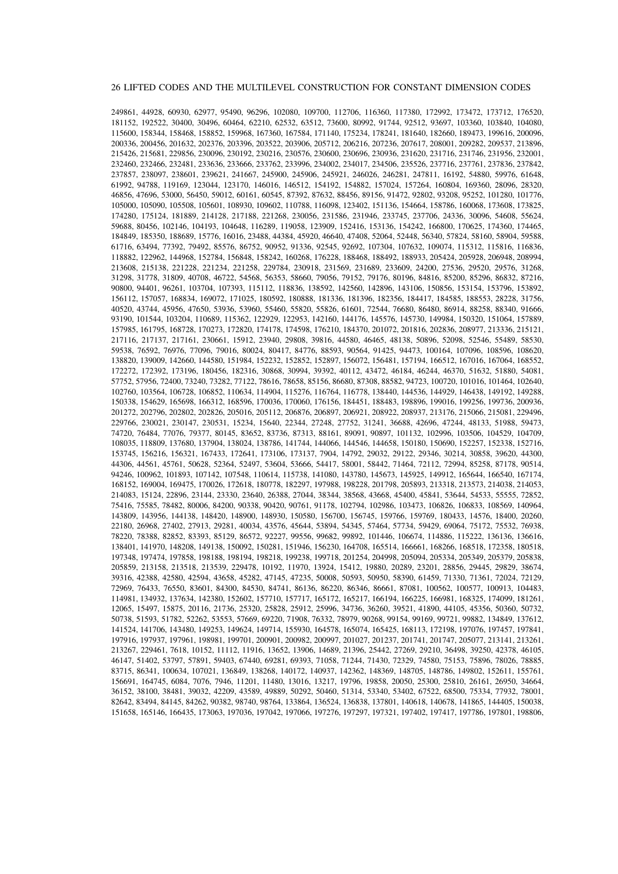249861, 44928, 60930, 62977, 95490, 96296, 102080, 109700, 112706, 116360, 117380, 172992, 173472, 173712, 176520, 181152, 192522, 30400, 30496, 60464, 62210, 62532, 63512, 73600, 80992, 91744, 92512, 93697, 103360, 103840, 104080, 115600, 158344, 158468, 158852, 159968, 167360, 167584, 171140, 175234, 178241, 181640, 182660, 189473, 199616, 200096, 200336, 200456, 201632, 202376, 203396, 203522, 203906, 205712, 206216, 207236, 207617, 208001, 209282, 209537, 213896, 215426, 215681, 229856, 230096, 230192, 230216, 230576, 230600, 230696, 230936, 231620, 231716, 231746, 231956, 232001, 232460, 232466, 232481, 233636, 233666, 233762, 233996, 234002, 234017, 234506, 235526, 237716, 237761, 237836, 237842, 237857, 238097, 238601, 239621, 241667, 245900, 245906, 245921, 246026, 246281, 247811, 16192, 54880, 59976, 61648, 61992, 94788, 119169, 123044, 123170, 146016, 146512, 154192, 154882, 157024, 157264, 160804, 169360, 28096, 28320, 46856, 47696, 53000, 56450, 59012, 60161, 60545, 87392, 87632, 88456, 89156, 91472, 92802, 93208, 95252, 101280, 101776, 105000, 105090, 105508, 105601, 108930, 109602, 110788, 116098, 123402, 151136, 154664, 158786, 160068, 173608, 173825, 174280, 175124, 181889, 214128, 217188, 221268, 230056, 231586, 231946, 233745, 237706, 24336, 30096, 54608, 55624, 59688, 80456, 102146, 104193, 104648, 116289, 119058, 123909, 152416, 153136, 154242, 166800, 170625, 174360, 174465, 184849, 185350, 188689, 15776, 16016, 23488, 44384, 45920, 46640, 47408, 52064, 52448, 56340, 57824, 58160, 58904, 59588, 61716, 63494, 77392, 79492, 85576, 86752, 90952, 91336, 92545, 92692, 107304, 107632, 109074, 115312, 115816, 116836, 118882, 122962, 144968, 152784, 156848, 158242, 160268, 176228, 188468, 188492, 188933, 205424, 205928, 206948, 208994, 213608, 215138, 221228, 221234, 221258, 229784, 230918, 231569, 231689, 233609, 24200, 27536, 29520, 29576, 31268, 31298, 31778, 31809, 40708, 46722, 54568, 56353, 58660, 79056, 79152, 79176, 80196, 84816, 85200, 85296, 86832, 87216, 90800, 94401, 96261, 103704, 107393, 115112, 118836, 138592, 142560, 142896, 143106, 150856, 153154, 153796, 153892, 156112, 157057, 168834, 169072, 171025, 180592, 180888, 181336, 181396, 182356, 184417, 184585, 188553, 28228, 31756, 40520, 43744, 45956, 47650, 53936, 53960, 55460, 55820, 55826, 61601, 72544, 76680, 86480, 86914, 88258, 88340, 91666, 93190, 101544, 103204, 110689, 115362, 122929, 122953, 142160, 144176, 145576, 145730, 149984, 150320, 151064, 157889, 157985, 161795, 168728, 170273, 172820, 174178, 174598, 176210, 184370, 201072, 201816, 202836, 208977, 213336, 215121, 217116, 217137, 217161, 230661, 15912, 23940, 29808, 39816, 44580, 46465, 48138, 50896, 52098, 52546, 55489, 58530, 59538, 76592, 76976, 77096, 79016, 80024, 80417, 84776, 88593, 90564, 91425, 94473, 100164, 107096, 108596, 108620, 138820, 139009, 142660, 144580, 151984, 152232, 152852, 152897, 156072, 156481, 157194, 166512, 167016, 167064, 168552, 172272, 172392, 173196, 180456, 182316, 30868, 30994, 39392, 40112, 43472, 46184, 46244, 46370, 51632, 51880, 54081, 57752, 57956, 72400, 73240, 73282, 77122, 78616, 78658, 85156, 86680, 87308, 88582, 94723, 100720, 101016, 101464, 102640, 102760, 103564, 106728, 106852, 110634, 114904, 115276, 116764, 116778, 138440, 144536, 144929, 146438, 149192, 149288, 150338, 154629, 165698, 166312, 168596, 170036, 170060, 176156, 184451, 188483, 198896, 199016, 199256, 199736, 200936, 201272, 202796, 202802, 202826, 205016, 205112, 206876, 206897, 206921, 208922, 208937, 213176, 215066, 215081, 229496, 229766, 230021, 230147, 230531, 15234, 15640, 22344, 27248, 27752, 31241, 36688, 42696, 47244, 48133, 51988, 59473, 74720, 76484, 77076, 79377, 80145, 83652, 83736, 87313, 88161, 89091, 90897, 101132, 102996, 103506, 104529, 104709, 108035, 118809, 137680, 137904, 138024, 138786, 141744, 144066, 144546, 144658, 150180, 150690, 152257, 152338, 152716, 153745, 156216, 156321, 167433, 172641, 173106, 173137, 7904, 14792, 29032, 29122, 29346, 30214, 30858, 39620, 44300, 44306, 44561, 45761, 50628, 52364, 52497, 53604, 53666, 54417, 58001, 58442, 71464, 72112, 72994, 85258, 87178, 90514, 94246, 100962, 101893, 107142, 107548, 110614, 115738, 141080, 143780, 145673, 145925, 149912, 165644, 166540, 167174, 168152, 169004, 169475, 170026, 172618, 180778, 182297, 197988, 198228, 201798, 205893, 213318, 213573, 214038, 214053, 214083, 15124, 22896, 23144, 23330, 23640, 26388, 27044, 38344, 38568, 43668, 45400, 45841, 53644, 54533, 55555, 72852, 75416, 75585, 78482, 80006, 84200, 90338, 90420, 90761, 91178, 102794, 102986, 103473, 106826, 106833, 108569, 140964, 143809, 143956, 144138, 148420, 148900, 148930, 150580, 156700, 156745, 159766, 159769, 180433, 14576, 18400, 20260, 22180, 26968, 27402, 27913, 29281, 40034, 43576, 45644, 53894, 54345, 57464, 57734, 59429, 69064, 75172, 75532, 76938, 78220, 78388, 82852, 83393, 85129, 86572, 92227, 99556, 99682, 99892, 101446, 106674, 114886, 115222, 136136, 136616, 138401, 141970, 148208, 149138, 150092, 150281, 151946, 156230, 164708, 165514, 166661, 168266, 168518, 172358, 180518, 197348, 197474, 197858, 198188, 198194, 198218, 199238, 199718, 201254, 204998, 205094, 205334, 205349, 205379, 205838, 205859, 213158, 213518, 213539, 229478, 10192, 11970, 13924, 15412, 19880, 20289, 23201, 28856, 29445, 29829, 38674, 39316, 42388, 42580, 42594, 43658, 45282, 47145, 47235, 50008, 50593, 50950, 58390, 61459, 71330, 71361, 72024, 72129, 72969, 76433, 76550, 83601, 84300, 84530, 84741, 86136, 86220, 86346, 86661, 87081, 100562, 100577, 100913, 104483, 114981, 134932, 137634, 142380, 152602, 157710, 157717, 165172, 165217, 166194, 166225, 166981, 168325, 174099, 181261, 12065, 15497, 15875, 20116, 21736, 25320, 25828, 25912, 25996, 34736, 36260, 39521, 41890, 44105, 45356, 50360, 50732, 50738, 51593, 51782, 52262, 53553, 57669, 69220, 71908, 76332, 78979, 90268, 99154, 99169, 99721, 99882, 134849, 137612, 141524, 141706, 143480, 149253, 149624, 149714, 155930, 164578, 165074, 165425, 168113, 172198, 197076, 197457, 197841, 197916, 197937, 197961, 198981, 199701, 200901, 200982, 200997, 201027, 201237, 201741, 201747, 205077, 213141, 213261, 213267, 229461, 7618, 10152, 11112, 11916, 13652, 13906, 14689, 21396, 25442, 27269, 29210, 36498, 39250, 42378, 46105, 46147, 51402, 53797, 57891, 59403, 67440, 69281, 69393, 71058, 71244, 71430, 72329, 74580, 75153, 75896, 78026, 78885, 83715, 86341, 100634, 107021, 136849, 138268, 140172, 140937, 142362, 148369, 148705, 148786, 149802, 152611, 155761, 156691, 164745, 6084, 7076, 7946, 11201, 11480, 13016, 13217, 19796, 19858, 20050, 25300, 25810, 26161, 26950, 34664, 36152, 38100, 38481, 39032, 42209, 43589, 49889, 50292, 50460, 51314, 53340, 53402, 67522, 68500, 75334, 77932, 78001, 82642, 83494, 84145, 84262, 90382, 98740, 98764, 133864, 136524, 136838, 137801, 140618, 140678, 141865, 144405, 150038, 151658, 165146, 166435, 173063, 197036, 197042, 197066, 197276, 197297, 197321, 197402, 197417, 197786, 197801, 198806,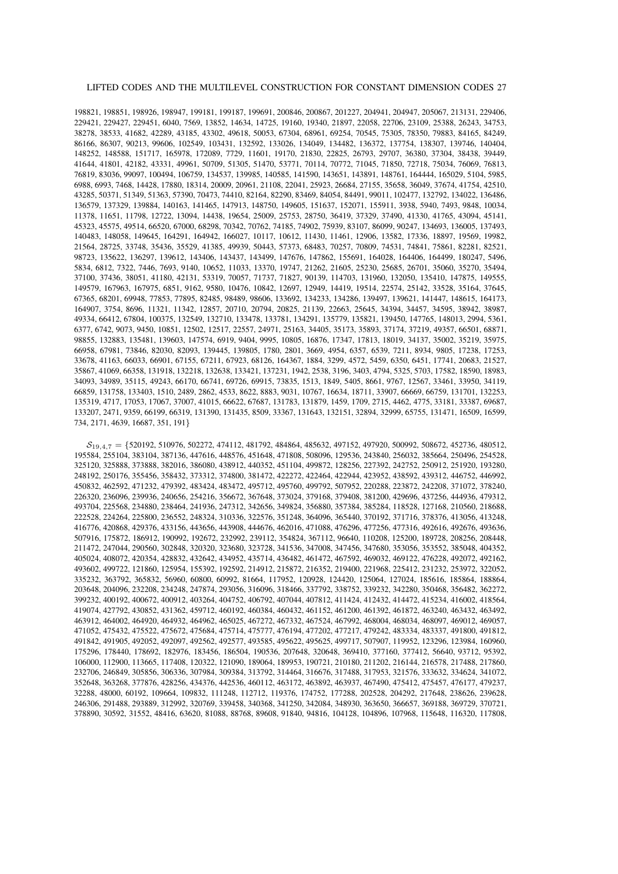198821, 198851, 198926, 198947, 199181, 199187, 199691, 200846, 200867, 201227, 204941, 204947, 205067, 213131, 229406, 229421, 229427, 229451, 6040, 7569, 13852, 14634, 14725, 19160, 19340, 21897, 22058, 22706, 23109, 25388, 26243, 34753, 38278, 38533, 41682, 42289, 43185, 43302, 49618, 50053, 67304, 68961, 69254, 70545, 75305, 78350, 79883, 84165, 84249, 86166, 86307, 90213, 99606, 102549, 103431, 132592, 133026, 134049, 134482, 136372, 137754, 138307, 139746, 140404, 148252, 148588, 151717, 165978, 172089, 7729, 11601, 19170, 21830, 22825, 26793, 29707, 36380, 37304, 38438, 39449, 41644, 41801, 42182, 43331, 49961, 50709, 51305, 51470, 53771, 70114, 70772, 71045, 71850, 72718, 75034, 76069, 76813, 76819, 83036, 99097, 100494, 106759, 134537, 139985, 140585, 141590, 143651, 143891, 148761, 164444, 165029, 5104, 5985, 6988, 6993, 7468, 14428, 17880, 18314, 20009, 20961, 21108, 22041, 25923, 26684, 27155, 35658, 36049, 37674, 41754, 42510, 43285, 50371, 51349, 51363, 57390, 70473, 74410, 82164, 82290, 83469, 84054, 84491, 99011, 102477, 132792, 134022, 136486, 136579, 137329, 139884, 140163, 141465, 147913, 148750, 149605, 151637, 152071, 155911, 3938, 5940, 7493, 9848, 10034, 11378, 11651, 11798, 12722, 13094, 14438, 19654, 25009, 25753, 28750, 36419, 37329, 37490, 41330, 41765, 43094, 45141, 45323, 45575, 49514, 66520, 67000, 68298, 70342, 70762, 74185, 74902, 75939, 83107, 86099, 90247, 134693, 136005, 137493, 140483, 148058, 149645, 164291, 164942, 166027, 10117, 10612, 11430, 11461, 12906, 13582, 17336, 18897, 19569, 19982, 21564, 28725, 33748, 35436, 35529, 41385, 49939, 50443, 57373, 68483, 70257, 70809, 74531, 74841, 75861, 82281, 82521, 98723, 135622, 136297, 139612, 143406, 143437, 143499, 147676, 147862, 155691, 164028, 164406, 164499, 180247, 5496, 5834, 6812, 7322, 7446, 7693, 9140, 10652, 11033, 13370, 19747, 21262, 21605, 25230, 25685, 26701, 35060, 35270, 35494, 37100, 37436, 38051, 41180, 42131, 53319, 70057, 71737, 71827, 90139, 114703, 131960, 132050, 135410, 147875, 149555, 149579, 167963, 167975, 6851, 9162, 9580, 10476, 10842, 12697, 12949, 14419, 19514, 22574, 25142, 33528, 35164, 37645, 67365, 68201, 69948, 77853, 77895, 82485, 98489, 98606, 133692, 134233, 134286, 139497, 139621, 141447, 148615, 164173, 164907, 3754, 8696, 11321, 11342, 12857, 20710, 20794, 20825, 21139, 22663, 25645, 34394, 34457, 34595, 38942, 38987, 49334, 66412, 67804, 100375, 132549, 132710, 133478, 133781, 134291, 135779, 135821, 139450, 147765, 148013, 2994, 5361, 6377, 6742, 9073, 9450, 10851, 12502, 12517, 22557, 24971, 25163, 34405, 35173, 35893, 37174, 37219, 49357, 66501, 68871, 98855, 132883, 135481, 139603, 147574, 6919, 9404, 9995, 10805, 16876, 17347, 17813, 18019, 34137, 35002, 35219, 35975, 66958, 67981, 73846, 82030, 82093, 139445, 139805, 1780, 2801, 3669, 4954, 6357, 6539, 7211, 8934, 9805, 17238, 17253, 33678, 41163, 66033, 66901, 67155, 67211, 67923, 68126, 164367, 1884, 3299, 4572, 5459, 6350, 6451, 17741, 20683, 21527, 35867, 41069, 66358, 131918, 132218, 132638, 133421, 137231, 1942, 2538, 3196, 3403, 4794, 5325, 5703, 17582, 18590, 18983, 34093, 34989, 35115, 49243, 66170, 66741, 69726, 69915, 73835, 1513, 1849, 5405, 8661, 9767, 12567, 33461, 33950, 34119, 66859, 131758, 133403, 1510, 2489, 2862, 4533, 8622, 8883, 9031, 10767, 16634, 18711, 33907, 66669, 66759, 131701, 132253, 135319, 4717, 17053, 17067, 37007, 41015, 66622, 67687, 131783, 131879, 1459, 1709, 2715, 4462, 4775, 33181, 33387, 69687, 133207, 2471, 9359, 66199, 66319, 131390, 131435, 8509, 33367, 131643, 132151, 32894, 32999, 65755, 131471, 16509, 16599, 734, 2171, 4639, 16687, 351, 191}

 $S_{19,4,7} = \{520192, 510976, 502272, 474112, 481792, 484864, 485632, 497152, 497920, 500992, 508672, 452736, 480512,$ 195584, 255104, 383104, 387136, 447616, 448576, 451648, 471808, 508096, 129536, 243840, 256032, 385664, 250496, 254528, 325120, 325888, 373888, 382016, 386080, 438912, 440352, 451104, 499872, 128256, 227392, 242752, 250912, 251920, 193280, 248192, 250176, 355456, 358432, 373312, 374800, 381472, 422272, 422464, 422944, 423952, 438592, 439312, 446752, 446992, 450832, 462592, 471232, 479392, 483424, 483472, 495712, 495760, 499792, 507952, 220288, 223872, 242208, 371072, 378240, 226320, 236096, 239936, 240656, 254216, 356672, 367648, 373024, 379168, 379408, 381200, 429696, 437256, 444936, 479312, 493704, 225568, 234880, 238464, 241936, 247312, 342656, 349824, 356880, 357384, 385284, 118528, 127168, 210560, 218688, 222528, 224264, 225800, 236552, 248324, 310336, 322576, 351248, 364096, 365440, 370192, 371716, 378376, 413056, 413248, 416776, 420868, 429376, 433156, 443656, 443908, 444676, 462016, 471088, 476296, 477256, 477316, 492616, 492676, 493636, 507916, 175872, 186912, 190992, 192672, 232992, 239112, 354824, 367112, 96640, 110208, 125200, 189728, 208256, 208448, 211472, 247044, 290560, 302848, 320320, 323680, 323728, 341536, 347008, 347456, 347680, 353056, 353552, 385048, 404352, 405024, 408072, 420354, 428832, 432642, 434952, 435714, 436482, 461472, 467592, 469032, 469122, 476228, 492072, 492162, 493602, 499722, 121860, 125954, 155392, 192592, 214912, 215872, 216352, 219400, 221968, 225412, 231232, 253972, 322052, 335232, 363792, 365832, 56960, 60800, 60992, 81664, 117952, 120928, 124420, 125064, 127024, 185616, 185864, 188864, 203648, 204096, 232208, 234248, 247874, 293056, 316096, 318466, 337792, 338752, 339232, 342280, 350468, 356482, 362272, 399232, 400192, 400672, 400912, 403264, 404752, 406792, 407044, 407812, 411424, 412432, 414472, 415234, 416002, 418564, 419074, 427792, 430852, 431362, 459712, 460192, 460384, 460432, 461152, 461200, 461392, 461872, 463240, 463432, 463492, 463912, 464002, 464920, 464932, 464962, 465025, 467272, 467332, 467524, 467992, 468004, 468034, 468097, 469012, 469057, 471052, 475432, 475522, 475672, 475684, 475714, 475777, 476194, 477202, 477217, 479242, 483334, 483337, 491800, 491812, 491842, 491905, 492052, 492097, 492562, 492577, 493585, 495622, 495625, 499717, 507907, 119952, 123296, 123984, 160960, 175296, 178440, 178692, 182976, 183456, 186504, 190536, 207648, 320648, 369410, 377160, 377412, 56640, 93712, 95392, 106000, 112900, 113665, 117408, 120322, 121090, 189064, 189953, 190721, 210180, 211202, 216144, 216578, 217488, 217860, 232706, 246849, 305856, 306336, 307984, 309384, 313792, 314464, 316676, 317488, 317953, 321576, 333632, 334624, 341072, 352648, 363268, 377876, 428256, 434376, 442536, 460112, 463172, 463892, 463937, 467490, 475412, 475457, 476177, 479237, 32288, 48000, 60192, 109664, 109832, 111248, 112712, 119376, 174752, 177288, 202528, 204292, 217648, 238626, 239628, 246306, 291488, 293889, 312992, 320769, 339458, 340368, 341250, 342084, 348930, 363650, 366657, 369188, 369729, 370721, 378890, 30592, 31552, 48416, 63620, 81088, 88768, 89608, 91840, 94816, 104128, 104896, 107968, 115648, 116320, 117808,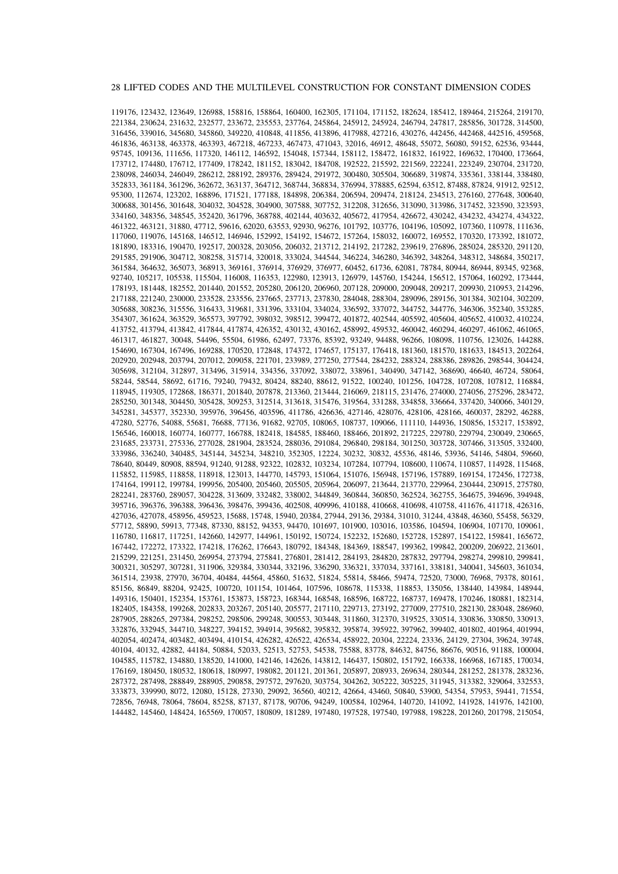119176, 123432, 123649, 126988, 158816, 158864, 160400, 162305, 171104, 171152, 182624, 185412, 189464, 215264, 219170, 221384, 230624, 231632, 232577, 233672, 235553, 237764, 245864, 245912, 245924, 246794, 247817, 285856, 301728, 314500, 316456, 339016, 345680, 345860, 349220, 410848, 411856, 413896, 417988, 427216, 430276, 442456, 442468, 442516, 459568, 461836, 463138, 463378, 463393, 467218, 467233, 467473, 471043, 32016, 46912, 48648, 55072, 56080, 59152, 62536, 93444, 95745, 109136, 111656, 117320, 146112, 146592, 154048, 157344, 158112, 158472, 161832, 161922, 169632, 170400, 173664, 173712, 174480, 176712, 177409, 178242, 181152, 183042, 184708, 192522, 215592, 221569, 222241, 223249, 230704, 231720, 238098, 246034, 246049, 286212, 288192, 289376, 289424, 291972, 300480, 305504, 306689, 319874, 335361, 338144, 338480, 352833, 361184, 361296, 362672, 363137, 364712, 368744, 368834, 376994, 378885, 62594, 63512, 87488, 87824, 91912, 92512, 95300, 112674, 123202, 168896, 171521, 177188, 184898, 206384, 206594, 209474, 218124, 234513, 276160, 277648, 300640, 300688, 301456, 301648, 304032, 304528, 304900, 307588, 307752, 312208, 312656, 313090, 313986, 317452, 323590, 323593, 334160, 348356, 348545, 352420, 361796, 368788, 402144, 403632, 405672, 417954, 426672, 430242, 434232, 434274, 434322, 461322, 463121, 31880, 47712, 59616, 62020, 63553, 92930, 96276, 101792, 103776, 104196, 105092, 107360, 110978, 111636, 117060, 119076, 145168, 146512, 146946, 152992, 154192, 154672, 157264, 158032, 160072, 169552, 170320, 173392, 181072, 181890, 183316, 190470, 192517, 200328, 203056, 206032, 213712, 214192, 217282, 239619, 276896, 285024, 285320, 291120, 291585, 291906, 304712, 308258, 315714, 320018, 333024, 344544, 346224, 346280, 346392, 348264, 348312, 348684, 350217, 361584, 364632, 365073, 368913, 369161, 376914, 376929, 376977, 60452, 61736, 62081, 78784, 80944, 86944, 89345, 92368, 92740, 105217, 105538, 115504, 116008, 116353, 122980, 123913, 126979, 145760, 154244, 156512, 157064, 160292, 173444, 178193, 181448, 182552, 201440, 201552, 205280, 206120, 206960, 207128, 209000, 209048, 209217, 209930, 210953, 214296, 217188, 221240, 230000, 233528, 233556, 237665, 237713, 237830, 284048, 288304, 289096, 289156, 301384, 302104, 302209, 305688, 308236, 315556, 316433, 319681, 331396, 333104, 334024, 336592, 337072, 344752, 344776, 346306, 352340, 353285, 354307, 361624, 363529, 365573, 397792, 398032, 398512, 399472, 401872, 402544, 405592, 405604, 405652, 410032, 410224, 413752, 413794, 413842, 417844, 417874, 426352, 430132, 430162, 458992, 459532, 460042, 460294, 460297, 461062, 461065, 461317, 461827, 30048, 54496, 55504, 61986, 62497, 73376, 85392, 93249, 94488, 96266, 108098, 110756, 123026, 144288, 154690, 167304, 167496, 169288, 170520, 172848, 174372, 174657, 175137, 176418, 181360, 181570, 181633, 184513, 202264, 202920, 202948, 203794, 207012, 209058, 221701, 233989, 277250, 277544, 284232, 288324, 288386, 289826, 298544, 304424, 305698, 312104, 312897, 313496, 315914, 334356, 337092, 338072, 338961, 340490, 347142, 368690, 46640, 46724, 58064, 58244, 58544, 58692, 61716, 79240, 79432, 80424, 88240, 88612, 91522, 100240, 101256, 104728, 107208, 107812, 116884, 118945, 119305, 172868, 186371, 201840, 207878, 213360, 213444, 216069, 218115, 231476, 274000, 274056, 275296, 283472, 285250, 301348, 304450, 305428, 309253, 312514, 313618, 315476, 319564, 331288, 334858, 336664, 337420, 340066, 340129, 345281, 345377, 352330, 395976, 396456, 403596, 411786, 426636, 427146, 428076, 428106, 428166, 460037, 28292, 46288, 47280, 52776, 54088, 55681, 76688, 77136, 91682, 92705, 108065, 108737, 109066, 111110, 144936, 150856, 153217, 153892, 156546, 160018, 160774, 160777, 166788, 182418, 184585, 188460, 188466, 201892, 217225, 229780, 229794, 230049, 230665, 231685, 233731, 275336, 277028, 281904, 283524, 288036, 291084, 296840, 298184, 301250, 303728, 307466, 313505, 332400, 333986, 336240, 340485, 345144, 345234, 348210, 352305, 12224, 30232, 30832, 45536, 48146, 53936, 54146, 54804, 59660, 78640, 80449, 80908, 88594, 91240, 91288, 92322, 102832, 103234, 107284, 107794, 108600, 110674, 110857, 114928, 115468, 115852, 115985, 118858, 118918, 123013, 144770, 145793, 151064, 151076, 156948, 157196, 157889, 169154, 172456, 172738, 174164, 199112, 199784, 199956, 205400, 205460, 205505, 205964, 206097, 213644, 213770, 229964, 230444, 230915, 275780, 282241, 283760, 289057, 304228, 313609, 332482, 338002, 344849, 360844, 360850, 362524, 362755, 364675, 394696, 394948, 395716, 396376, 396388, 396436, 398476, 399436, 402508, 409996, 410188, 410668, 410698, 410758, 411676, 411718, 426316, 427036, 427078, 458956, 459523, 15688, 15748, 15940, 20384, 27944, 29136, 29384, 31010, 31244, 43848, 46360, 55458, 56329, 57712, 58890, 59913, 77348, 87330, 88152, 94353, 94470, 101697, 101900, 103016, 103586, 104594, 106904, 107170, 109061, 116780, 116817, 117251, 142660, 142977, 144961, 150192, 150724, 152232, 152680, 152728, 152897, 154122, 159841, 165672, 167442, 172272, 173322, 174218, 176262, 176643, 180792, 184348, 184369, 188547, 199362, 199842, 200209, 206922, 213601, 215299, 221251, 231450, 269954, 273794, 275841, 276801, 281412, 284193, 284820, 287832, 297794, 298274, 299810, 299841, 300321, 305297, 307281, 311906, 329384, 330344, 332196, 336290, 336321, 337034, 337161, 338181, 340041, 345603, 361034, 361514, 23938, 27970, 36704, 40484, 44564, 45860, 51632, 51824, 55814, 58466, 59474, 72520, 73000, 76968, 79378, 80161, 85156, 86849, 88204, 92425, 100720, 101154, 101464, 107596, 108678, 115338, 118853, 135056, 138440, 143984, 148944, 149316, 150401, 152354, 153761, 153873, 158723, 168344, 168548, 168596, 168722, 168737, 169478, 170246, 180881, 182314, 182405, 184358, 199268, 202833, 203267, 205140, 205577, 217110, 229713, 273192, 277009, 277510, 282130, 283048, 286960, 287905, 288265, 297384, 298252, 298506, 299248, 300553, 303448, 311860, 312370, 319525, 330514, 330836, 330850, 330913, 332876, 332945, 344710, 348227, 394152, 394914, 395682, 395832, 395874, 395922, 397962, 399402, 401802, 401964, 401994, 402054, 402474, 403482, 403494, 410154, 426282, 426522, 426534, 458922, 20304, 22224, 23336, 24129, 27304, 39624, 39748, 40104, 40132, 42882, 44184, 50884, 52033, 52513, 52753, 54538, 75588, 83778, 84632, 84756, 86676, 90516, 91188, 100004, 104585, 115782, 134880, 138520, 141000, 142146, 142626, 143812, 146437, 150802, 151792, 166338, 166968, 167185, 170034, 176169, 180450, 180532, 180618, 180997, 198082, 201121, 201361, 205897, 208933, 269634, 280344, 281252, 281378, 283236, 287372, 287498, 288849, 288905, 290858, 297572, 297620, 303754, 304262, 305222, 305225, 311945, 313382, 329064, 332553, 333873, 339990, 8072, 12080, 15128, 27330, 29092, 36560, 40212, 42664, 43460, 50840, 53900, 54354, 57953, 59441, 71554, 72856, 76948, 78064, 78604, 85258, 87137, 87178, 90706, 94249, 100584, 102964, 140720, 141092, 141928, 141976, 142100, 144482, 145460, 148424, 165569, 170057, 180809, 181289, 197480, 197528, 197540, 197988, 198228, 201260, 201798, 215054,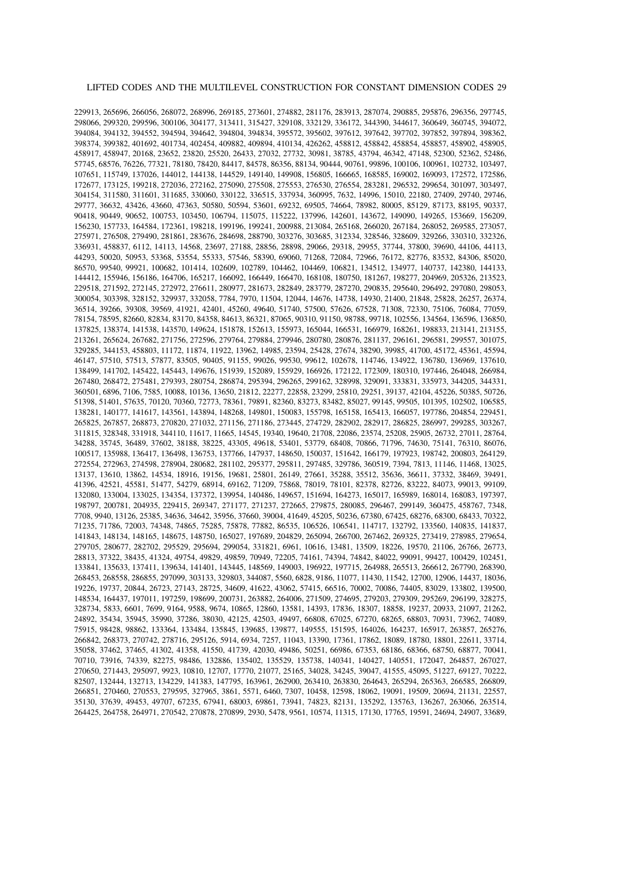229913, 265696, 266056, 268072, 268996, 269185, 273601, 274882, 281176, 283913, 287074, 290885, 295876, 296356, 297745, 298066, 299320, 299596, 300106, 304177, 313411, 315427, 329108, 332129, 336172, 344390, 344617, 360649, 360745, 394072, 394084, 394132, 394552, 394594, 394642, 394804, 394834, 395572, 395602, 397612, 397642, 397702, 397852, 397894, 398362, 398374, 399382, 401692, 401734, 402454, 409882, 409894, 410134, 426262, 458812, 458842, 458854, 458857, 458902, 458905, 458917, 458947, 20168, 23652, 23820, 25520, 26433, 27032, 27732, 30981, 38785, 43794, 46342, 47148, 52300, 52362, 52486, 57745, 68576, 76226, 77321, 78180, 78420, 84417, 84578, 86356, 88134, 90444, 90761, 99896, 100106, 100961, 102732, 103497, 107651, 115749, 137026, 144012, 144138, 144529, 149140, 149908, 156805, 166665, 168585, 169002, 169093, 172572, 172586, 172677, 173125, 199218, 272036, 272162, 275090, 275508, 275553, 276530, 276554, 283281, 296532, 299654, 301097, 303497, 304154, 311580, 311601, 311685, 330060, 330122, 336515, 337934, 360995, 7632, 14996, 15010, 22180, 27409, 29740, 29746, 29777, 36632, 43426, 43660, 47363, 50580, 50594, 53601, 69232, 69505, 74664, 78982, 80005, 85129, 87173, 88195, 90337, 90418, 90449, 90652, 100753, 103450, 106794, 115075, 115222, 137996, 142601, 143672, 149090, 149265, 153669, 156209, 156230, 157733, 164584, 172361, 198218, 199196, 199241, 200988, 213084, 265168, 266020, 267184, 268052, 269585, 273057, 275971, 276508, 279490, 281861, 283676, 284698, 288790, 303276, 303685, 312334, 328546, 328609, 329266, 330310, 332326, 336931, 458837, 6112, 14113, 14568, 23697, 27188, 28856, 28898, 29066, 29318, 29955, 37744, 37800, 39690, 44106, 44113, 44293, 50020, 50953, 53368, 53554, 55333, 57546, 58390, 69060, 71268, 72084, 72966, 76172, 82776, 83532, 84306, 85020, 86570, 99540, 99921, 100682, 101414, 102609, 102789, 104462, 104469, 106821, 134512, 134977, 140737, 142380, 144133, 144412, 155946, 156186, 164706, 165217, 166092, 166449, 166470, 168108, 180750, 181267, 198277, 204969, 205326, 213523, 229518, 271592, 272145, 272972, 276611, 280977, 281673, 282849, 283779, 287270, 290835, 295640, 296492, 297080, 298053, 300054, 303398, 328152, 329937, 332058, 7784, 7970, 11504, 12044, 14676, 14738, 14930, 21400, 21848, 25828, 26257, 26374, 36514, 39266, 39308, 39569, 41921, 42401, 45260, 49640, 51740, 57500, 57626, 67528, 71308, 72330, 75106, 76084, 77059, 78154, 78595, 82660, 82834, 83170, 84358, 84613, 86321, 87065, 90310, 91150, 98788, 99718, 102556, 134564, 136596, 136850, 137825, 138374, 141538, 143570, 149624, 151878, 152613, 155973, 165044, 166531, 166979, 168261, 198833, 213141, 213155, 213261, 265624, 267682, 271756, 272596, 279764, 279884, 279946, 280780, 280876, 281137, 296161, 296581, 299557, 301075, 329285, 344153, 458803, 11172, 11874, 11922, 13962, 14985, 23594, 25428, 27674, 38290, 39985, 41700, 45172, 45361, 45594, 46147, 57510, 57513, 57877, 83505, 90405, 91155, 99026, 99530, 99612, 102678, 114746, 134922, 136780, 136969, 137610, 138499, 141702, 145422, 145443, 149676, 151939, 152089, 155929, 166926, 172122, 172309, 180310, 197446, 264048, 266984, 267480, 268472, 275481, 279393, 280754, 286874, 295394, 296265, 299162, 328998, 329091, 333831, 335973, 344205, 344331, 360501, 6896, 7106, 7585, 10088, 10136, 13650, 21812, 22277, 22858, 23299, 25810, 29251, 39137, 42104, 45226, 50385, 50726, 51398, 51401, 57635, 70120, 70360, 72773, 78361, 79891, 82360, 83273, 83482, 85027, 99145, 99505, 101395, 102502, 106585, 138281, 140177, 141617, 143561, 143894, 148268, 149801, 150083, 155798, 165158, 165413, 166057, 197786, 204854, 229451, 265825, 267857, 268873, 270820, 271032, 271156, 271186, 273445, 274729, 282902, 282917, 286825, 286997, 299285, 303267, 311815, 328348, 331918, 344110, 11617, 11665, 14545, 19340, 19640, 21708, 22086, 23574, 25208, 25905, 26732, 27011, 28764, 34288, 35745, 36489, 37602, 38188, 38225, 43305, 49618, 53401, 53779, 68408, 70866, 71796, 74630, 75141, 76310, 86076, 100517, 135988, 136417, 136498, 136753, 137766, 147937, 148650, 150037, 151642, 166179, 197923, 198742, 200803, 264129, 272554, 272963, 274598, 278904, 280682, 281102, 295377, 295811, 297485, 329786, 360519, 7394, 7813, 11146, 11468, 13025, 13137, 13610, 13862, 14534, 18916, 19156, 19681, 25801, 26149, 27661, 35288, 35512, 35636, 36611, 37332, 38469, 39491, 41396, 42521, 45581, 51477, 54279, 68914, 69162, 71209, 75868, 78019, 78101, 82378, 82726, 83222, 84073, 99013, 99109, 132080, 133004, 133025, 134354, 137372, 139954, 140486, 149657, 151694, 164273, 165017, 165989, 168014, 168083, 197397, 198797, 200781, 204935, 229415, 269347, 271177, 271237, 272665, 279875, 280085, 296467, 299149, 360475, 458767, 7348, 7708, 9940, 13126, 25385, 34636, 34642, 35956, 37660, 39004, 41649, 45205, 50236, 67380, 67425, 68276, 68300, 68433, 70322, 71235, 71786, 72003, 74348, 74865, 75285, 75878, 77882, 86535, 106526, 106541, 114717, 132792, 133560, 140835, 141837, 141843, 148134, 148165, 148675, 148750, 165027, 197689, 204829, 265094, 266700, 267462, 269325, 273419, 278985, 279654, 279705, 280677, 282702, 295529, 295694, 299054, 331821, 6961, 10616, 13481, 13509, 18226, 19570, 21106, 26766, 26773, 28813, 37322, 38435, 41324, 49754, 49829, 49859, 70949, 72205, 74161, 74394, 74842, 84022, 99091, 99427, 100429, 102451, 133841, 135633, 137411, 139634, 141401, 143445, 148569, 149003, 196922, 197715, 264988, 265513, 266612, 267790, 268390, 268453, 268558, 286855, 297099, 303133, 329803, 344087, 5560, 6828, 9186, 11077, 11430, 11542, 12700, 12906, 14437, 18036, 19226, 19737, 20844, 26723, 27143, 28725, 34609, 41622, 43062, 57415, 66516, 70002, 70086, 74405, 83029, 133802, 139500, 148534, 164437, 197011, 197259, 198699, 200731, 263882, 264006, 271509, 274695, 279203, 279309, 295269, 296199, 328275, 328734, 5833, 6601, 7699, 9164, 9588, 9674, 10865, 12860, 13581, 14393, 17836, 18307, 18858, 19237, 20933, 21097, 21262, 24892, 35434, 35945, 35990, 37286, 38030, 42125, 42503, 49497, 66808, 67025, 67270, 68265, 68803, 70931, 73962, 74089, 75915, 98428, 98862, 133364, 133484, 135845, 139685, 139877, 149555, 151595, 164026, 164237, 165917, 263857, 265276, 266842, 268373, 270742, 278716, 295126, 5914, 6934, 7257, 11043, 13390, 17361, 17862, 18089, 18780, 18801, 22611, 33714, 35058, 37462, 37465, 41302, 41358, 41550, 41739, 42030, 49486, 50251, 66986, 67353, 68186, 68366, 68750, 68877, 70041, 70710, 73916, 74339, 82275, 98486, 132886, 135402, 135529, 135738, 140341, 140427, 140551, 172047, 264857, 267027, 270650, 271443, 295097, 9923, 10810, 12707, 17770, 21077, 25165, 34028, 34245, 39047, 41555, 45095, 51227, 69127, 70222, 82507, 132444, 132713, 134229, 141383, 147795, 163961, 262900, 263410, 263830, 264643, 265294, 265363, 266585, 266809, 266851, 270460, 270553, 279595, 327965, 3861, 5571, 6460, 7307, 10458, 12598, 18062, 19091, 19509, 20694, 21131, 22557, 35130, 37639, 49453, 49707, 67235, 67941, 68003, 69861, 73941, 74823, 82131, 135292, 135763, 136267, 263066, 263514, 264425, 264758, 264971, 270542, 270878, 270899, 2930, 5478, 9561, 10574, 11315, 17130, 17765, 19591, 24694, 24907, 33689,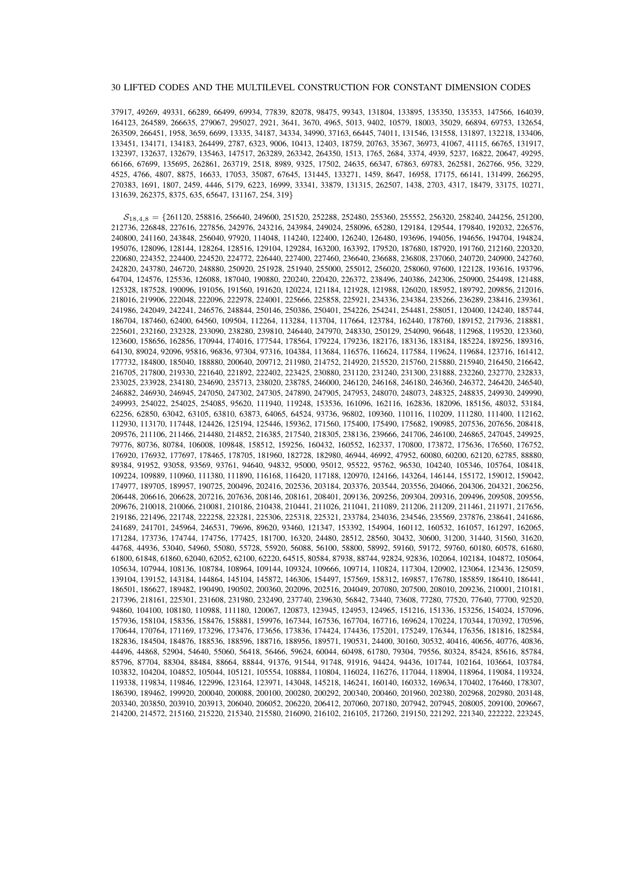37917, 49269, 49331, 66289, 66499, 69934, 77839, 82078, 98475, 99343, 131804, 133895, 135350, 135353, 147566, 164039, 164123, 264589, 266635, 279067, 295027, 2921, 3641, 3670, 4965, 5013, 9402, 10579, 18003, 35029, 66894, 69753, 132654, 263509, 266451, 1958, 3659, 6699, 13335, 34187, 34334, 34990, 37163, 66445, 74011, 131546, 131558, 131897, 132218, 133406, 133451, 134171, 134183, 264499, 2787, 6323, 9006, 10413, 12403, 18759, 20763, 35367, 36973, 41067, 41115, 66765, 131917, 132397, 132637, 132679, 135463, 147517, 263289, 263342, 264350, 1513, 1765, 2684, 3374, 4939, 5237, 16822, 20647, 49295, 66166, 67699, 135695, 262861, 263719, 2518, 8989, 9325, 17502, 24635, 66347, 67863, 69783, 262581, 262766, 956, 3229, 4525, 4766, 4807, 8875, 16633, 17053, 35087, 67645, 131445, 133271, 1459, 8647, 16958, 17175, 66141, 131499, 266295, 270383, 1691, 1807, 2459, 4446, 5179, 6223, 16999, 33341, 33879, 131315, 262507, 1438, 2703, 4317, 18479, 33175, 10271, 131639, 262375, 8375, 635, 65647, 131167, 254, 319}

 $S_{18,4,8} = \{261120, 258816, 256640, 249600, 251520, 252288, 252480, 255360, 255552, 256320, 258240, 244256, 251200,$ 212736, 226848, 227616, 227856, 242976, 243216, 243984, 249024, 258096, 65280, 129184, 129544, 179840, 192032, 226576, 240800, 241160, 243848, 256040, 97920, 114048, 114240, 122400, 126240, 126480, 193696, 194056, 194656, 194704, 194824, 195076, 128096, 128144, 128264, 128516, 129104, 129284, 163200, 163392, 179520, 187680, 187920, 191760, 212160, 220320, 220680, 224352, 224400, 224520, 224772, 226440, 227400, 227460, 236640, 236688, 236808, 237060, 240720, 240900, 242760, 242820, 243780, 246720, 248880, 250920, 251928, 251940, 255000, 255012, 256020, 258060, 97600, 122128, 193616, 193796, 64704, 124576, 125536, 126088, 187040, 190880, 220240, 220420, 226372, 238496, 240386, 242306, 250900, 254498, 121488, 125328, 187528, 190096, 191056, 191560, 191620, 120224, 121184, 121928, 121988, 126020, 185952, 189792, 209856, 212016, 218016, 219906, 222048, 222096, 222978, 224001, 225666, 225858, 225921, 234336, 234384, 235266, 236289, 238416, 239361, 241986, 242049, 242241, 246576, 248844, 250146, 250386, 250401, 254226, 254241, 254481, 258051, 120400, 124240, 185744, 186704, 187460, 62400, 64560, 109504, 112264, 113284, 113704, 117664, 123784, 162440, 178760, 189152, 217936, 218881, 225601, 232160, 232328, 233090, 238280, 239810, 246440, 247970, 248330, 250129, 254090, 96648, 112968, 119520, 123360, 123600, 158656, 162856, 170944, 174016, 177544, 178564, 179224, 179236, 182176, 183136, 183184, 185224, 189256, 189316, 64130, 89024, 92096, 95816, 96836, 97304, 97316, 104384, 113684, 116576, 116624, 117584, 119624, 119684, 123716, 161412, 177732, 184800, 185040, 188880, 200640, 209712, 211980, 214752, 214920, 215520, 215760, 215880, 215940, 216450, 216642, 216705, 217800, 219330, 221640, 221892, 222402, 223425, 230880, 231120, 231240, 231300, 231888, 232260, 232770, 232833, 233025, 233928, 234180, 234690, 235713, 238020, 238785, 246000, 246120, 246168, 246180, 246360, 246372, 246420, 246540, 246882, 246930, 246945, 247050, 247302, 247305, 247890, 247905, 247953, 248070, 248073, 248325, 248835, 249930, 249990, 249993, 254022, 254025, 254085, 95620, 111940, 119248, 153536, 161096, 162116, 162836, 182096, 185156, 48032, 53184, 62256, 62850, 63042, 63105, 63810, 63873, 64065, 64524, 93736, 96802, 109360, 110116, 110209, 111280, 111400, 112162, 112930, 113170, 117448, 124426, 125194, 125446, 159362, 171560, 175400, 175490, 175682, 190985, 207536, 207656, 208418, 209576, 211106, 211466, 214480, 214852, 216385, 217540, 218305, 238136, 239666, 241706, 246100, 246865, 247045, 249925, 79776, 80736, 80784, 106008, 109848, 158512, 159256, 160432, 160552, 162337, 170800, 173872, 175636, 176560, 176752, 176920, 176932, 177697, 178465, 178705, 181960, 182728, 182980, 46944, 46992, 47952, 60080, 60200, 62120, 62785, 88880, 89384, 91952, 93058, 93569, 93761, 94640, 94832, 95000, 95012, 95522, 95762, 96530, 104240, 105346, 105764, 108418, 109224, 109889, 110960, 111380, 111890, 116168, 116420, 117188, 120970, 124166, 143264, 146144, 155172, 159012, 159042, 174977, 189705, 189957, 190725, 200496, 202416, 202536, 203184, 203376, 203544, 203556, 204066, 204306, 204321, 206256, 206448, 206616, 206628, 207216, 207636, 208146, 208161, 208401, 209136, 209256, 209304, 209316, 209496, 209508, 209556, 209676, 210018, 210066, 210081, 210186, 210438, 210441, 211026, 211041, 211089, 211206, 211209, 211461, 211971, 217656, 219186, 221496, 221748, 222258, 223281, 225306, 225318, 225321, 233784, 234036, 234546, 235569, 237876, 238641, 241686, 241689, 241701, 245964, 246531, 79696, 89620, 93460, 121347, 153392, 154904, 160112, 160532, 161057, 161297, 162065, 171284, 173736, 174744, 174756, 177425, 181700, 16320, 24480, 28512, 28560, 30432, 30600, 31200, 31440, 31560, 31620, 44768, 44936, 53040, 54960, 55080, 55728, 55920, 56088, 56100, 58800, 58992, 59160, 59172, 59760, 60180, 60578, 61680, 61800, 61848, 61860, 62040, 62052, 62100, 62220, 64515, 80584, 87938, 88744, 92824, 92836, 102064, 102184, 104872, 105064, 105634, 107944, 108136, 108784, 108964, 109144, 109324, 109666, 109714, 110824, 117304, 120902, 123064, 123436, 125059, 139104, 139152, 143184, 144864, 145104, 145872, 146306, 154497, 157569, 158312, 169857, 176780, 185859, 186410, 186441, 186501, 186627, 189482, 190490, 190502, 200360, 202096, 202516, 204049, 207080, 207500, 208010, 209236, 210001, 210181, 217396, 218161, 225301, 231608, 231980, 232490, 237740, 239630, 56842, 73440, 73608, 77280, 77520, 77640, 77700, 92520, 94860, 104100, 108180, 110988, 111180, 120067, 120873, 123945, 124953, 124965, 151216, 151336, 153256, 154024, 157096, 157936, 158104, 158356, 158476, 158881, 159976, 167344, 167536, 167704, 167716, 169624, 170224, 170344, 170392, 170596, 170644, 170764, 171169, 173296, 173476, 173656, 173836, 174424, 174436, 175201, 175249, 176344, 176356, 181816, 182584, 182836, 184504, 184876, 188536, 188596, 188716, 188956, 189571, 190531, 24400, 30160, 30532, 40416, 40656, 40776, 40836, 44496, 44868, 52904, 54640, 55060, 56418, 56466, 59624, 60044, 60498, 61780, 79304, 79556, 80324, 85424, 85616, 85784, 85796, 87704, 88304, 88484, 88664, 88844, 91376, 91544, 91748, 91916, 94424, 94436, 101744, 102164, 103664, 103784, 103832, 104204, 104852, 105044, 105121, 105554, 108884, 110804, 116024, 116276, 117044, 118904, 118964, 119084, 119324, 119338, 119834, 119846, 122996, 123164, 123971, 143048, 145218, 146241, 160140, 160332, 169634, 170402, 176460, 178307, 186390, 189462, 199920, 200040, 200088, 200100, 200280, 200292, 200340, 200460, 201960, 202380, 202968, 202980, 203148, 203340, 203850, 203910, 203913, 206040, 206052, 206220, 206412, 207060, 207180, 207942, 207945, 208005, 209100, 209667, 214200, 214572, 215160, 215220, 215340, 215580, 216090, 216102, 216105, 217260, 219150, 221292, 221340, 222222, 223245,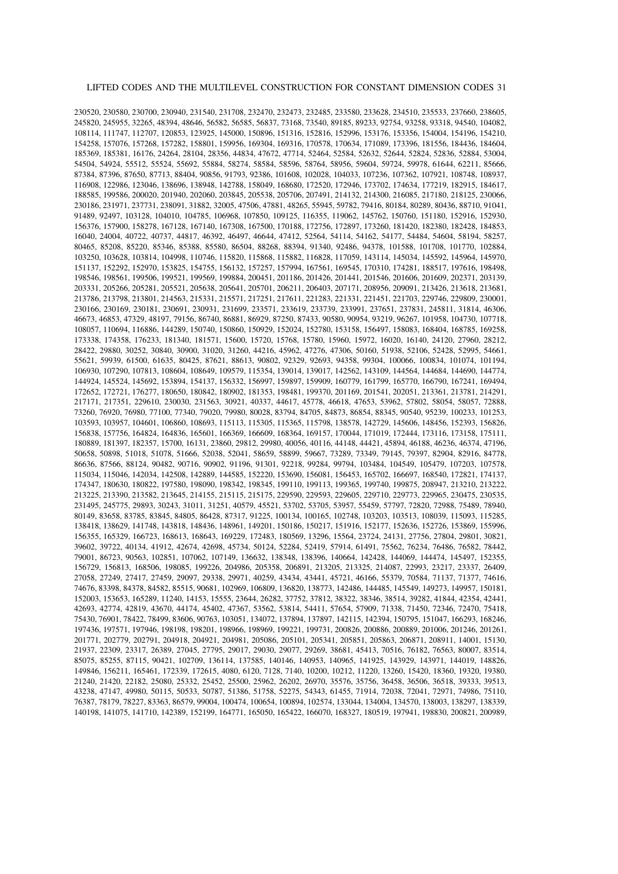230520, 230580, 230700, 230940, 231540, 231708, 232470, 232473, 232485, 233580, 233628, 234510, 235533, 237660, 238605, 245820, 245955, 32265, 48394, 48646, 56582, 56585, 56837, 73168, 73540, 89185, 89233, 92754, 93258, 93318, 94540, 104082, 108114, 111747, 112707, 120853, 123925, 145000, 150896, 151316, 152816, 152996, 153176, 153356, 154004, 154196, 154210, 154258, 157076, 157268, 157282, 158801, 159956, 169304, 169316, 170578, 170634, 171089, 173396, 181556, 184436, 184604, 185369, 185381, 16176, 24264, 28104, 28356, 44834, 47672, 47714, 52464, 52584, 52632, 52644, 52824, 52836, 52884, 53004, 54504, 54924, 55512, 55524, 55692, 55884, 58274, 58584, 58596, 58764, 58956, 59604, 59724, 59978, 61644, 62211, 85666, 87384, 87396, 87650, 87713, 88404, 90856, 91793, 92386, 101608, 102028, 104033, 107236, 107362, 107921, 108748, 108937, 116908, 122986, 123046, 138696, 138948, 142788, 158049, 168680, 172520, 172946, 173702, 174634, 177219, 182915, 184617, 188585, 199586, 200020, 201940, 202060, 203845, 205538, 205706, 207491, 214132, 214300, 216085, 217180, 218125, 230066, 230186, 231971, 237731, 238091, 31882, 32005, 47506, 47881, 48265, 55945, 59782, 79416, 80184, 80289, 80436, 88710, 91041, 91489, 92497, 103128, 104010, 104785, 106968, 107850, 109125, 116355, 119062, 145762, 150760, 151180, 152916, 152930, 156376, 157900, 158278, 167128, 167140, 167308, 167500, 170188, 172756, 172897, 173260, 181420, 182380, 182428, 184853, 16040, 24004, 40722, 40737, 44817, 46392, 46497, 46644, 47412, 52564, 54114, 54162, 54177, 54484, 54604, 58194, 58257, 80465, 85208, 85220, 85346, 85388, 85580, 86504, 88268, 88394, 91340, 92486, 94378, 101588, 101708, 101770, 102884, 103250, 103628, 103814, 104998, 110746, 115820, 115868, 115882, 116828, 117059, 143114, 145034, 145592, 145964, 145970, 151137, 152292, 152970, 153825, 154755, 156132, 157257, 157994, 167561, 169545, 170310, 174281, 188517, 197616, 198498, 198546, 198561, 199506, 199521, 199569, 199884, 200451, 201186, 201426, 201441, 201546, 201606, 201609, 202371, 203139, 203331, 205266, 205281, 205521, 205638, 205641, 205701, 206211, 206403, 207171, 208956, 209091, 213426, 213618, 213681, 213786, 213798, 213801, 214563, 215331, 215571, 217251, 217611, 221283, 221331, 221451, 221703, 229746, 229809, 230001, 230166, 230169, 230181, 230691, 230931, 231699, 233571, 233619, 233739, 233991, 237651, 237831, 245811, 31814, 46306, 46673, 46853, 47329, 48197, 79156, 86740, 86881, 86929, 87250, 87433, 90580, 90954, 93219, 96267, 101958, 104730, 107718, 108057, 110694, 116886, 144289, 150740, 150860, 150929, 152024, 152780, 153158, 156497, 158083, 168404, 168785, 169258, 173338, 174358, 176233, 181340, 181571, 15600, 15720, 15768, 15780, 15960, 15972, 16020, 16140, 24120, 27960, 28212, 28422, 29880, 30252, 30840, 30900, 31020, 31260, 44216, 45962, 47276, 47306, 50160, 51938, 52106, 52428, 52995, 54661, 55621, 59939, 61500, 61635, 80425, 87621, 88613, 90802, 92329, 92693, 94358, 99304, 100066, 100834, 101074, 101194, 106930, 107290, 107813, 108604, 108649, 109579, 115354, 139014, 139017, 142562, 143109, 144564, 144684, 144690, 144774, 144924, 145524, 145692, 153894, 154137, 156332, 156997, 159897, 159909, 160779, 161799, 165770, 166790, 167241, 169494, 172652, 172721, 176277, 180650, 180842, 180902, 181353, 198481, 199370, 201169, 201541, 202051, 213361, 213781, 214291, 217171, 217351, 229610, 230030, 231563, 30921, 40337, 44617, 45778, 46618, 47653, 53962, 57802, 58054, 58057, 72888, 73260, 76920, 76980, 77100, 77340, 79020, 79980, 80028, 83794, 84705, 84873, 86854, 88345, 90540, 95239, 100233, 101253, 103593, 103957, 104601, 106860, 108693, 115113, 115305, 115365, 115798, 138578, 142729, 145606, 148456, 152393, 156826, 156838, 157756, 164824, 164836, 165601, 166369, 166609, 168364, 169157, 170044, 171019, 172444, 173116, 173158, 175111, 180889, 181397, 182357, 15700, 16131, 23860, 29812, 29980, 40056, 40116, 44148, 44421, 45894, 46188, 46236, 46374, 47196, 50658, 50898, 51018, 51078, 51666, 52038, 52041, 58659, 58899, 59667, 73289, 73349, 79145, 79397, 82904, 82916, 84778, 86636, 87566, 88124, 90482, 90716, 90902, 91196, 91301, 92218, 99284, 99794, 103484, 104549, 105479, 107203, 107578, 115034, 115046, 142034, 142508, 142889, 144585, 152220, 153690, 156081, 156453, 165702, 166697, 168540, 172821, 174137, 174347, 180630, 180822, 197580, 198090, 198342, 198345, 199110, 199113, 199365, 199740, 199875, 208947, 213210, 213222, 213225, 213390, 213582, 213645, 214155, 215115, 215175, 229590, 229593, 229605, 229710, 229773, 229965, 230475, 230535, 231495, 245775, 29893, 30243, 31011, 31251, 40579, 45521, 53702, 53705, 53957, 55459, 57797, 72820, 72988, 75489, 78940, 80149, 83658, 83785, 83845, 84805, 86428, 87317, 91225, 100134, 100165, 102748, 103203, 103513, 108039, 115093, 115285, 138418, 138629, 141748, 143818, 148436, 148961, 149201, 150186, 150217, 151916, 152177, 152636, 152726, 153869, 155996, 156355, 165329, 166723, 168613, 168643, 169229, 172483, 180569, 13296, 15564, 23724, 24131, 27756, 27804, 29801, 30821, 39602, 39722, 40134, 41912, 42674, 42698, 45734, 50124, 52284, 52419, 57914, 61491, 75562, 76234, 76486, 76582, 78442, 79001, 86723, 90563, 102851, 107062, 107149, 136632, 138348, 138396, 140664, 142428, 144069, 144474, 145497, 152355, 156729, 156813, 168506, 198085, 199226, 204986, 205358, 206891, 213205, 213325, 214087, 22993, 23217, 23337, 26409, 27058, 27249, 27417, 27459, 29097, 29338, 29971, 40259, 43434, 43441, 45721, 46166, 55379, 70584, 71137, 71377, 74616, 74676, 83398, 84378, 84582, 85515, 90681, 102969, 106809, 136820, 138773, 142486, 144485, 145549, 149273, 149957, 150181, 152003, 153653, 165289, 11240, 14153, 15555, 23644, 26282, 37752, 37812, 38322, 38346, 38514, 39282, 41844, 42354, 42441, 42693, 42774, 42819, 43670, 44174, 45402, 47367, 53562, 53814, 54411, 57654, 57909, 71338, 71450, 72346, 72470, 75418, 75430, 76901, 78422, 78499, 83606, 90763, 103051, 134072, 137894, 137897, 142115, 142394, 150795, 151047, 166293, 168246, 197436, 197571, 197946, 198198, 198201, 198966, 198969, 199221, 199731, 200826, 200886, 200889, 201006, 201246, 201261, 201771, 202779, 202791, 204918, 204921, 204981, 205086, 205101, 205341, 205851, 205863, 206871, 208911, 14001, 15130, 21937, 22309, 23317, 26389, 27045, 27795, 29017, 29030, 29077, 29269, 38681, 45413, 70516, 76182, 76563, 80007, 83514, 85075, 85255, 87115, 90421, 102709, 136114, 137585, 140146, 140953, 140965, 141925, 143929, 143971, 144019, 148826, 149846, 156211, 165461, 172339, 172615, 4080, 6120, 7128, 7140, 10200, 10212, 11220, 13260, 15420, 18360, 19320, 19380, 21240, 21420, 22182, 25080, 25332, 25452, 25500, 25962, 26202, 26970, 35576, 35756, 36458, 36506, 36518, 39333, 39513, 43238, 47147, 49980, 50115, 50533, 50787, 51386, 51758, 52275, 54343, 61455, 71914, 72038, 72041, 72971, 74986, 75110, 76387, 78179, 78227, 83363, 86579, 99004, 100474, 100654, 100894, 102574, 133044, 134004, 134570, 138003, 138297, 138339, 140198, 141075, 141710, 142389, 152199, 164771, 165050, 165422, 166070, 168327, 180519, 197941, 198830, 200821, 200989,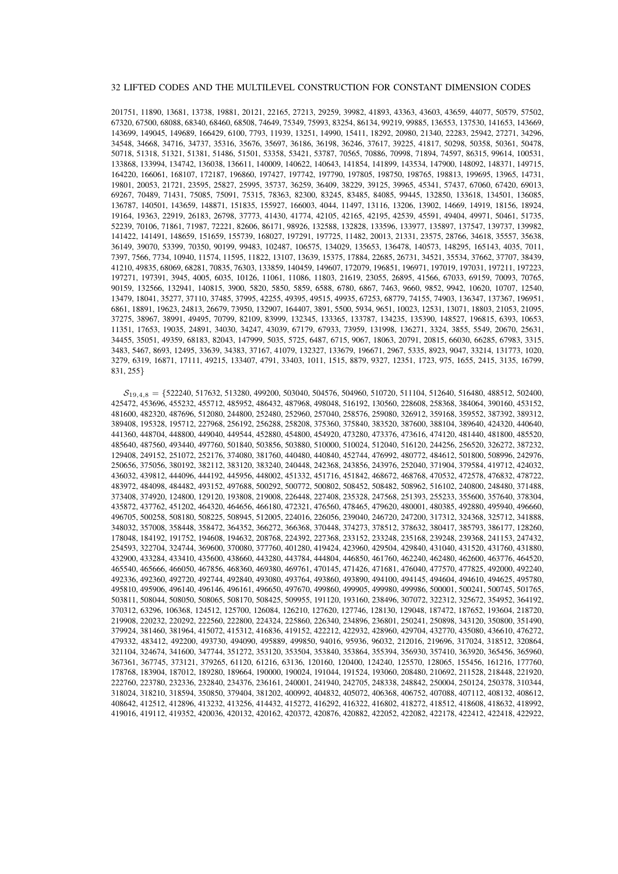201751, 11890, 13681, 13738, 19881, 20121, 22165, 27213, 29259, 39982, 41893, 43363, 43603, 43659, 44077, 50579, 57502, 67320, 67500, 68088, 68340, 68460, 68508, 74649, 75349, 75993, 83254, 86134, 99219, 99885, 136553, 137530, 141653, 143669, 143699, 149045, 149689, 166429, 6100, 7793, 11939, 13251, 14990, 15411, 18292, 20980, 21340, 22283, 25942, 27271, 34296, 34548, 34668, 34716, 34737, 35316, 35676, 35697, 36186, 36198, 36246, 37617, 39225, 41817, 50298, 50358, 50361, 50478, 50718, 51318, 51321, 51381, 51486, 51501, 53358, 53421, 53787, 70565, 70886, 70998, 71894, 74597, 86315, 99614, 100531, 133868, 133994, 134742, 136038, 136611, 140009, 140622, 140643, 141854, 141899, 143534, 147900, 148092, 148371, 149715, 164220, 166061, 168107, 172187, 196860, 197427, 197742, 197790, 197805, 198750, 198765, 198813, 199695, 13965, 14731, 19801, 20053, 21721, 23595, 25827, 25995, 35737, 36259, 36409, 38229, 39125, 39965, 45341, 57437, 67060, 67420, 69013, 69267, 70489, 71431, 75085, 75091, 75315, 78363, 82300, 83245, 83485, 84085, 99445, 132850, 133618, 134501, 136085, 136787, 140501, 143659, 148871, 151835, 155927, 166003, 4044, 11497, 13116, 13206, 13902, 14669, 14919, 18156, 18924, 19164, 19363, 22919, 26183, 26798, 37773, 41430, 41774, 42105, 42165, 42195, 42539, 45591, 49404, 49971, 50461, 51735, 52239, 70106, 71861, 71987, 72221, 82606, 86171, 98926, 132588, 132828, 133596, 133977, 135897, 137547, 139737, 139982, 141422, 141491, 148659, 151659, 155739, 168027, 197291, 197725, 11482, 20013, 21331, 23575, 28766, 34618, 35557, 35638, 36149, 39070, 53399, 70350, 90199, 99483, 102487, 106575, 134029, 135653, 136478, 140573, 148295, 165143, 4035, 7011, 7397, 7566, 7734, 10940, 11574, 11595, 11822, 13107, 13639, 15375, 17884, 22685, 26731, 34521, 35534, 37662, 37707, 38439, 41210, 49835, 68069, 68281, 70835, 76303, 133859, 140459, 149607, 172079, 196851, 196971, 197019, 197031, 197211, 197223, 197271, 197391, 3945, 4005, 6035, 10126, 11061, 11086, 11803, 21619, 23055, 26895, 41566, 67033, 69159, 70093, 70765, 90159, 132566, 132941, 140815, 3900, 5820, 5850, 5859, 6588, 6780, 6867, 7463, 9660, 9852, 9942, 10620, 10707, 12540, 13479, 18041, 35277, 37110, 37485, 37995, 42255, 49395, 49515, 49935, 67253, 68779, 74155, 74903, 136347, 137367, 196951, 6861, 18891, 19623, 24813, 26679, 73950, 132907, 164407, 3891, 5500, 5934, 9651, 10023, 12531, 13071, 18803, 21053, 21095, 37275, 38967, 38991, 49495, 70799, 82109, 83999, 132345, 133365, 133787, 134235, 135390, 148527, 196815, 6393, 10653, 11351, 17653, 19035, 24891, 34030, 34247, 43039, 67179, 67933, 73959, 131998, 136271, 3324, 3855, 5549, 20670, 25631, 34455, 35051, 49359, 68183, 82043, 147999, 5035, 5725, 6487, 6715, 9067, 18063, 20791, 20815, 66030, 66285, 67983, 3315, 3483, 5467, 8693, 12495, 33639, 34383, 37167, 41079, 132327, 133679, 196671, 2967, 5335, 8923, 9047, 33214, 131773, 1020, 3279, 6319, 16871, 17111, 49215, 133407, 4791, 33403, 1011, 1515, 8879, 9327, 12351, 1723, 975, 1655, 2415, 3135, 16799, 831, 255}

 $S_{19,4,8} = \{522240, 517632, 513280, 499200, 503040, 504576, 504960, 510720, 511104, 512640, 516480, 488512, 502400, 50360, 50360, 50360, 50360, 50360, 50360, 50360, 50360, 50360, 50360, 50360, 50360, 50360, 50360, 50360,$ 425472, 453696, 455232, 455712, 485952, 486432, 487968, 498048, 516192, 130560, 228608, 258368, 384064, 390160, 453152, 481600, 482320, 487696, 512080, 244800, 252480, 252960, 257040, 258576, 259080, 326912, 359168, 359552, 387392, 389312, 389408, 195328, 195712, 227968, 256192, 256288, 258208, 375360, 375840, 383520, 387600, 388104, 389640, 424320, 440640, 441360, 448704, 448800, 449040, 449544, 452880, 454800, 454920, 473280, 473376, 473616, 474120, 481440, 481800, 485520, 485640, 487560, 493440, 497760, 501840, 503856, 503880, 510000, 510024, 512040, 516120, 244256, 256520, 326272, 387232, 129408, 249152, 251072, 252176, 374080, 381760, 440480, 440840, 452744, 476992, 480772, 484612, 501800, 508996, 242976, 250656, 375056, 380192, 382112, 383120, 383240, 240448, 242368, 243856, 243976, 252040, 371904, 379584, 419712, 424032, 436032, 439812, 444096, 444192, 445956, 448002, 451332, 451716, 451842, 468672, 468768, 470532, 472578, 476832, 478722, 483972, 484098, 484482, 493152, 497688, 500292, 500772, 500802, 508452, 508482, 508962, 516102, 240800, 248480, 371488, 373408, 374920, 124800, 129120, 193808, 219008, 226448, 227408, 235328, 247568, 251393, 255233, 355600, 357640, 378304, 435872, 437762, 451202, 464320, 464656, 466180, 472321, 476560, 478465, 479620, 480001, 480385, 492880, 495940, 496660, 496705, 500258, 508180, 508225, 508945, 512005, 224016, 226056, 239040, 246720, 247200, 317312, 324368, 325712, 341888, 348032, 357008, 358448, 358472, 364352, 366272, 366368, 370448, 374273, 378512, 378632, 380417, 385793, 386177, 128260, 178048, 184192, 191752, 194608, 194632, 208768, 224392, 227368, 233152, 233248, 235168, 239248, 239368, 241153, 247432, 254593, 322704, 324744, 369600, 370080, 377760, 401280, 419424, 423960, 429504, 429840, 431040, 431520, 431760, 431880, 432900, 433284, 433410, 435600, 438660, 443280, 443784, 444804, 446850, 461760, 462240, 462480, 462600, 463776, 464520, 465540, 465666, 466050, 467856, 468360, 469380, 469761, 470145, 471426, 471681, 476040, 477570, 477825, 492000, 492240, 492336, 492360, 492720, 492744, 492840, 493080, 493764, 493860, 493890, 494100, 494145, 494604, 494610, 494625, 495780, 495810, 495906, 496140, 496146, 496161, 496650, 497670, 499860, 499905, 499980, 499986, 500001, 500241, 500745, 501765, 503811, 508044, 508050, 508065, 508170, 508425, 509955, 191120, 193160, 238496, 307072, 322312, 325672, 354952, 364192, 370312, 63296, 106368, 124512, 125700, 126084, 126210, 127620, 127746, 128130, 129048, 187472, 187652, 193604, 218720, 219908, 220232, 220292, 222560, 222800, 224324, 225860, 226340, 234896, 236801, 250241, 250898, 343120, 350800, 351490, 379924, 381460, 381964, 415072, 415312, 416836, 419152, 422212, 422932, 428960, 429704, 432770, 435080, 436610, 476272, 479332, 483412, 492200, 493730, 494090, 495889, 499850, 94016, 95936, 96032, 212016, 219696, 317024, 318512, 320864, 321104, 324674, 341600, 347744, 351272, 353120, 353504, 353840, 353864, 355394, 356930, 357410, 363920, 365456, 365960, 367361, 367745, 373121, 379265, 61120, 61216, 63136, 120160, 120400, 124240, 125570, 128065, 155456, 161216, 177760, 178768, 183904, 187012, 189280, 189664, 190000, 190024, 191044, 191524, 193060, 208480, 210692, 211528, 218448, 221920, 222760, 223780, 232336, 232840, 234376, 236161, 240001, 241940, 242705, 248338, 248842, 250004, 250124, 250378, 310344, 318024, 318210, 318594, 350850, 379404, 381202, 400992, 404832, 405072, 406368, 406752, 407088, 407112, 408132, 408612, 408642, 412512, 412896, 413232, 413256, 414432, 415272, 416292, 416322, 416802, 418272, 418512, 418608, 418632, 418992, 419016, 419112, 419352, 420036, 420132, 420162, 420372, 420876, 420882, 422052, 422082, 422178, 422412, 422418, 422922,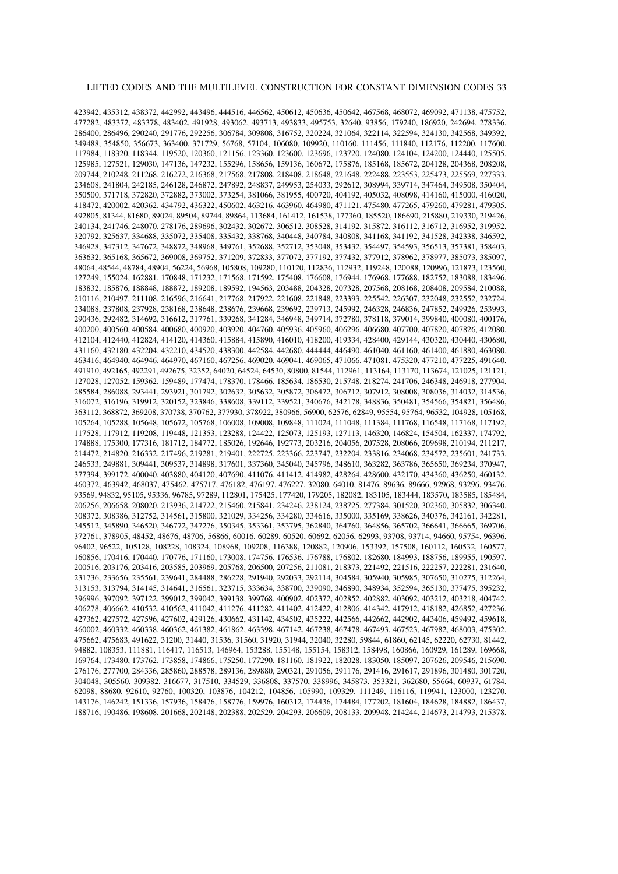423942, 435312, 438372, 442992, 443496, 444516, 446562, 450612, 450636, 450642, 467568, 468072, 469092, 471138, 475752, 477282, 483372, 483378, 483402, 491928, 493062, 493713, 493833, 495753, 32640, 93856, 179240, 186920, 242694, 278336, 286400, 286496, 290240, 291776, 292256, 306784, 309808, 316752, 320224, 321064, 322114, 322594, 324130, 342568, 349392, 349488, 354850, 356673, 363400, 371729, 56768, 57104, 106080, 109920, 110160, 111456, 111840, 112176, 112200, 117600, 117984, 118320, 118344, 119520, 120360, 121156, 123360, 123600, 123696, 123720, 124080, 124104, 124200, 124440, 125505, 125985, 127521, 129030, 147136, 147232, 155296, 158656, 159136, 160672, 175876, 185168, 185672, 204128, 204368, 208208, 209744, 210248, 211268, 216272, 216368, 217568, 217808, 218408, 218648, 221648, 222488, 223553, 225473, 225569, 227333, 234608, 241804, 242185, 246128, 246872, 247892, 248837, 249953, 254033, 292612, 308994, 339714, 347464, 349508, 350404, 350500, 371718, 372820, 372882, 373002, 373254, 381066, 381955, 400720, 404192, 405032, 408098, 414160, 415000, 416020, 418472, 420002, 420362, 434792, 436322, 450602, 463216, 463960, 464980, 471121, 475480, 477265, 479260, 479281, 479305, 492805, 81344, 81680, 89024, 89504, 89744, 89864, 113684, 161412, 161538, 177360, 185520, 186690, 215880, 219330, 219426, 240134, 241746, 248070, 278176, 289696, 302432, 302672, 306512, 308528, 314192, 315872, 316112, 316712, 316952, 319952, 320792, 325637, 334688, 335072, 335408, 335432, 338768, 340448, 340784, 340808, 341168, 341192, 341528, 342338, 346592, 346928, 347312, 347672, 348872, 348968, 349761, 352688, 352712, 353048, 353432, 354497, 354593, 356513, 357381, 358403, 363632, 365168, 365672, 369008, 369752, 371209, 372833, 377072, 377192, 377432, 377912, 378962, 378977, 385073, 385097, 48064, 48544, 48784, 48904, 56224, 56968, 105808, 109280, 110120, 112836, 112932, 119248, 120088, 120996, 121873, 123560, 127249, 155024, 162881, 170848, 171232, 171568, 171592, 175408, 176608, 176944, 176968, 177688, 182752, 183088, 183496, 183832, 185876, 188848, 188872, 189208, 189592, 194563, 203488, 204328, 207328, 207568, 208168, 208408, 209584, 210088, 210116, 210497, 211108, 216596, 216641, 217768, 217922, 221608, 221848, 223393, 225542, 226307, 232048, 232552, 232724, 234088, 237808, 237928, 238168, 238648, 238676, 239668, 239692, 239713, 245992, 246328, 246836, 247852, 249926, 253993, 290436, 292482, 314692, 316612, 317761, 339268, 341284, 346948, 349714, 372780, 378118, 379014, 399840, 400080, 400176, 400200, 400560, 400584, 400680, 400920, 403920, 404760, 405936, 405960, 406296, 406680, 407700, 407820, 407826, 412080, 412104, 412440, 412824, 414120, 414360, 415884, 415890, 416010, 418200, 419334, 428400, 429144, 430320, 430440, 430680, 431160, 432180, 432204, 432210, 434520, 438300, 442584, 442680, 444444, 446490, 461040, 461160, 461400, 461880, 463080, 463416, 464940, 464946, 464970, 467160, 467256, 469020, 469041, 469065, 471066, 471081, 475320, 477210, 477225, 491640, 491910, 492165, 492291, 492675, 32352, 64020, 64524, 64530, 80800, 81544, 112961, 113164, 113170, 113674, 121025, 121121, 127028, 127052, 159362, 159489, 177474, 178370, 178466, 185634, 186530, 215748, 218274, 241706, 246348, 246918, 277904, 285584, 286088, 293441, 293921, 301792, 302632, 305632, 305872, 306472, 306712, 307912, 308008, 308036, 314032, 314536, 316072, 316196, 319912, 320152, 323846, 338608, 339112, 339521, 340676, 342178, 348836, 350481, 354566, 354821, 356486, 363112, 368872, 369208, 370738, 370762, 377930, 378922, 380966, 56900, 62576, 62849, 95554, 95764, 96532, 104928, 105168, 105264, 105288, 105648, 105672, 105768, 106008, 109008, 109848, 111024, 111048, 111384, 111768, 116548, 117168, 117192, 117528, 117912, 119208, 119448, 121353, 123288, 124422, 125073, 125193, 127113, 146320, 146824, 154504, 162337, 174792, 174888, 175300, 177316, 181712, 184772, 185026, 192646, 192773, 203216, 204056, 207528, 208066, 209698, 210194, 211217, 214472, 214820, 216332, 217496, 219281, 219401, 222725, 223366, 223747, 232204, 233816, 234068, 234572, 235601, 241733, 246533, 249881, 309441, 309537, 314898, 317601, 337360, 345040, 345796, 348610, 363282, 363786, 365650, 369234, 370947, 377394, 399172, 400040, 403880, 404120, 407690, 411076, 411412, 414982, 428264, 428600, 432170, 434360, 436250, 460132, 460372, 463942, 468037, 475462, 475717, 476182, 476197, 476227, 32080, 64010, 81476, 89636, 89666, 92968, 93296, 93476, 93569, 94832, 95105, 95336, 96785, 97289, 112801, 175425, 177420, 179205, 182082, 183105, 183444, 183570, 183585, 185484, 206256, 206658, 208020, 213936, 214722, 215460, 215841, 234246, 238124, 238725, 277384, 301520, 302360, 305832, 306340, 308372, 308386, 312752, 314561, 315800, 321029, 334256, 334280, 334616, 335000, 335169, 338626, 340376, 342161, 342281, 345512, 345890, 346520, 346772, 347276, 350345, 353361, 353795, 362840, 364760, 364856, 365702, 366641, 366665, 369706, 372761, 378905, 48452, 48676, 48706, 56866, 60016, 60289, 60520, 60692, 62056, 62993, 93708, 93714, 94660, 95754, 96396, 96402, 96522, 105128, 108228, 108324, 108968, 109208, 116388, 120882, 120906, 153392, 157508, 160112, 160532, 160577, 160856, 170416, 170440, 170776, 171160, 173008, 174756, 176536, 176788, 176802, 182680, 184993, 188756, 189955, 190597, 200516, 203176, 203416, 203585, 203969, 205768, 206500, 207256, 211081, 218373, 221492, 221516, 222257, 222281, 231640, 231736, 233656, 235561, 239641, 284488, 286228, 291940, 292033, 292114, 304584, 305940, 305985, 307650, 310275, 312264, 313153, 313794, 314145, 314641, 316561, 323715, 333634, 338700, 339090, 346890, 348934, 352594, 365130, 377475, 395232, 396996, 397092, 397122, 399012, 399042, 399138, 399768, 400902, 402372, 402852, 402882, 403092, 403212, 403218, 404742, 406278, 406662, 410532, 410562, 411042, 411276, 411282, 411402, 412422, 412806, 414342, 417912, 418182, 426852, 427236, 427362, 427572, 427596, 427602, 429126, 430662, 431142, 434502, 435222, 442566, 442662, 442902, 443406, 459492, 459618, 460002, 460332, 460338, 460362, 461382, 461862, 463398, 467142, 467238, 467478, 467493, 467523, 467982, 468003, 475302, 475662, 475683, 491622, 31200, 31440, 31536, 31560, 31920, 31944, 32040, 32280, 59844, 61860, 62145, 62220, 62730, 81442, 94882, 108353, 111881, 116417, 116513, 146964, 153288, 155148, 155154, 158312, 158498, 160866, 160929, 161289, 169668, 169764, 173480, 173762, 173858, 174866, 175250, 177290, 181160, 181922, 182028, 183050, 185097, 207626, 209546, 215690, 276176, 277700, 284336, 285860, 288578, 289136, 289880, 290321, 291056, 291176, 291416, 291617, 291896, 301480, 301720, 304048, 305560, 309382, 316677, 317510, 334529, 336808, 337570, 338996, 345873, 353321, 362680, 55664, 60937, 61784, 62098, 88680, 92610, 92760, 100320, 103876, 104212, 104856, 105990, 109329, 111249, 116116, 119941, 123000, 123270, 143176, 146242, 151336, 157936, 158476, 158776, 159976, 160312, 174436, 174484, 177202, 181604, 184628, 184882, 186437, 188716, 190486, 198608, 201668, 202148, 202388, 202529, 204293, 206609, 208133, 209948, 214244, 214673, 214793, 215378,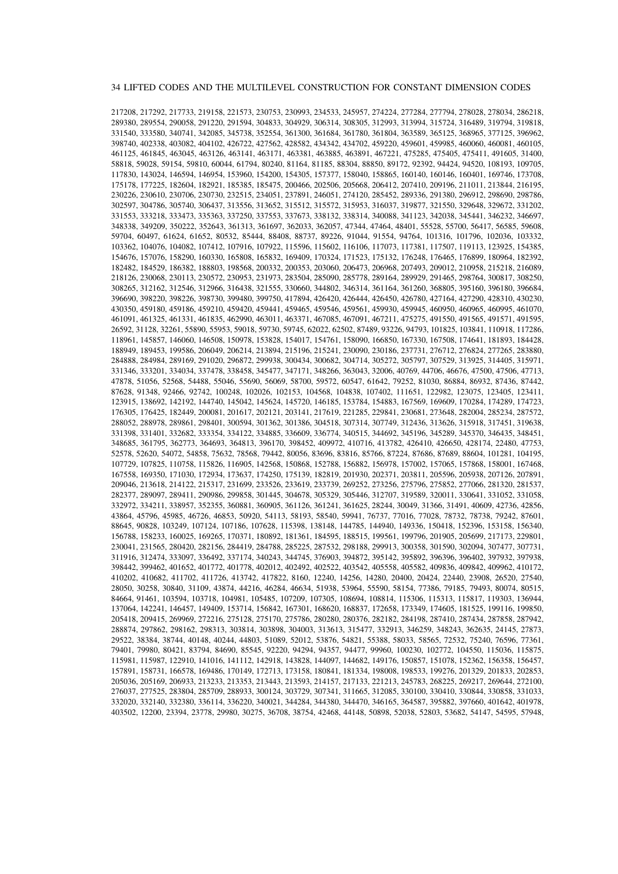217208, 217292, 217733, 219158, 221573, 230753, 230993, 234533, 245957, 274224, 277284, 277794, 278028, 278034, 286218, 289380, 289554, 290058, 291220, 291594, 304833, 304929, 306314, 308305, 312993, 313994, 315724, 316489, 319794, 319818, 331540, 333580, 340741, 342085, 345738, 352554, 361300, 361684, 361780, 361804, 363589, 365125, 368965, 377125, 396962, 398740, 402338, 403082, 404102, 426722, 427562, 428582, 434342, 434702, 459220, 459601, 459985, 460060, 460081, 460105, 461125, 461845, 463045, 463126, 463141, 463171, 463381, 463885, 463891, 467221, 475285, 475405, 475411, 491605, 31400, 58818, 59028, 59154, 59810, 60044, 61794, 80240, 81164, 81185, 88304, 88850, 89172, 92392, 94424, 94520, 108193, 109705, 117830, 143024, 146594, 146954, 153960, 154200, 154305, 157377, 158040, 158865, 160140, 160146, 160401, 169746, 173708, 175178, 177225, 182604, 182921, 185385, 185475, 200466, 202506, 205668, 206412, 207410, 209196, 211011, 213844, 216195, 230226, 230610, 230706, 230730, 232515, 234051, 237891, 246051, 274120, 285452, 289336, 291380, 296912, 298690, 298786, 302597, 304786, 305740, 306437, 313556, 313652, 315512, 315572, 315953, 316037, 319877, 321550, 329648, 329672, 331202, 331553, 333218, 333473, 335363, 337250, 337553, 337673, 338132, 338314, 340088, 341123, 342038, 345441, 346232, 346697, 348338, 349209, 350222, 352643, 361313, 361697, 362033, 362057, 47344, 47464, 48401, 55528, 55700, 56417, 56585, 59608, 59704, 60497, 61624, 61652, 80532, 85444, 88408, 88737, 89226, 91044, 91554, 94764, 101316, 101796, 102036, 103332, 103362, 104076, 104082, 107412, 107916, 107922, 115596, 115602, 116106, 117073, 117381, 117507, 119113, 123925, 154385, 154676, 157076, 158290, 160330, 165808, 165832, 169409, 170324, 171523, 175132, 176248, 176465, 176899, 180964, 182392, 182482, 184529, 186382, 188803, 198568, 200332, 200353, 203060, 206473, 206968, 207493, 209012, 210958, 215218, 216089, 218126, 230068, 230113, 230572, 230953, 231973, 283504, 285090, 285778, 289164, 289929, 291465, 298764, 300817, 308250, 308265, 312162, 312546, 312966, 316438, 321555, 330660, 344802, 346314, 361164, 361260, 368805, 395160, 396180, 396684, 396690, 398220, 398226, 398730, 399480, 399750, 417894, 426420, 426444, 426450, 426780, 427164, 427290, 428310, 430230, 430350, 459180, 459186, 459210, 459420, 459441, 459465, 459546, 459561, 459930, 459945, 460950, 460965, 460995, 461070, 461091, 461325, 461331, 461835, 462990, 463011, 463371, 467085, 467091, 467211, 475275, 491550, 491565, 491571, 491595, 26592, 31128, 32261, 55890, 55953, 59018, 59730, 59745, 62022, 62502, 87489, 93226, 94793, 101825, 103841, 110918, 117286, 118961, 145857, 146060, 146508, 150978, 153828, 154017, 154761, 158090, 166850, 167330, 167508, 174641, 181893, 184428, 188949, 189453, 199586, 206049, 206214, 213894, 215196, 215241, 230090, 230186, 237731, 276712, 276824, 277265, 283880, 284888, 284984, 289169, 291020, 296872, 299938, 300434, 300682, 304714, 305272, 305797, 307529, 313925, 314405, 315971, 331346, 333201, 334034, 337478, 338458, 345477, 347171, 348266, 363043, 32006, 40769, 44706, 46676, 47500, 47506, 47713, 47878, 51056, 52568, 54488, 55046, 55690, 56069, 58700, 59572, 60547, 61642, 79252, 81030, 86884, 86932, 87436, 87442, 87628, 91348, 92466, 92742, 100248, 102026, 102153, 104568, 104838, 107402, 111651, 122982, 123075, 123405, 123411, 123915, 138692, 142192, 144740, 145042, 145624, 145720, 146185, 153784, 154883, 167569, 169609, 170284, 174289, 174723, 176305, 176425, 182449, 200081, 201617, 202121, 203141, 217619, 221285, 229841, 230681, 273648, 282004, 285234, 287572, 288052, 288978, 289861, 298401, 300594, 301362, 301386, 304518, 307314, 307749, 312436, 313626, 315918, 317451, 319638, 331398, 331401, 332682, 333354, 334122, 334885, 336609, 336774, 340515, 344692, 345196, 345289, 345370, 346435, 348451, 348685, 361795, 362773, 364693, 364813, 396170, 398452, 409972, 410716, 413782, 426410, 426650, 428174, 22480, 47753, 52578, 52620, 54072, 54858, 75632, 78568, 79442, 80056, 83696, 83816, 85766, 87224, 87686, 87689, 88604, 101281, 104195, 107729, 107825, 110758, 115826, 116905, 142568, 150868, 152788, 156882, 156978, 157002, 157065, 157868, 158001, 167468, 167558, 169350, 171030, 172934, 173637, 174250, 175139, 182819, 201930, 202371, 203811, 205596, 205938, 207126, 207891, 209046, 213618, 214122, 215317, 231699, 233526, 233619, 233739, 269252, 273256, 275796, 275852, 277066, 281320, 281537, 282377, 289097, 289411, 290986, 299858, 301445, 304678, 305329, 305446, 312707, 319589, 320011, 330641, 331052, 331058, 332972, 334211, 338957, 352355, 360881, 360905, 361126, 361241, 361625, 28244, 30049, 31366, 31491, 40609, 42736, 42856, 43864, 45796, 45985, 46726, 46853, 50920, 54113, 58193, 58540, 59941, 76737, 77016, 77028, 78732, 78738, 79242, 87601, 88645, 90828, 103249, 107124, 107186, 107628, 115398, 138148, 144785, 144940, 149336, 150418, 152396, 153158, 156340, 156788, 158233, 160025, 169265, 170371, 180892, 181361, 184595, 188515, 199561, 199796, 201905, 205699, 217173, 229801, 230041, 231565, 280420, 282156, 284419, 284788, 285225, 287532, 298188, 299913, 300358, 301590, 302094, 307477, 307731, 311916, 312474, 333097, 336492, 337174, 340243, 344745, 376903, 394872, 395142, 395892, 396396, 396402, 397932, 397938, 398442, 399462, 401652, 401772, 401778, 402012, 402492, 402522, 403542, 405558, 405582, 409836, 409842, 409962, 410172, 410202, 410682, 411702, 411726, 413742, 417822, 8160, 12240, 14256, 14280, 20400, 20424, 22440, 23908, 26520, 27540, 28050, 30258, 30840, 31109, 43874, 44216, 46284, 46634, 51938, 53964, 55590, 58154, 77386, 79185, 79493, 80074, 80515, 84664, 91461, 103594, 103718, 104981, 105485, 107209, 107305, 108694, 108814, 115306, 115313, 115817, 119303, 136944, 137064, 142241, 146457, 149409, 153714, 156842, 167301, 168620, 168837, 172658, 173349, 174605, 181525, 199116, 199850, 205418, 209415, 269969, 272216, 275128, 275170, 275786, 280280, 280376, 282182, 284198, 287410, 287434, 287858, 287942, 288874, 297862, 298162, 298313, 303814, 303898, 304003, 313613, 315477, 332913, 346259, 348243, 362635, 24145, 27873, 29522, 38384, 38744, 40148, 40244, 44803, 51089, 52012, 53876, 54821, 55388, 58033, 58565, 72532, 75240, 76596, 77361, 79401, 79980, 80421, 83794, 84690, 85545, 92220, 94294, 94357, 94477, 99960, 100230, 102772, 104550, 115036, 115875, 115981, 115987, 122910, 141016, 141112, 142918, 143828, 144097, 144682, 149176, 150857, 151078, 152362, 156358, 156457, 157891, 158731, 166578, 169486, 170149, 172713, 173158, 180841, 181334, 198008, 198533, 199276, 201329, 201833, 202853, 205036, 205169, 206933, 213233, 213353, 213443, 213593, 214157, 217133, 221213, 245783, 268225, 269217, 269644, 272100, 276037, 277525, 283804, 285709, 288933, 300124, 303729, 307341, 311665, 312085, 330100, 330410, 330844, 330858, 331033, 332020, 332140, 332380, 336114, 336220, 340021, 344284, 344380, 344470, 346165, 364587, 395882, 397660, 401642, 401978, 403502, 12200, 23394, 23778, 29980, 30275, 36708, 38754, 42468, 44148, 50898, 52038, 52803, 53682, 54147, 54595, 57948,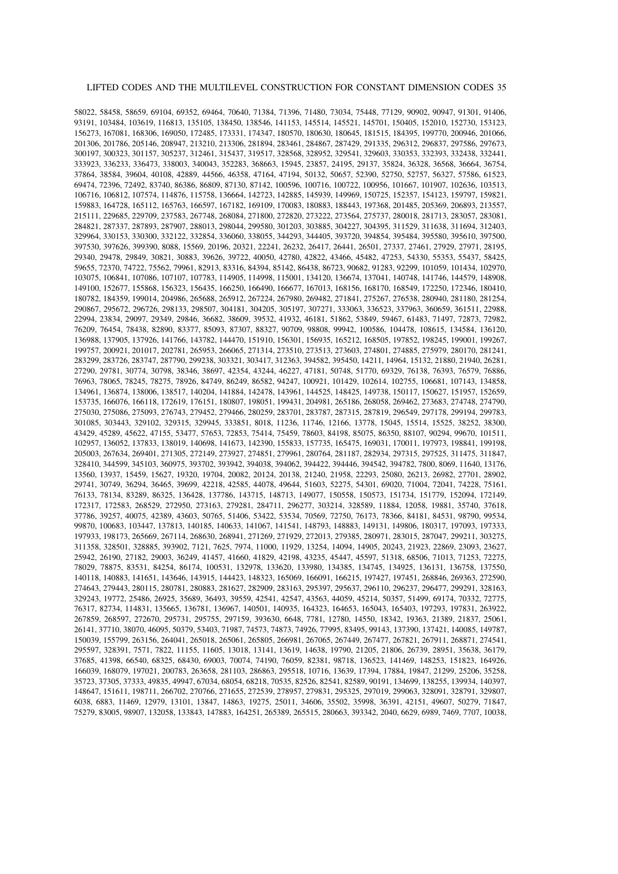58022, 58458, 58659, 69104, 69352, 69464, 70640, 71384, 71396, 71480, 73034, 75448, 77129, 90902, 90947, 91301, 91406, 93191, 103484, 103619, 116813, 135105, 138450, 138546, 141153, 145514, 145521, 145701, 150405, 152010, 152730, 153123, 156273, 167081, 168306, 169050, 172485, 173331, 174347, 180570, 180630, 180645, 181515, 184395, 199770, 200946, 201066, 201306, 201786, 205146, 208947, 213210, 213306, 281894, 283461, 284867, 287429, 291335, 296312, 296837, 297586, 297673, 300197, 300323, 301157, 305237, 312461, 315437, 319517, 328568, 328952, 329541, 329603, 330353, 332393, 332438, 332441, 333923, 336233, 336473, 338003, 340043, 352283, 368663, 15945, 23857, 24195, 29137, 35824, 36328, 36568, 36664, 36754, 37864, 38584, 39604, 40108, 42889, 44566, 46358, 47164, 47194, 50132, 50657, 52390, 52750, 52757, 56327, 57586, 61523, 69474, 72396, 72492, 83740, 86386, 86809, 87130, 87142, 100596, 100716, 100722, 100956, 101667, 101907, 102636, 103513, 106716, 106812, 107574, 114876, 115758, 136664, 142723, 142885, 145939, 149969, 150725, 152357, 154123, 159797, 159821, 159883, 164728, 165112, 165763, 166597, 167182, 169109, 170083, 180883, 188443, 197368, 201485, 205369, 206893, 213557, 215111, 229685, 229709, 237583, 267748, 268084, 271800, 272820, 273222, 273564, 275737, 280018, 281713, 283057, 283081, 284821, 287337, 287893, 287907, 288013, 298044, 299580, 301203, 303885, 304227, 304395, 311529, 311638, 311694, 312403, 329964, 330153, 330300, 332122, 332854, 336060, 338055, 344293, 344405, 393720, 394854, 395484, 395580, 395610, 397500, 397530, 397626, 399390, 8088, 15569, 20196, 20321, 22241, 26232, 26417, 26441, 26501, 27337, 27461, 27929, 27971, 28195, 29340, 29478, 29849, 30821, 30883, 39626, 39722, 40050, 42780, 42822, 43466, 45482, 47253, 54330, 55353, 55437, 58425, 59655, 72370, 74722, 75562, 79961, 82913, 83316, 84394, 85142, 86438, 86723, 90682, 91283, 92299, 101059, 101434, 102970, 103075, 106841, 107086, 107107, 107783, 114905, 114998, 115001, 134120, 136674, 137041, 140748, 141746, 144579, 148908, 149100, 152677, 155868, 156323, 156435, 166250, 166490, 166677, 167013, 168156, 168170, 168549, 172250, 172346, 180410, 180782, 184359, 199014, 204986, 265688, 265912, 267224, 267980, 269482, 271841, 275267, 276538, 280940, 281180, 281254, 290867, 295672, 296726, 298133, 298507, 304181, 304205, 305197, 307271, 333063, 336523, 337963, 360659, 361511, 22988, 22994, 23834, 29097, 29349, 29846, 36682, 38609, 39532, 41932, 46181, 51862, 53849, 59467, 61483, 71497, 72873, 72982, 76209, 76454, 78438, 82890, 83377, 85093, 87307, 88327, 90709, 98808, 99942, 100586, 104478, 108615, 134584, 136120, 136988, 137905, 137926, 141766, 143782, 144470, 151910, 156301, 156935, 165212, 168505, 197852, 198245, 199001, 199267, 199757, 200921, 201017, 202781, 265953, 266065, 271314, 273510, 273513, 273603, 274801, 274885, 275979, 280170, 281241, 283299, 283726, 283747, 287790, 299238, 303321, 303417, 312363, 394582, 395450, 14211, 14964, 15132, 21880, 21940, 26281, 27290, 29781, 30774, 30798, 38346, 38697, 42354, 43244, 46227, 47181, 50748, 51770, 69329, 76138, 76393, 76579, 76886, 76963, 78065, 78245, 78275, 78926, 84749, 86249, 86582, 94247, 100921, 101429, 102614, 102755, 106681, 107143, 134858, 134961, 136874, 138006, 138517, 140204, 141884, 142478, 143961, 144525, 148425, 149738, 150117, 150627, 151957, 152659, 153735, 166076, 166118, 172619, 176151, 180807, 198051, 199431, 204981, 265186, 268058, 269462, 273683, 274748, 274790, 275030, 275086, 275093, 276743, 279452, 279466, 280259, 283701, 283787, 287315, 287819, 296549, 297178, 299194, 299783, 301085, 303443, 329102, 329315, 329945, 333851, 8018, 11236, 11746, 12166, 13778, 15045, 15514, 15525, 38252, 38300, 43429, 45289, 45622, 47155, 53477, 57653, 72853, 75414, 75459, 78603, 84198, 85075, 86350, 88107, 90294, 99670, 101511, 102957, 136052, 137833, 138019, 140698, 141673, 142390, 155833, 157735, 165475, 169031, 170011, 197973, 198841, 199198, 205003, 267634, 269401, 271305, 272149, 273927, 274851, 279961, 280764, 281187, 282934, 297315, 297525, 311475, 311847, 328410, 344599, 345103, 360975, 393702, 393942, 394038, 394062, 394422, 394446, 394542, 394782, 7800, 8069, 11640, 13176, 13560, 13937, 15459, 15627, 19320, 19704, 20082, 20124, 20138, 21240, 21958, 22293, 25080, 26213, 26982, 27701, 28902, 29741, 30749, 36294, 36465, 39699, 42218, 42585, 44078, 49644, 51603, 52275, 54301, 69020, 71004, 72041, 74228, 75161, 76133, 78134, 83289, 86325, 136428, 137786, 143715, 148713, 149077, 150558, 150573, 151734, 151779, 152094, 172149, 172317, 172583, 268529, 272950, 273163, 279281, 284711, 296277, 303214, 328589, 11884, 12058, 19881, 35740, 37618, 37786, 39257, 40075, 42389, 43603, 50765, 51406, 53422, 53534, 70569, 72750, 76173, 78366, 84181, 84531, 98790, 99534, 99870, 100683, 103447, 137813, 140185, 140633, 141067, 141541, 148793, 148883, 149131, 149806, 180317, 197093, 197333, 197933, 198173, 265669, 267114, 268630, 268941, 271269, 271929, 272013, 279385, 280971, 283015, 287047, 299211, 303275, 311358, 328501, 328885, 393902, 7121, 7625, 7974, 11000, 11929, 13254, 14094, 14905, 20243, 21923, 22869, 23093, 23627, 25942, 26190, 27182, 29003, 36249, 41457, 41660, 41829, 42198, 43235, 45447, 45597, 51318, 68506, 71013, 71253, 72275, 78029, 78875, 83531, 84254, 86174, 100531, 132978, 133620, 133980, 134385, 134745, 134925, 136131, 136758, 137550, 140118, 140883, 141651, 143646, 143915, 144423, 148323, 165069, 166091, 166215, 197427, 197451, 268846, 269363, 272590, 274643, 279443, 280115, 280781, 280883, 281627, 282909, 283163, 295397, 295637, 296110, 296237, 296477, 299291, 328163, 329243, 19772, 25486, 26925, 35689, 36493, 39559, 42541, 42547, 43563, 44059, 45214, 50357, 51499, 69174, 70332, 72775, 76317, 82734, 114831, 135665, 136781, 136967, 140501, 140935, 164323, 164653, 165043, 165403, 197293, 197831, 263922, 267859, 268597, 272670, 295731, 295755, 297159, 393630, 6648, 7781, 12780, 14550, 18342, 19363, 21389, 21837, 25061, 26141, 37710, 38070, 46095, 50379, 53403, 71987, 74573, 74873, 74926, 77995, 83495, 99143, 137390, 137421, 140085, 149787, 150039, 155799, 263156, 264041, 265018, 265061, 265805, 266981, 267065, 267449, 267477, 267821, 267911, 268871, 274541, 295597, 328391, 7571, 7822, 11155, 11605, 13018, 13141, 13619, 14638, 19790, 21205, 21806, 26739, 28951, 35638, 36179, 37685, 41398, 66540, 68325, 68430, 69003, 70074, 74190, 76059, 82381, 98718, 136523, 141469, 148253, 151823, 164926, 166039, 168079, 197021, 200783, 263658, 281103, 286863, 295518, 10716, 13639, 17394, 17884, 19847, 21299, 25206, 35258, 35723, 37305, 37333, 49835, 49947, 67034, 68054, 68218, 70535, 82526, 82541, 82589, 90191, 134699, 138255, 139934, 140397, 148647, 151611, 198711, 266702, 270766, 271655, 272539, 278957, 279831, 295325, 297019, 299063, 328091, 328791, 329807, 6038, 6883, 11469, 12979, 13101, 13847, 14863, 19275, 25011, 34606, 35502, 35998, 36391, 42151, 49607, 50279, 71847, 75279, 83005, 98907, 132058, 133843, 147883, 164251, 265389, 265515, 280663, 393342, 2040, 6629, 6989, 7469, 7707, 10038,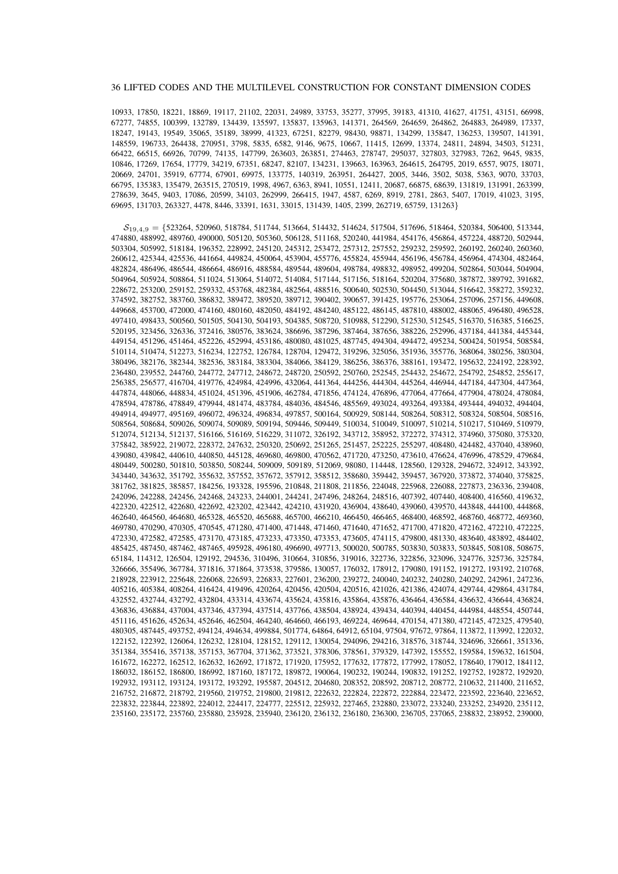10933, 17850, 18221, 18869, 19117, 21102, 22031, 24989, 33753, 35277, 37995, 39183, 41310, 41627, 41751, 43151, 66998, 67277, 74855, 100399, 132789, 134439, 135597, 135837, 135963, 141371, 264569, 264659, 264862, 264883, 264989, 17337, 18247, 19143, 19549, 35065, 35189, 38999, 41323, 67251, 82279, 98430, 98871, 134299, 135847, 136253, 139507, 141391, 148559, 196733, 264438, 270951, 3798, 5835, 6582, 9146, 9675, 10667, 11415, 12699, 13374, 24811, 24894, 34503, 51231, 66422, 66515, 66926, 70799, 74135, 147799, 263603, 263851, 274463, 278747, 295037, 327803, 327983, 7262, 9645, 9835, 10846, 17269, 17654, 17779, 34219, 67351, 68247, 82107, 134231, 139663, 163963, 264615, 264795, 2019, 6557, 9075, 18071, 20669, 24701, 35919, 67774, 67901, 69975, 133775, 140319, 263951, 264427, 2005, 3446, 3502, 5038, 5363, 9070, 33703, 66795, 135383, 135479, 263515, 270519, 1998, 4967, 6363, 8941, 10551, 12411, 20687, 66875, 68639, 131819, 131991, 263399, 278639, 3645, 9403, 17086, 20599, 34103, 262999, 266415, 1947, 4587, 6269, 8919, 2781, 2863, 5407, 17019, 41023, 3195, 69695, 131703, 263327, 4478, 8446, 33391, 1631, 33015, 131439, 1405, 2399, 262719, 65759, 131263}

 $S_{19,4,9} = \{523264, 520960, 518784, 511744, 513664, 514432, 514624, 517504, 517696, 518464, 520384, 506400, 513344,$ 474880, 488992, 489760, 490000, 505120, 505360, 506128, 511168, 520240, 441984, 454176, 456864, 457224, 488720, 502944, 503304, 505992, 518184, 196352, 228992, 245120, 245312, 253472, 257312, 257552, 259232, 259592, 260192, 260240, 260360, 260612, 425344, 425536, 441664, 449824, 450064, 453904, 455776, 455824, 455944, 456196, 456784, 456964, 474304, 482464, 482824, 486496, 486544, 486664, 486916, 488584, 489544, 489604, 498784, 498832, 498952, 499204, 502864, 503044, 504904, 504964, 505924, 508864, 511024, 513064, 514072, 514084, 517144, 517156, 518164, 520204, 375680, 387872, 389792, 391682, 228672, 253200, 259152, 259332, 453768, 482384, 482564, 488516, 500640, 502530, 504450, 513044, 516642, 358272, 359232, 374592, 382752, 383760, 386832, 389472, 389520, 389712, 390402, 390657, 391425, 195776, 253064, 257096, 257156, 449608, 449668, 453700, 472000, 474160, 480160, 482050, 484192, 484240, 485122, 486145, 487810, 488002, 488065, 496480, 496528, 497410, 498433, 500560, 501505, 504130, 504193, 504385, 508720, 510988, 512290, 512530, 512545, 516370, 516385, 516625, 520195, 323456, 326336, 372416, 380576, 383624, 386696, 387296, 387464, 387656, 388226, 252996, 437184, 441384, 445344, 449154, 451296, 451464, 452226, 452994, 453186, 480080, 481025, 487745, 494304, 494472, 495234, 500424, 501954, 508584, 510114, 510474, 512273, 516234, 122752, 126784, 128704, 129472, 319296, 325056, 351936, 355776, 368064, 380256, 380304, 380496, 382176, 382344, 382536, 383184, 383304, 384066, 384129, 386256, 386376, 388161, 193472, 195632, 224192, 228392, 236480, 239552, 244760, 244772, 247712, 248672, 248720, 250592, 250760, 252545, 254432, 254672, 254792, 254852, 255617, 256385, 256577, 416704, 419776, 424984, 424996, 432064, 441364, 444256, 444304, 445264, 446944, 447184, 447304, 447364, 447874, 448066, 448834, 451024, 451396, 451906, 462784, 471856, 474124, 476896, 477064, 477664, 477904, 478024, 478084, 478594, 478786, 478849, 479944, 481474, 483784, 484036, 484546, 485569, 493024, 493264, 493384, 493444, 494032, 494404, 494914, 494977, 495169, 496072, 496324, 496834, 497857, 500164, 500929, 508144, 508264, 508312, 508324, 508504, 508516, 508564, 508684, 509026, 509074, 509089, 509194, 509446, 509449, 510034, 510049, 510097, 510214, 510217, 510469, 510979, 512074, 512134, 512137, 516166, 516169, 516229, 311072, 326192, 343712, 358952, 372272, 374312, 374960, 375080, 375320, 375842, 385922, 219072, 228372, 247632, 250320, 250692, 251265, 251457, 252225, 255297, 408480, 424482, 437040, 438960, 439080, 439842, 440610, 440850, 445128, 469680, 469800, 470562, 471720, 473250, 473610, 476624, 476996, 478529, 479684, 480449, 500280, 501810, 503850, 508244, 509009, 509189, 512069, 98080, 114448, 128560, 129328, 294672, 324912, 343392, 343440, 343632, 351792, 355632, 357552, 357672, 357912, 358512, 358680, 359442, 359457, 367920, 373872, 374040, 375825, 381762, 381825, 385857, 184256, 193328, 195596, 210848, 211808, 211856, 224048, 225968, 226088, 227873, 236336, 239408, 242096, 242288, 242456, 242468, 243233, 244001, 244241, 247496, 248264, 248516, 407392, 407440, 408400, 416560, 419632, 422320, 422512, 422680, 422692, 423202, 423442, 424210, 431920, 436904, 438640, 439060, 439570, 443848, 444100, 444868, 462640, 464560, 464680, 465328, 465520, 465688, 465700, 466210, 466450, 466465, 468400, 468592, 468760, 468772, 469360, 469780, 470290, 470305, 470545, 471280, 471400, 471448, 471460, 471640, 471652, 471700, 471820, 472162, 472210, 472225, 472330, 472582, 472585, 473170, 473185, 473233, 473350, 473353, 473605, 474115, 479800, 481330, 483640, 483892, 484402, 485425, 487450, 487462, 487465, 495928, 496180, 496690, 497713, 500020, 500785, 503830, 503833, 503845, 508108, 508675, 65184, 114312, 126504, 129192, 294536, 310496, 310664, 310856, 319016, 322736, 322856, 323096, 324776, 325736, 325784, 326666, 355496, 367784, 371816, 371864, 373538, 379586, 130057, 176032, 178912, 179080, 191152, 191272, 193192, 210768, 218928, 223912, 225648, 226068, 226593, 226833, 227601, 236200, 239272, 240040, 240232, 240280, 240292, 242961, 247236, 405216, 405384, 408264, 416424, 419496, 420264, 420456, 420504, 420516, 421026, 421386, 424074, 429744, 429864, 431784, 432552, 432744, 432792, 432804, 433314, 433674, 435624, 435816, 435864, 435876, 436464, 436584, 436632, 436644, 436824, 436836, 436884, 437004, 437346, 437394, 437514, 437766, 438504, 438924, 439434, 440394, 440454, 444984, 448554, 450744, 451116, 451626, 452634, 452646, 462504, 464240, 464660, 466193, 469224, 469644, 470154, 471380, 472145, 472325, 479540, 480305, 487445, 493752, 494124, 494634, 499884, 501774, 64864, 64912, 65104, 97504, 97672, 97864, 113872, 113992, 122032, 122152, 122392, 126064, 126232, 128104, 128152, 129112, 130054, 294096, 294216, 318576, 318744, 324696, 326661, 351336, 351384, 355416, 357138, 357153, 367704, 371362, 373521, 378306, 378561, 379329, 147392, 155552, 159584, 159632, 161504, 161672, 162272, 162512, 162632, 162692, 171872, 171920, 175952, 177632, 177872, 177992, 178052, 178640, 179012, 184112, 186032, 186152, 186800, 186992, 187160, 187172, 189872, 190064, 190232, 190244, 190832, 191252, 192752, 192872, 192920, 192932, 193112, 193124, 193172, 193292, 195587, 204512, 204680, 208352, 208592, 208712, 208772, 210632, 211400, 211652, 216752, 216872, 218792, 219560, 219752, 219800, 219812, 222632, 222824, 222872, 222884, 223472, 223592, 223640, 223652, 223832, 223844, 223892, 224012, 224417, 224777, 225512, 225932, 227465, 232880, 233072, 233240, 233252, 234920, 235112, 235160, 235172, 235760, 235880, 235928, 235940, 236120, 236132, 236180, 236300, 236705, 237065, 238832, 238952, 239000,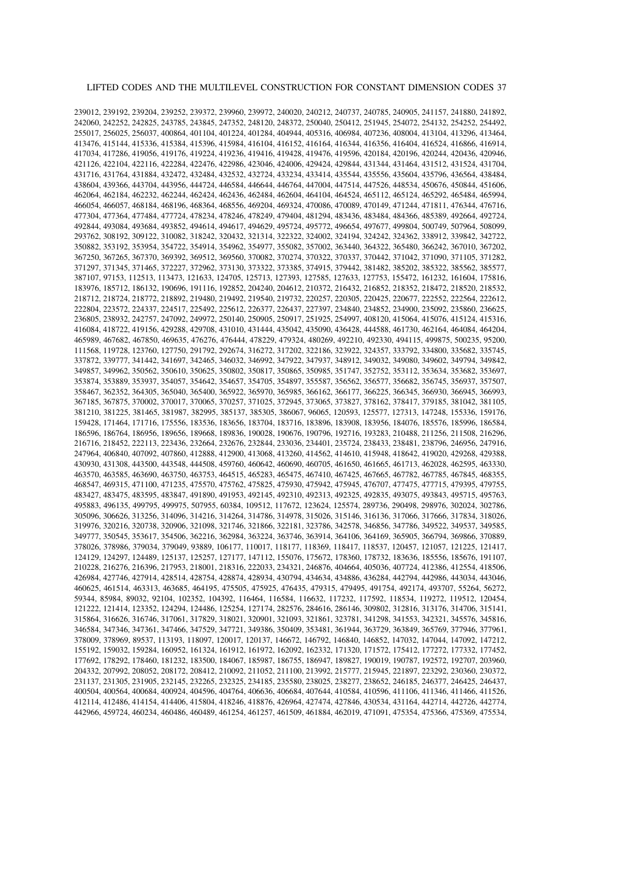239012, 239192, 239204, 239252, 239372, 239960, 239972, 240020, 240212, 240737, 240785, 240905, 241157, 241880, 241892, 242060, 242252, 242825, 243785, 243845, 247352, 248120, 248372, 250040, 250412, 251945, 254072, 254132, 254252, 254492, 255017, 256025, 256037, 400864, 401104, 401224, 401284, 404944, 405316, 406984, 407236, 408004, 413104, 413296, 413464, 413476, 415144, 415336, 415384, 415396, 415984, 416104, 416152, 416164, 416344, 416356, 416404, 416524, 416866, 416914, 417034, 417286, 419056, 419176, 419224, 419236, 419416, 419428, 419476, 419596, 420184, 420196, 420244, 420436, 420946, 421126, 422104, 422116, 422284, 422476, 422986, 423046, 424006, 429424, 429844, 431344, 431464, 431512, 431524, 431704, 431716, 431764, 431884, 432472, 432484, 432532, 432724, 433234, 433414, 435544, 435556, 435604, 435796, 436564, 438484, 438604, 439366, 443704, 443956, 444724, 446584, 446644, 446764, 447004, 447514, 447526, 448534, 450676, 450844, 451606, 462064, 462184, 462232, 462244, 462424, 462436, 462484, 462604, 464104, 464524, 465112, 465124, 465292, 465484, 465994, 466054, 466057, 468184, 468196, 468364, 468556, 469204, 469324, 470086, 470089, 470149, 471244, 471811, 476344, 476716, 477304, 477364, 477484, 477724, 478234, 478246, 478249, 479404, 481294, 483436, 483484, 484366, 485389, 492664, 492724, 492844, 493084, 493684, 493852, 494614, 494617, 494629, 495724, 495772, 496654, 497677, 499804, 500749, 507964, 508099, 293762, 308192, 309122, 310082, 318242, 320432, 321314, 322322, 324002, 324194, 324242, 324362, 338912, 339842, 342722, 350882, 353192, 353954, 354722, 354914, 354962, 354977, 355082, 357002, 363440, 364322, 365480, 366242, 367010, 367202, 367250, 367265, 367370, 369392, 369512, 369560, 370082, 370274, 370322, 370337, 370442, 371042, 371090, 371105, 371282, 371297, 371345, 371465, 372227, 372962, 373130, 373322, 373385, 374915, 379442, 381482, 385202, 385322, 385562, 385577, 387107, 97153, 112513, 113473, 121633, 124705, 125713, 127393, 127585, 127633, 127753, 155472, 161232, 161604, 175816, 183976, 185712, 186132, 190696, 191116, 192852, 204240, 204612, 210372, 216432, 216852, 218352, 218472, 218520, 218532, 218712, 218724, 218772, 218892, 219480, 219492, 219540, 219732, 220257, 220305, 220425, 220677, 222552, 222564, 222612, 222804, 223572, 224337, 224517, 225492, 225612, 226377, 226437, 227397, 234840, 234852, 234900, 235092, 235860, 236625, 236805, 238932, 242757, 247092, 249972, 250140, 250905, 250917, 251925, 254997, 408120, 415064, 415076, 415124, 415316, 416084, 418722, 419156, 429288, 429708, 431010, 431444, 435042, 435090, 436428, 444588, 461730, 462164, 464084, 464204, 465989, 467682, 467850, 469635, 476276, 476444, 478229, 479324, 480269, 492210, 492330, 494115, 499875, 500235, 95200, 111568, 119728, 123760, 127750, 291792, 292674, 316272, 317202, 322186, 323922, 324357, 333792, 334800, 335682, 335745, 337872, 339777, 341442, 341697, 342465, 346032, 346992, 347922, 347937, 348912, 349032, 349080, 349602, 349794, 349842, 349857, 349962, 350562, 350610, 350625, 350802, 350817, 350865, 350985, 351747, 352752, 353112, 353634, 353682, 353697, 353874, 353889, 353937, 354057, 354642, 354657, 354705, 354897, 355587, 356562, 356577, 356682, 356745, 356937, 357507, 358467, 362352, 364305, 365040, 365400, 365922, 365970, 365985, 366162, 366177, 366225, 366345, 366930, 366945, 366993, 367185, 367875, 370002, 370017, 370065, 370257, 371025, 372945, 373065, 373827, 378162, 378417, 379185, 381042, 381105, 381210, 381225, 381465, 381987, 382995, 385137, 385305, 386067, 96065, 120593, 125577, 127313, 147248, 155336, 159176, 159428, 171464, 171716, 175556, 183536, 183656, 183704, 183716, 183896, 183908, 183956, 184076, 185576, 185996, 186584, 186596, 186764, 186956, 189656, 189668, 189836, 190028, 190676, 190796, 192716, 193283, 210488, 211256, 211508, 216296, 216716, 218452, 222113, 223436, 232664, 232676, 232844, 233036, 234401, 235724, 238433, 238481, 238796, 246956, 247916, 247964, 406840, 407092, 407860, 412888, 412900, 413068, 413260, 414562, 414610, 415948, 418642, 419020, 429268, 429388, 430930, 431308, 443500, 443548, 444508, 459760, 460642, 460690, 460705, 461650, 461665, 461713, 462028, 462595, 463330, 463570, 463585, 463690, 463750, 463753, 464515, 465283, 465475, 467410, 467425, 467665, 467782, 467785, 467845, 468355, 468547, 469315, 471100, 471235, 475570, 475762, 475825, 475930, 475942, 475945, 476707, 477475, 477715, 479395, 479755, 483427, 483475, 483595, 483847, 491890, 491953, 492145, 492310, 492313, 492325, 492835, 493075, 493843, 495715, 495763, 495883, 496135, 499795, 499975, 507955, 60384, 109512, 117672, 123624, 125574, 289736, 290498, 298976, 302024, 302786, 305096, 306626, 313256, 314096, 314216, 314264, 314786, 314978, 315026, 315146, 316136, 317066, 317666, 317834, 318026, 319976, 320216, 320738, 320906, 321098, 321746, 321866, 322181, 323786, 342578, 346856, 347786, 349522, 349537, 349585, 349777, 350545, 353617, 354506, 362216, 362984, 363224, 363746, 363914, 364106, 364169, 365905, 366794, 369866, 370889, 378026, 378986, 379034, 379049, 93889, 106177, 110017, 118177, 118369, 118417, 118537, 120457, 121057, 121225, 121417, 124129, 124297, 124489, 125137, 125257, 127177, 147112, 155076, 175672, 178360, 178732, 183636, 185556, 185676, 191107, 210228, 216276, 216396, 217953, 218001, 218316, 222033, 234321, 246876, 404664, 405036, 407724, 412386, 412554, 418506, 426984, 427746, 427914, 428514, 428754, 428874, 428934, 430794, 434634, 434886, 436284, 442794, 442986, 443034, 443046, 460625, 461514, 463313, 463685, 464195, 475505, 475925, 476435, 479315, 479495, 491754, 492174, 493707, 55264, 56272, 59344, 85984, 89032, 92104, 102352, 104392, 116464, 116584, 116632, 117232, 117592, 118534, 119272, 119512, 120454, 121222, 121414, 123352, 124294, 124486, 125254, 127174, 282576, 284616, 286146, 309802, 312816, 313176, 314706, 315141, 315864, 316626, 316746, 317061, 317829, 318021, 320901, 321093, 321861, 323781, 341298, 341553, 342321, 345576, 345816, 346584, 347346, 347361, 347466, 347529, 347721, 349386, 350409, 353481, 361944, 363729, 363849, 365769, 377946, 377961, 378009, 378969, 89537, 113193, 118097, 120017, 120137, 146672, 146792, 146840, 146852, 147032, 147044, 147092, 147212, 155192, 159032, 159284, 160952, 161324, 161912, 161972, 162092, 162332, 171320, 171572, 175412, 177272, 177332, 177452, 177692, 178292, 178460, 181232, 183500, 184067, 185987, 186755, 186947, 189827, 190019, 190787, 192572, 192707, 203960, 204332, 207992, 208052, 208172, 208412, 210092, 211052, 211100, 213992, 215777, 215945, 221897, 223292, 230360, 230372, 231137, 231305, 231905, 232145, 232265, 232325, 234185, 235580, 238025, 238277, 238652, 246185, 246377, 246425, 246437, 400504, 400564, 400684, 400924, 404596, 404764, 406636, 406684, 407644, 410584, 410596, 411106, 411346, 411466, 411526, 412114, 412486, 414154, 414406, 415804, 418246, 418876, 426964, 427474, 427846, 430534, 431164, 442714, 442726, 442774, 442966, 459724, 460234, 460486, 460489, 461254, 461257, 461509, 461884, 462019, 471091, 475354, 475366, 475369, 475534,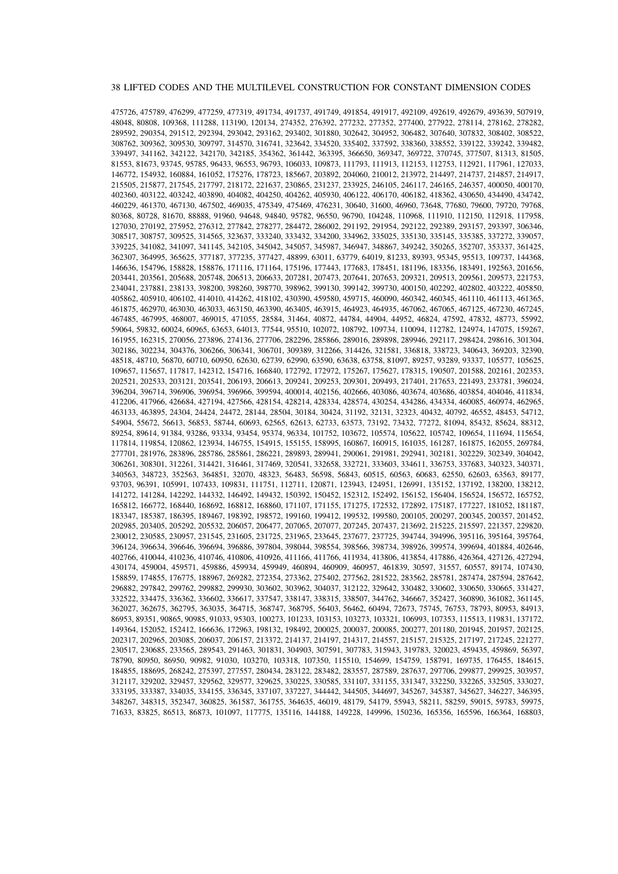475726, 475789, 476299, 477259, 477319, 491734, 491737, 491749, 491854, 491917, 492109, 492619, 492679, 493639, 507919, 48048, 80808, 109368, 111288, 113190, 120134, 274352, 276392, 277232, 277352, 277400, 277922, 278114, 278162, 278282, 289592, 290354, 291512, 292394, 293042, 293162, 293402, 301880, 302642, 304952, 306482, 307640, 307832, 308402, 308522, 308762, 309362, 309530, 309797, 314570, 316741, 323642, 334520, 335402, 337592, 338360, 338552, 339122, 339242, 339482, 339497, 341162, 342122, 342170, 342185, 354362, 361442, 363395, 366650, 369347, 369722, 370745, 377507, 81313, 81505, 81553, 81673, 93745, 95785, 96433, 96553, 96793, 106033, 109873, 111793, 111913, 112153, 112753, 112921, 117961, 127033, 146772, 154932, 160884, 161052, 175276, 178723, 185667, 203892, 204060, 210012, 213972, 214497, 214737, 214857, 214917, 215505, 215877, 217545, 217797, 218172, 221637, 230865, 231237, 233925, 246105, 246117, 246165, 246357, 400050, 400170, 402360, 403122, 403242, 403890, 404082, 404250, 404262, 405930, 406122, 406170, 406182, 418362, 430650, 434490, 434742, 460229, 461370, 467130, 467502, 469035, 475349, 475469, 476231, 30640, 31600, 46960, 73648, 77680, 79600, 79720, 79768, 80368, 80728, 81670, 88888, 91960, 94648, 94840, 95782, 96550, 96790, 104248, 110968, 111910, 112150, 112918, 117958, 127030, 270192, 275952, 276312, 277842, 278277, 284472, 286002, 291192, 291954, 292122, 292389, 293157, 293397, 306346, 308517, 308757, 309525, 314565, 323637, 333240, 333432, 334200, 334962, 335025, 335130, 335145, 335385, 337272, 339057, 339225, 341082, 341097, 341145, 342105, 345042, 345057, 345987, 346947, 348867, 349242, 350265, 352707, 353337, 361425, 362307, 364995, 365625, 377187, 377235, 377427, 48899, 63011, 63779, 64019, 81233, 89393, 95345, 95513, 109737, 144368, 146636, 154796, 158828, 158876, 171116, 171164, 175196, 177443, 177683, 178451, 181196, 183356, 183491, 192563, 201656, 203441, 203561, 205688, 205748, 206513, 206633, 207281, 207473, 207641, 207653, 209321, 209513, 209561, 209573, 221753, 234041, 237881, 238133, 398200, 398260, 398770, 398962, 399130, 399142, 399730, 400150, 402292, 402802, 403222, 405850, 405862, 405910, 406102, 414010, 414262, 418102, 430390, 459580, 459715, 460090, 460342, 460345, 461110, 461113, 461365, 461875, 462970, 463030, 463033, 463150, 463390, 463405, 463915, 464923, 464935, 467062, 467065, 467125, 467230, 467245, 467485, 467995, 468007, 469015, 471055, 28584, 31464, 40872, 44784, 44904, 44952, 46824, 47592, 47832, 48773, 55992, 59064, 59832, 60024, 60965, 63653, 64013, 77544, 95510, 102072, 108792, 109734, 110094, 112782, 124974, 147075, 159267, 161955, 162315, 270056, 273896, 274136, 277706, 282296, 285866, 289016, 289898, 289946, 292117, 298424, 298616, 301304, 302186, 302234, 304376, 306266, 306341, 306701, 309389, 312266, 314426, 321581, 336818, 338723, 340643, 369203, 32390, 48518, 48710, 56870, 60710, 60950, 62630, 62739, 62990, 63590, 63638, 63758, 81097, 89257, 93289, 93337, 105577, 105625, 109657, 115657, 117817, 142312, 154716, 166840, 172792, 172972, 175267, 175627, 178315, 190507, 201588, 202161, 202353, 202521, 202533, 203121, 203541, 206193, 206613, 209241, 209253, 209301, 209493, 217401, 217653, 221493, 233781, 396024, 396204, 396714, 396906, 396954, 396966, 399594, 400014, 402156, 402666, 403086, 403674, 403686, 403854, 404046, 411834, 412206, 417966, 426684, 427194, 427566, 428154, 428214, 428334, 428574, 430254, 434286, 434334, 460085, 460974, 462965, 463133, 463895, 24304, 24424, 24472, 28144, 28504, 30184, 30424, 31192, 32131, 32323, 40432, 40792, 46552, 48453, 54712, 54904, 55672, 56613, 56853, 58744, 60693, 62565, 62613, 62733, 63573, 73192, 73432, 77272, 81094, 85432, 85624, 88312, 89254, 89614, 91384, 93286, 93334, 93454, 95374, 96334, 101752, 103672, 105574, 105622, 105742, 109654, 111694, 115654, 117814, 119854, 120862, 123934, 146755, 154915, 155155, 158995, 160867, 160915, 161035, 161287, 161875, 162055, 269784, 277701, 281976, 283896, 285786, 285861, 286221, 289893, 289941, 290061, 291981, 292941, 302181, 302229, 302349, 304042, 306261, 308301, 312261, 314421, 316461, 317469, 320541, 332658, 332721, 333603, 334611, 336753, 337683, 340323, 340371, 340563, 348723, 352563, 364851, 32070, 48323, 56483, 56598, 56843, 60515, 60563, 60683, 62550, 62603, 63563, 89177, 93703, 96391, 105991, 107433, 109831, 111751, 112711, 120871, 123943, 124951, 126991, 135152, 137192, 138200, 138212, 141272, 141284, 142292, 144332, 146492, 149432, 150392, 150452, 152312, 152492, 156152, 156404, 156524, 156572, 165752, 165812, 166772, 168440, 168692, 168812, 168860, 171107, 171155, 171275, 172532, 172892, 175187, 177227, 181052, 181187, 183347, 185387, 186395, 189467, 198392, 198572, 199160, 199412, 199532, 199580, 200105, 200297, 200345, 200357, 201452, 202985, 203405, 205292, 205532, 206057, 206477, 207065, 207077, 207245, 207437, 213692, 215225, 215597, 221357, 229820, 230012, 230585, 230957, 231545, 231605, 231725, 231965, 233645, 237677, 237725, 394744, 394996, 395116, 395164, 395764, 396124, 396634, 396646, 396694, 396886, 397804, 398044, 398554, 398566, 398734, 398926, 399574, 399694, 401884, 402646, 402766, 410044, 410236, 410746, 410806, 410926, 411166, 411766, 411934, 413806, 413854, 417886, 426364, 427126, 427294, 430174, 459004, 459571, 459886, 459934, 459949, 460894, 460909, 460957, 461839, 30597, 31557, 60557, 89174, 107430, 158859, 174855, 176775, 188967, 269282, 272354, 273362, 275402, 277562, 281522, 283562, 285781, 287474, 287594, 287642, 296882, 297842, 299762, 299882, 299930, 303602, 303962, 304037, 312122, 329642, 330482, 330602, 330650, 330665, 331427, 332522, 334475, 336362, 336602, 336617, 337547, 338147, 338315, 338507, 344762, 346667, 352427, 360890, 361082, 361145, 362027, 362675, 362795, 363035, 364715, 368747, 368795, 56403, 56462, 60494, 72673, 75745, 76753, 78793, 80953, 84913, 86953, 89351, 90865, 90985, 91033, 95303, 100273, 101233, 103153, 103273, 103321, 106993, 107353, 115513, 119831, 137172, 149364, 152052, 152412, 166636, 172963, 198132, 198492, 200025, 200037, 200085, 200277, 201180, 201945, 201957, 202125, 202317, 202965, 203085, 206037, 206157, 213372, 214137, 214197, 214317, 214557, 215157, 215325, 217197, 217245, 221277, 230517, 230685, 233565, 289543, 291463, 301831, 304903, 307591, 307783, 315943, 319783, 320023, 459435, 459869, 56397, 78790, 80950, 86950, 90982, 91030, 103270, 103318, 107350, 115510, 154699, 154759, 158791, 169735, 176455, 184615, 184855, 188695, 268242, 275397, 277557, 280434, 283122, 283482, 283557, 287589, 287637, 297706, 299877, 299925, 303957, 312117, 329202, 329457, 329562, 329577, 329625, 330225, 330585, 331107, 331155, 331347, 332250, 332265, 332505, 333027, 333195, 333387, 334035, 334155, 336345, 337107, 337227, 344442, 344505, 344697, 345267, 345387, 345627, 346227, 346395, 348267, 348315, 352347, 360825, 361587, 361755, 364635, 46019, 48179, 54179, 55943, 58211, 58259, 59015, 59783, 59975, 71633, 83825, 86513, 86873, 101097, 117775, 135116, 144188, 149228, 149996, 150236, 165356, 165596, 166364, 168803,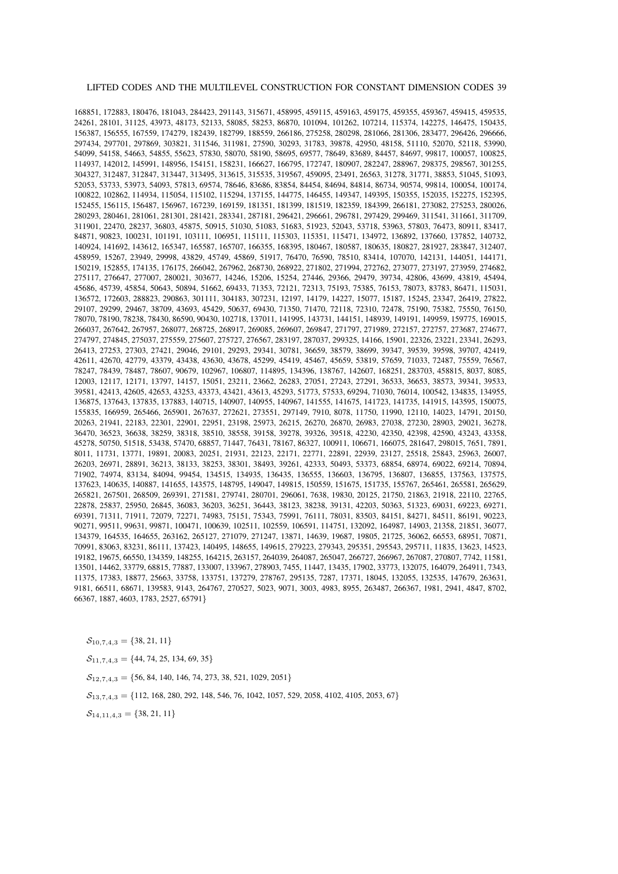168851, 172883, 180476, 181043, 284423, 291143, 315671, 458995, 459115, 459163, 459175, 459355, 459367, 459415, 459535, 24261, 28101, 31125, 43973, 48173, 52133, 58085, 58253, 86870, 101094, 101262, 107214, 115374, 142275, 146475, 150435, 156387, 156555, 167559, 174279, 182439, 182799, 188559, 266186, 275258, 280298, 281066, 281306, 283477, 296426, 296666, 297434, 297701, 297869, 303821, 311546, 311981, 27590, 30293, 31783, 39878, 42950, 48158, 51110, 52070, 52118, 53990, 54099, 54158, 54663, 54855, 55623, 57830, 58070, 58190, 58695, 69577, 78649, 83689, 84457, 84697, 99817, 100057, 100825, 114937, 142012, 145991, 148956, 154151, 158231, 166627, 166795, 172747, 180907, 282247, 288967, 298375, 298567, 301255, 304327, 312487, 312847, 313447, 313495, 313615, 315535, 319567, 459095, 23491, 26563, 31278, 31771, 38853, 51045, 51093, 52053, 53733, 53973, 54093, 57813, 69574, 78646, 83686, 83854, 84454, 84694, 84814, 86734, 90574, 99814, 100054, 100174, 100822, 102862, 114934, 115054, 115102, 115294, 137155, 144775, 146455, 149347, 149395, 150355, 152035, 152275, 152395, 152455, 156115, 156487, 156967, 167239, 169159, 181351, 181399, 181519, 182359, 184399, 266181, 273082, 275253, 280026, 280293, 280461, 281061, 281301, 281421, 283341, 287181, 296421, 296661, 296781, 297429, 299469, 311541, 311661, 311709, 311901, 22470, 28237, 36803, 45875, 50915, 51030, 51083, 51683, 51923, 52043, 53718, 53963, 57803, 76473, 80911, 83417, 84871, 90823, 100231, 101191, 103111, 106951, 115111, 115303, 115351, 115471, 134972, 136892, 137660, 137852, 140732, 140924, 141692, 143612, 165347, 165587, 165707, 166355, 168395, 180467, 180587, 180635, 180827, 281927, 283847, 312407, 458959, 15267, 23949, 29998, 43829, 45749, 45869, 51917, 76470, 76590, 78510, 83414, 107070, 142131, 144051, 144171, 150219, 152855, 174135, 176175, 266042, 267962, 268730, 268922, 271802, 271994, 272762, 273077, 273197, 273959, 274682, 275117, 276647, 277007, 280021, 303677, 14246, 15206, 15254, 27446, 29366, 29479, 39734, 42806, 43699, 43819, 45494, 45686, 45739, 45854, 50643, 50894, 51662, 69433, 71353, 72121, 72313, 75193, 75385, 76153, 78073, 83783, 86471, 115031, 136572, 172603, 288823, 290863, 301111, 304183, 307231, 12197, 14179, 14227, 15077, 15187, 15245, 23347, 26419, 27822, 29107, 29299, 29467, 38709, 43693, 45429, 50637, 69430, 71350, 71470, 72118, 72310, 72478, 75190, 75382, 75550, 76150, 78070, 78190, 78238, 78430, 86590, 90430, 102718, 137011, 141995, 143731, 144151, 148939, 149191, 149959, 159775, 169015, 266037, 267642, 267957, 268077, 268725, 268917, 269085, 269607, 269847, 271797, 271989, 272157, 272757, 273687, 274677, 274797, 274845, 275037, 275559, 275607, 275727, 276567, 283197, 287037, 299325, 14166, 15901, 22326, 23221, 23341, 26293, 26413, 27253, 27303, 27421, 29046, 29101, 29293, 29341, 30781, 36659, 38579, 38699, 39347, 39539, 39598, 39707, 42419, 42611, 42670, 42779, 43379, 43438, 43630, 43678, 45299, 45419, 45467, 45659, 53819, 57659, 71033, 72487, 75559, 76567, 78247, 78439, 78487, 78607, 90679, 102967, 106807, 114895, 134396, 138767, 142607, 168251, 283703, 458815, 8037, 8085, 12003, 12117, 12171, 13797, 14157, 15051, 23211, 23662, 26283, 27051, 27243, 27291, 36533, 36653, 38573, 39341, 39533, 39581, 42413, 42605, 42653, 43253, 43373, 43421, 43613, 45293, 51773, 57533, 69294, 71030, 76014, 100542, 134835, 134955, 136875, 137643, 137835, 137883, 140715, 140907, 140955, 140967, 141555, 141675, 141723, 141735, 141915, 143595, 150075, 155835, 166959, 265466, 265901, 267637, 272621, 273551, 297149, 7910, 8078, 11750, 11990, 12110, 14023, 14791, 20150, 20263, 21941, 22183, 22301, 22901, 22951, 23198, 25973, 26215, 26270, 26870, 26983, 27038, 27230, 28903, 29021, 36278, 36470, 36523, 36638, 38259, 38318, 38510, 38558, 39158, 39278, 39326, 39518, 42230, 42350, 42398, 42590, 43243, 43358, 45278, 50750, 51518, 53438, 57470, 68857, 71447, 76431, 78167, 86327, 100911, 106671, 166075, 281647, 298015, 7651, 7891, 8011, 11731, 13771, 19891, 20083, 20251, 21931, 22123, 22171, 22771, 22891, 22939, 23127, 25518, 25843, 25963, 26007, 26203, 26971, 28891, 36213, 38133, 38253, 38301, 38493, 39261, 42333, 50493, 53373, 68854, 68974, 69022, 69214, 70894, 71902, 74974, 83134, 84094, 99454, 134515, 134935, 136435, 136555, 136603, 136795, 136807, 136855, 137563, 137575, 137623, 140635, 140887, 141655, 143575, 148795, 149047, 149815, 150559, 151675, 151735, 155767, 265461, 265581, 265629, 265821, 267501, 268509, 269391, 271581, 279741, 280701, 296061, 7638, 19830, 20125, 21750, 21863, 21918, 22110, 22765, 22878, 25837, 25950, 26845, 36083, 36203, 36251, 36443, 38123, 38238, 39131, 42203, 50363, 51323, 69031, 69223, 69271, 69391, 71311, 71911, 72079, 72271, 74983, 75151, 75343, 75991, 76111, 78031, 83503, 84151, 84271, 84511, 86191, 90223, 90271, 99511, 99631, 99871, 100471, 100639, 102511, 102559, 106591, 114751, 132092, 164987, 14903, 21358, 21851, 36077, 134379, 164535, 164655, 263162, 265127, 271079, 271247, 13871, 14639, 19687, 19805, 21725, 36062, 66553, 68951, 70871, 70991, 83063, 83231, 86111, 137423, 140495, 148655, 149615, 279223, 279343, 295351, 295543, 295711, 11835, 13623, 14523, 19182, 19675, 66550, 134359, 148255, 164215, 263157, 264039, 264087, 265047, 266727, 266967, 267087, 270807, 7742, 11581, 13501, 14462, 33779, 68815, 77887, 133007, 133967, 278903, 7455, 11447, 13435, 17902, 33773, 132075, 164079, 264911, 7343, 11375, 17383, 18877, 25663, 33758, 133751, 137279, 278767, 295135, 7287, 17371, 18045, 132055, 132535, 147679, 263631, 9181, 66511, 68671, 139583, 9143, 264767, 270527, 5023, 9071, 3003, 4983, 8955, 263487, 266367, 1981, 2941, 4847, 8702, 66367, 1887, 4603, 1783, 2527, 65791}

 $S_{10,7,4,3} = \{38,21,11\}$ 

 $S_{11,7,4,3} = \{44, 74, 25, 134, 69, 35\}$ 

 $S_{12,7,4,3}$  = {56, 84, 140, 146, 74, 273, 38, 521, 1029, 2051}

 $S_{13,7,4,3} = \{112, 168, 280, 292, 148, 546, 76, 1042, 1057, 529, 2058, 4102, 4105, 2053, 67\}$ 

 $S_{14,11,4,3} = \{38,21,11\}$